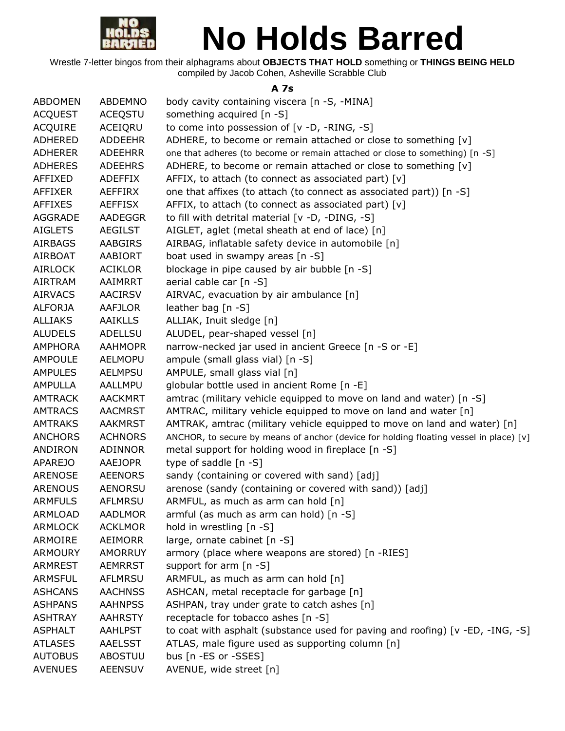

Wrestle 7-letter bingos from their alphagrams about **OBJECTS THAT HOLD** something or **THINGS BEING HELD** compiled by Jacob Cohen, Asheville Scrabble Club

#### **A 7s**

| <b>ABDOMEN</b> | ABDEMNO        | body cavity containing viscera [n -S, -MINA]                                           |
|----------------|----------------|----------------------------------------------------------------------------------------|
| <b>ACQUEST</b> | <b>ACEQSTU</b> | something acquired [n -S]                                                              |
| <b>ACQUIRE</b> | ACEIQRU        | to come into possession of [v -D, -RING, -S]                                           |
| <b>ADHERED</b> | <b>ADDEEHR</b> | ADHERE, to become or remain attached or close to something [v]                         |
| <b>ADHERER</b> | ADEEHRR        | one that adheres (to become or remain attached or close to something) [n -S]           |
| <b>ADHERES</b> | <b>ADEEHRS</b> | ADHERE, to become or remain attached or close to something [v]                         |
| AFFIXED        | ADEFFIX        | AFFIX, to attach (to connect as associated part) [v]                                   |
| <b>AFFIXER</b> | AEFFIRX        | one that affixes (to attach (to connect as associated part)) [n -S]                    |
| <b>AFFIXES</b> | <b>AEFFISX</b> | AFFIX, to attach (to connect as associated part) [v]                                   |
| AGGRADE        | AADEGGR        | to fill with detrital material [v -D, -DING, -S]                                       |
| <b>AIGLETS</b> | <b>AEGILST</b> | AIGLET, aglet (metal sheath at end of lace) [n]                                        |
| <b>AIRBAGS</b> | <b>AABGIRS</b> | AIRBAG, inflatable safety device in automobile [n]                                     |
| <b>AIRBOAT</b> | AABIORT        | boat used in swampy areas [n -S]                                                       |
| <b>AIRLOCK</b> | <b>ACIKLOR</b> | blockage in pipe caused by air bubble [n -S]                                           |
| <b>AIRTRAM</b> | AAIMRRT        | aerial cable car [n -S]                                                                |
| <b>AIRVACS</b> | <b>AACIRSV</b> | AIRVAC, evacuation by air ambulance [n]                                                |
| <b>ALFORJA</b> | AAFJLOR        | leather bag $[n - S]$                                                                  |
| <b>ALLIAKS</b> | <b>AAIKLLS</b> | ALLIAK, Inuit sledge [n]                                                               |
| <b>ALUDELS</b> | ADELLSU        | ALUDEL, pear-shaped vessel [n]                                                         |
| <b>AMPHORA</b> | <b>AAHMOPR</b> | narrow-necked jar used in ancient Greece [n -S or -E]                                  |
| <b>AMPOULE</b> | <b>AELMOPU</b> | ampule (small glass vial) [n -S]                                                       |
| <b>AMPULES</b> | <b>AELMPSU</b> | AMPULE, small glass vial [n]                                                           |
| <b>AMPULLA</b> | AALLMPU        | globular bottle used in ancient Rome [n -E]                                            |
| <b>AMTRACK</b> | <b>AACKMRT</b> | amtrac (military vehicle equipped to move on land and water) [n -S]                    |
| <b>AMTRACS</b> | <b>AACMRST</b> | AMTRAC, military vehicle equipped to move on land and water [n]                        |
| <b>AMTRAKS</b> | <b>AAKMRST</b> | AMTRAK, amtrac (military vehicle equipped to move on land and water) [n]               |
| <b>ANCHORS</b> | <b>ACHNORS</b> | ANCHOR, to secure by means of anchor (device for holding floating vessel in place) [v] |
| <b>ANDIRON</b> | ADINNOR        | metal support for holding wood in fireplace [n -S]                                     |
| <b>APAREJO</b> | <b>AAEJOPR</b> | type of saddle [n -S]                                                                  |
| <b>ARENOSE</b> | <b>AEENORS</b> | sandy (containing or covered with sand) [adj]                                          |
| <b>ARENOUS</b> | <b>AENORSU</b> | arenose (sandy (containing or covered with sand)) [adj]                                |
| <b>ARMFULS</b> | AFLMRSU        | ARMFUL, as much as arm can hold [n]                                                    |
| <b>ARMLOAD</b> | <b>AADLMOR</b> | armful (as much as arm can hold) [n -S]                                                |
| <b>ARMLOCK</b> | <b>ACKLMOR</b> | hold in wrestling [n -S]                                                               |
| ARMOIRE        | AEIMORR        | large, ornate cabinet [n -S]                                                           |
| <b>ARMOURY</b> | <b>AMORRUY</b> | armory (place where weapons are stored) [n -RIES]                                      |
| <b>ARMREST</b> | <b>AEMRRST</b> | support for arm $[n - S]$                                                              |
| <b>ARMSFUL</b> | AFLMRSU        | ARMFUL, as much as arm can hold [n]                                                    |
| <b>ASHCANS</b> | <b>AACHNSS</b> | ASHCAN, metal receptacle for garbage [n]                                               |
| <b>ASHPANS</b> | <b>AAHNPSS</b> | ASHPAN, tray under grate to catch ashes [n]                                            |
| <b>ASHTRAY</b> | <b>AAHRSTY</b> | receptacle for tobacco ashes [n -S]                                                    |
| <b>ASPHALT</b> | <b>AAHLPST</b> | to coat with asphalt (substance used for paving and roofing) [v -ED, -ING, -S]         |
| <b>ATLASES</b> | <b>AAELSST</b> | ATLAS, male figure used as supporting column [n]                                       |
| <b>AUTOBUS</b> | <b>ABOSTUU</b> | bus [n -ES or -SSES]                                                                   |
| <b>AVENUES</b> | <b>AEENSUV</b> | AVENUE, wide street [n]                                                                |
|                |                |                                                                                        |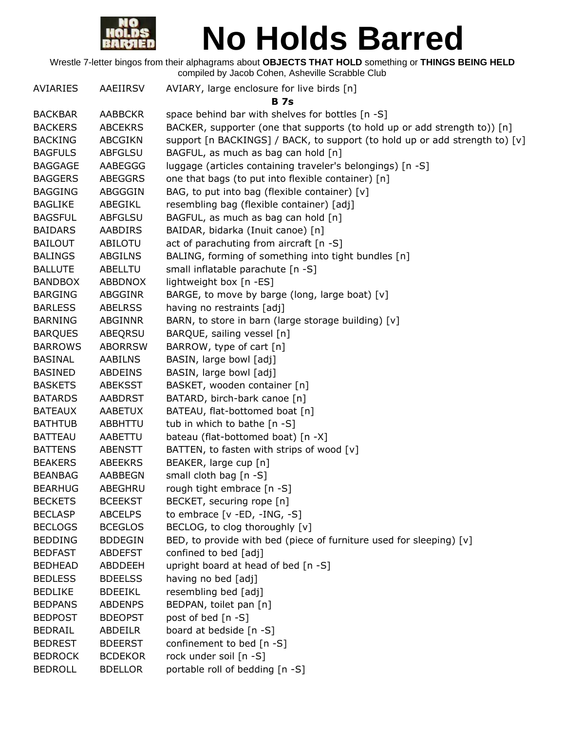

| <b>AVIARIES</b> | AAEIIRSV       | AVIARY, large enclosure for live birds [n]                                  |
|-----------------|----------------|-----------------------------------------------------------------------------|
|                 |                | B 7s                                                                        |
| <b>BACKBAR</b>  | <b>AABBCKR</b> | space behind bar with shelves for bottles [n -S]                            |
| <b>BACKERS</b>  | <b>ABCEKRS</b> | BACKER, supporter (one that supports (to hold up or add strength to)) [n]   |
| <b>BACKING</b>  | <b>ABCGIKN</b> | support [n BACKINGS] / BACK, to support (to hold up or add strength to) [v] |
| <b>BAGFULS</b>  | <b>ABFGLSU</b> | BAGFUL, as much as bag can hold [n]                                         |
| <b>BAGGAGE</b>  | AABEGGG        | luggage (articles containing traveler's belongings) [n -S]                  |
| <b>BAGGERS</b>  | <b>ABEGGRS</b> | one that bags (to put into flexible container) [n]                          |
| <b>BAGGING</b>  | ABGGGIN        | BAG, to put into bag (flexible container) [v]                               |
| <b>BAGLIKE</b>  | ABEGIKL        | resembling bag (flexible container) [adj]                                   |
| <b>BAGSFUL</b>  | <b>ABFGLSU</b> | BAGFUL, as much as bag can hold [n]                                         |
| <b>BAIDARS</b>  | <b>AABDIRS</b> | BAIDAR, bidarka (Inuit canoe) [n]                                           |
| <b>BAILOUT</b>  | ABILOTU        | act of parachuting from aircraft [n -S]                                     |
| <b>BALINGS</b>  | ABGILNS        | BALING, forming of something into tight bundles [n]                         |
| <b>BALLUTE</b>  | ABELLTU        | small inflatable parachute [n -S]                                           |
| <b>BANDBOX</b>  | ABBDNOX        | lightweight box [n -ES]                                                     |
| <b>BARGING</b>  | <b>ABGGINR</b> | BARGE, to move by barge (long, large boat) [v]                              |
| <b>BARLESS</b>  | <b>ABELRSS</b> | having no restraints [adj]                                                  |
| <b>BARNING</b>  | ABGINNR        | BARN, to store in barn (large storage building) [v]                         |
| <b>BARQUES</b>  | ABEQRSU        | BARQUE, sailing vessel [n]                                                  |
| <b>BARROWS</b>  | <b>ABORRSW</b> | BARROW, type of cart [n]                                                    |
| <b>BASINAL</b>  | <b>AABILNS</b> | BASIN, large bowl [adj]                                                     |
| <b>BASINED</b>  | <b>ABDEINS</b> | BASIN, large bowl [adj]                                                     |
| <b>BASKETS</b>  | <b>ABEKSST</b> | BASKET, wooden container [n]                                                |
| <b>BATARDS</b>  | <b>AABDRST</b> | BATARD, birch-bark canoe [n]                                                |
| <b>BATEAUX</b>  | <b>AABETUX</b> | BATEAU, flat-bottomed boat [n]                                              |
| <b>BATHTUB</b>  | ABBHTTU        | tub in which to bathe [n -S]                                                |
| <b>BATTEAU</b>  | AABETTU        | bateau (flat-bottomed boat) [n -X]                                          |
| <b>BATTENS</b>  | <b>ABENSTT</b> | BATTEN, to fasten with strips of wood [v]                                   |
| <b>BEAKERS</b>  | <b>ABEEKRS</b> | BEAKER, large cup [n]                                                       |
| <b>BEANBAG</b>  | <b>AABBEGN</b> | small cloth bag [n -S]                                                      |
| <b>BEARHUG</b>  | ABEGHRU        | rough tight embrace [n -S]                                                  |
| <b>BECKETS</b>  | <b>BCEEKST</b> | BECKET, securing rope [n]                                                   |
| <b>BECLASP</b>  | <b>ABCELPS</b> | to embrace [v -ED, -ING, -S]                                                |
| <b>BECLOGS</b>  | <b>BCEGLOS</b> | BECLOG, to clog thoroughly [v]                                              |
| <b>BEDDING</b>  | <b>BDDEGIN</b> | BED, to provide with bed (piece of furniture used for sleeping) [v]         |
| <b>BEDFAST</b>  | <b>ABDEFST</b> | confined to bed [adj]                                                       |
| <b>BEDHEAD</b>  | ABDDEEH        | upright board at head of bed [n -S]                                         |
| <b>BEDLESS</b>  | <b>BDEELSS</b> | having no bed [adj]                                                         |
| <b>BEDLIKE</b>  | <b>BDEEIKL</b> | resembling bed [adj]                                                        |
| <b>BEDPANS</b>  | <b>ABDENPS</b> | BEDPAN, toilet pan [n]                                                      |
| <b>BEDPOST</b>  | <b>BDEOPST</b> | post of bed [n -S]                                                          |
| <b>BEDRAIL</b>  | ABDEILR        | board at bedside [n -S]                                                     |
| <b>BEDREST</b>  | <b>BDEERST</b> | confinement to bed [n -S]                                                   |
| <b>BEDROCK</b>  | <b>BCDEKOR</b> | rock under soil [n -S]                                                      |
| <b>BEDROLL</b>  | <b>BDELLOR</b> | portable roll of bedding [n -S]                                             |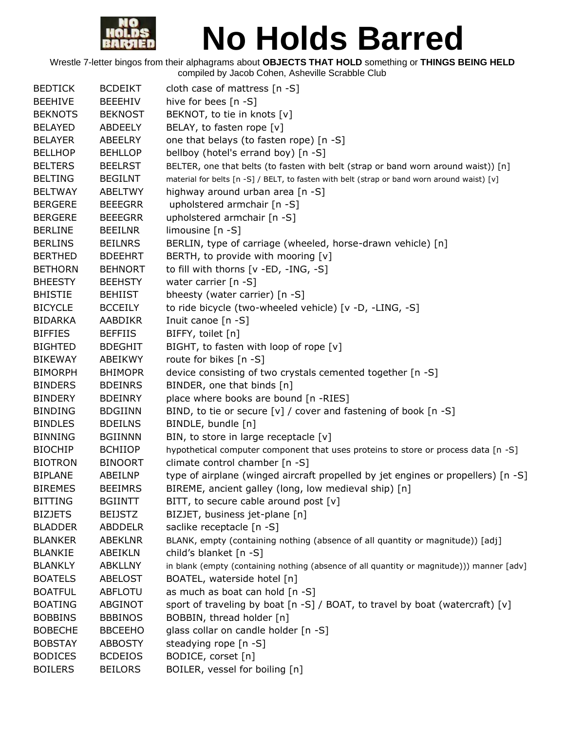

| <b>BEDTICK</b> | <b>BCDEIKT</b> | cloth case of mattress [n -S]                                                               |
|----------------|----------------|---------------------------------------------------------------------------------------------|
| <b>BEEHIVE</b> | <b>BEEEHIV</b> | hive for bees $[n -S]$                                                                      |
| <b>BEKNOTS</b> | <b>BEKNOST</b> | BEKNOT, to tie in knots [v]                                                                 |
| <b>BELAYED</b> | ABDEELY        | BELAY, to fasten rope [v]                                                                   |
| <b>BELAYER</b> | ABEELRY        | one that belays (to fasten rope) [n -S]                                                     |
| <b>BELLHOP</b> | <b>BEHLLOP</b> | bellboy (hotel's errand boy) [n -S]                                                         |
| <b>BELTERS</b> | <b>BEELRST</b> | BELTER, one that belts (to fasten with belt (strap or band worn around waist)) [n]          |
| <b>BELTING</b> | <b>BEGILNT</b> | material for belts [n -S] / BELT, to fasten with belt (strap or band worn around waist) [v] |
| <b>BELTWAY</b> | <b>ABELTWY</b> | highway around urban area [n -S]                                                            |
| <b>BERGERE</b> | <b>BEEEGRR</b> | upholstered armchair [n -S]                                                                 |
| <b>BERGERE</b> | <b>BEEEGRR</b> | upholstered armchair [n -S]                                                                 |
| <b>BERLINE</b> | <b>BEEILNR</b> | limousine $[n - S]$                                                                         |
| <b>BERLINS</b> | <b>BEILNRS</b> | BERLIN, type of carriage (wheeled, horse-drawn vehicle) [n]                                 |
| <b>BERTHED</b> | <b>BDEEHRT</b> | BERTH, to provide with mooring [v]                                                          |
| <b>BETHORN</b> | <b>BEHNORT</b> | to fill with thorns [v -ED, -ING, -S]                                                       |
| <b>BHEESTY</b> | <b>BEEHSTY</b> | water carrier [n -S]                                                                        |
| <b>BHISTIE</b> | <b>BEHIIST</b> | bheesty (water carrier) [n -S]                                                              |
| <b>BICYCLE</b> | <b>BCCEILY</b> | to ride bicycle (two-wheeled vehicle) [v -D, -LING, -S]                                     |
| <b>BIDARKA</b> | AABDIKR        | Inuit canoe [n -S]                                                                          |
| <b>BIFFIES</b> | <b>BEFFIIS</b> | BIFFY, toilet [n]                                                                           |
| <b>BIGHTED</b> | <b>BDEGHIT</b> | BIGHT, to fasten with loop of rope [v]                                                      |
| <b>BIKEWAY</b> | ABEIKWY        | route for bikes [n -S]                                                                      |
| <b>BIMORPH</b> | <b>BHIMOPR</b> | device consisting of two crystals cemented together [n -S]                                  |
| <b>BINDERS</b> | <b>BDEINRS</b> | BINDER, one that binds [n]                                                                  |
| <b>BINDERY</b> | <b>BDEINRY</b> | place where books are bound [n -RIES]                                                       |
| <b>BINDING</b> | <b>BDGIINN</b> | BIND, to tie or secure [v] / cover and fastening of book [n -S]                             |
| <b>BINDLES</b> | <b>BDEILNS</b> | BINDLE, bundle [n]                                                                          |
| <b>BINNING</b> | <b>BGIINNN</b> | BIN, to store in large receptacle [v]                                                       |
| <b>BIOCHIP</b> | <b>BCHIIOP</b> | hypothetical computer component that uses proteins to store or process data [n -S]          |
| <b>BIOTRON</b> | <b>BINOORT</b> | climate control chamber [n -S]                                                              |
| <b>BIPLANE</b> | ABEILNP        | type of airplane (winged aircraft propelled by jet engines or propellers) [n -S]            |
| <b>BIREMES</b> | <b>BEEIMRS</b> | BIREME, ancient galley (long, low medieval ship) [n]                                        |
| <b>BITTING</b> | <b>BGIINTT</b> | BITT, to secure cable around post [v]                                                       |
| <b>BIZJETS</b> | <b>BEIJSTZ</b> | BIZJET, business jet-plane [n]                                                              |
| <b>BLADDER</b> | <b>ABDDELR</b> | saclike receptacle [n -S]                                                                   |
| <b>BLANKER</b> | <b>ABEKLNR</b> | BLANK, empty (containing nothing (absence of all quantity or magnitude)) [adj]              |
| <b>BLANKIE</b> | ABEIKLN        | child's blanket [n -S]                                                                      |
| <b>BLANKLY</b> | <b>ABKLLNY</b> | in blank (empty (containing nothing (absence of all quantity or magnitude))) manner [adv]   |
| <b>BOATELS</b> | <b>ABELOST</b> | BOATEL, waterside hotel [n]                                                                 |
| <b>BOATFUL</b> | ABFLOTU        | as much as boat can hold [n -S]                                                             |
| <b>BOATING</b> | ABGINOT        | sport of traveling by boat [n -S] / BOAT, to travel by boat (watercraft) [v]                |
| <b>BOBBINS</b> | <b>BBBINOS</b> | BOBBIN, thread holder [n]                                                                   |
| <b>BOBECHE</b> | <b>BBCEEHO</b> | glass collar on candle holder [n -S]                                                        |
| <b>BOBSTAY</b> | <b>ABBOSTY</b> | steadying rope [n -S]                                                                       |
| <b>BODICES</b> | <b>BCDEIOS</b> | BODICE, corset [n]                                                                          |
| <b>BOILERS</b> | <b>BEILORS</b> | BOILER, vessel for boiling [n]                                                              |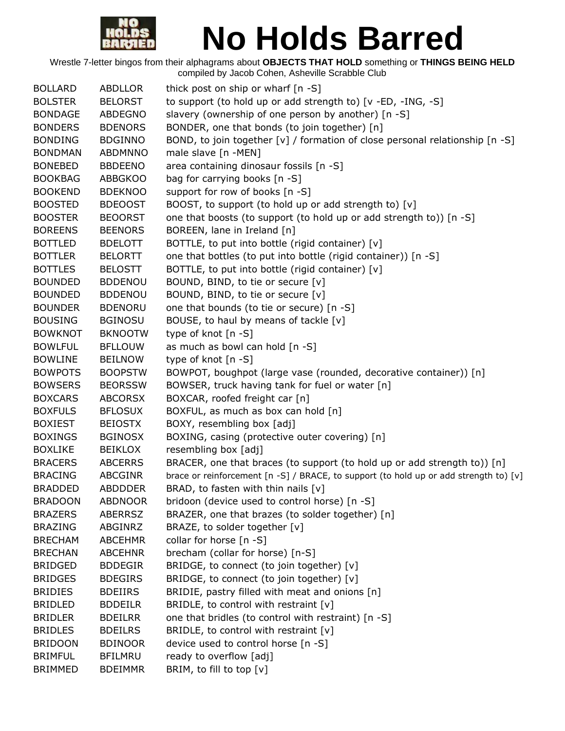

| <b>BOLLARD</b> | <b>ABDLLOR</b> | thick post on ship or wharf [n -S]                                                                                  |
|----------------|----------------|---------------------------------------------------------------------------------------------------------------------|
| <b>BOLSTER</b> | <b>BELORST</b> | to support (to hold up or add strength to) [v -ED, -ING, -S]                                                        |
| <b>BONDAGE</b> | ABDEGNO        | slavery (ownership of one person by another) [n -S]                                                                 |
| <b>BONDERS</b> | <b>BDENORS</b> | BONDER, one that bonds (to join together) [n]                                                                       |
| <b>BONDING</b> | <b>BDGINNO</b> | BOND, to join together [v] / formation of close personal relationship $[n -S]$                                      |
| <b>BONDMAN</b> | <b>ABDMNNO</b> | male slave [n -MEN]                                                                                                 |
| <b>BONEBED</b> | <b>BBDEENO</b> | area containing dinosaur fossils [n -S]                                                                             |
| <b>BOOKBAG</b> | <b>ABBGKOO</b> | bag for carrying books [n -S]                                                                                       |
| <b>BOOKEND</b> | <b>BDEKNOO</b> | support for row of books [n -S]                                                                                     |
| <b>BOOSTED</b> | <b>BDEOOST</b> | BOOST, to support (to hold up or add strength to) [v]                                                               |
| <b>BOOSTER</b> | <b>BEOORST</b> | one that boosts (to support (to hold up or add strength to)) [n -S]                                                 |
| <b>BOREENS</b> | <b>BEENORS</b> | BOREEN, lane in Ireland [n]                                                                                         |
| <b>BOTTLED</b> | <b>BDELOTT</b> | BOTTLE, to put into bottle (rigid container) [v]                                                                    |
| <b>BOTTLER</b> | <b>BELORTT</b> | one that bottles (to put into bottle (rigid container)) [n -S]                                                      |
| <b>BOTTLES</b> | <b>BELOSTT</b> | BOTTLE, to put into bottle (rigid container) [v]                                                                    |
| <b>BOUNDED</b> | <b>BDDENOU</b> | BOUND, BIND, to tie or secure [v]                                                                                   |
| <b>BOUNDED</b> | <b>BDDENOU</b> | BOUND, BIND, to tie or secure [v]                                                                                   |
| <b>BOUNDER</b> | <b>BDENORU</b> | one that bounds (to tie or secure) [n -S]                                                                           |
| <b>BOUSING</b> | <b>BGINOSU</b> | BOUSE, to haul by means of tackle [v]                                                                               |
| <b>BOWKNOT</b> | <b>BKNOOTW</b> | type of knot [n -S]                                                                                                 |
| <b>BOWLFUL</b> | <b>BFLLOUW</b> | as much as bowl can hold [n -S]                                                                                     |
| <b>BOWLINE</b> | <b>BEILNOW</b> | type of knot [n -S]                                                                                                 |
| <b>BOWPOTS</b> | <b>BOOPSTW</b> | BOWPOT, boughpot (large vase (rounded, decorative container)) [n]                                                   |
| <b>BOWSERS</b> | <b>BEORSSW</b> | BOWSER, truck having tank for fuel or water [n]                                                                     |
| <b>BOXCARS</b> | <b>ABCORSX</b> | BOXCAR, roofed freight car [n]                                                                                      |
| <b>BOXFULS</b> | <b>BFLOSUX</b> | BOXFUL, as much as box can hold [n]                                                                                 |
| <b>BOXIEST</b> | <b>BEIOSTX</b> | BOXY, resembling box [adj]                                                                                          |
| <b>BOXINGS</b> | <b>BGINOSX</b> | BOXING, casing (protective outer covering) [n]                                                                      |
| <b>BOXLIKE</b> | <b>BEIKLOX</b> | resembling box [adj]                                                                                                |
| <b>BRACERS</b> | <b>ABCERRS</b> | BRACER, one that braces (to support (to hold up or add strength to)) [n]                                            |
| <b>BRACING</b> | <b>ABCGINR</b> | brace or reinforcement $\lceil n - S \rceil / BRACE$ , to support (to hold up or add strength to) $\lceil v \rceil$ |
| <b>BRADDED</b> | <b>ABDDDER</b> | BRAD, to fasten with thin nails [v]                                                                                 |
| <b>BRADOON</b> | <b>ABDNOOR</b> | bridoon (device used to control horse) [n -S]                                                                       |
| <b>BRAZERS</b> | <b>ABERRSZ</b> | BRAZER, one that brazes (to solder together) [n]                                                                    |
| <b>BRAZING</b> | ABGINRZ        | BRAZE, to solder together [v]                                                                                       |
| <b>BRECHAM</b> | <b>ABCEHMR</b> | collar for horse [n -S]                                                                                             |
| <b>BRECHAN</b> | <b>ABCEHNR</b> | brecham (collar for horse) [n-S]                                                                                    |
| <b>BRIDGED</b> | <b>BDDEGIR</b> | BRIDGE, to connect (to join together) [v]                                                                           |
| <b>BRIDGES</b> | <b>BDEGIRS</b> | BRIDGE, to connect (to join together) [v]                                                                           |
| <b>BRIDIES</b> | <b>BDEIIRS</b> | BRIDIE, pastry filled with meat and onions [n]                                                                      |
| <b>BRIDLED</b> | <b>BDDEILR</b> | BRIDLE, to control with restraint $[v]$                                                                             |
| <b>BRIDLER</b> | <b>BDEILRR</b> | one that bridles (to control with restraint) [n -S]                                                                 |
| <b>BRIDLES</b> | <b>BDEILRS</b> | BRIDLE, to control with restraint $[v]$                                                                             |
| <b>BRIDOON</b> | <b>BDINOOR</b> | device used to control horse [n -S]                                                                                 |
| <b>BRIMFUL</b> | <b>BFILMRU</b> | ready to overflow [adj]                                                                                             |
| <b>BRIMMED</b> | <b>BDEIMMR</b> | BRIM, to fill to top [v]                                                                                            |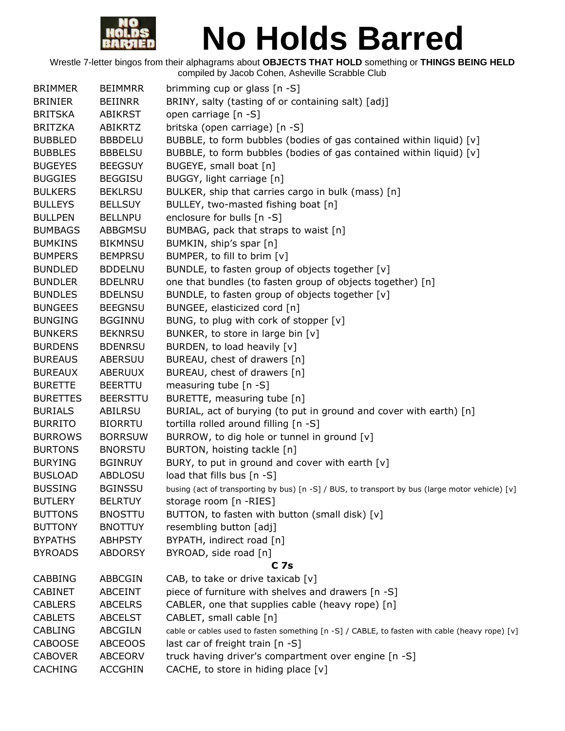

| <b>BRIMMER</b>  | <b>BEIMMRR</b>  | brimming cup or glass [n -S]                                                                    |
|-----------------|-----------------|-------------------------------------------------------------------------------------------------|
| <b>BRINIER</b>  | <b>BEIINRR</b>  | BRINY, salty (tasting of or containing salt) [adj]                                              |
| <b>BRITSKA</b>  | <b>ABIKRST</b>  | open carriage [n -S]                                                                            |
| <b>BRITZKA</b>  | <b>ABIKRTZ</b>  | britska (open carriage) [n -S]                                                                  |
| <b>BUBBLED</b>  | <b>BBBDELU</b>  | BUBBLE, to form bubbles (bodies of gas contained within liquid) [v]                             |
| <b>BUBBLES</b>  | <b>BBBELSU</b>  | BUBBLE, to form bubbles (bodies of gas contained within liquid) [v]                             |
| <b>BUGEYES</b>  | <b>BEEGSUY</b>  | BUGEYE, small boat [n]                                                                          |
| <b>BUGGIES</b>  | <b>BEGGISU</b>  | BUGGY, light carriage [n]                                                                       |
| <b>BULKERS</b>  | <b>BEKLRSU</b>  | BULKER, ship that carries cargo in bulk (mass) [n]                                              |
| <b>BULLEYS</b>  | <b>BELLSUY</b>  | BULLEY, two-masted fishing boat [n]                                                             |
| <b>BULLPEN</b>  | <b>BELLNPU</b>  | enclosure for bulls [n -S]                                                                      |
| <b>BUMBAGS</b>  | ABBGMSU         | BUMBAG, pack that straps to waist [n]                                                           |
| <b>BUMKINS</b>  | <b>BIKMNSU</b>  | BUMKIN, ship's spar [n]                                                                         |
| <b>BUMPERS</b>  | <b>BEMPRSU</b>  | BUMPER, to fill to brim [v]                                                                     |
| <b>BUNDLED</b>  | <b>BDDELNU</b>  | BUNDLE, to fasten group of objects together [v]                                                 |
| <b>BUNDLER</b>  | <b>BDELNRU</b>  | one that bundles (to fasten group of objects together) [n]                                      |
| <b>BUNDLES</b>  | <b>BDELNSU</b>  | BUNDLE, to fasten group of objects together [v]                                                 |
| <b>BUNGEES</b>  | <b>BEEGNSU</b>  | BUNGEE, elasticized cord [n]                                                                    |
| <b>BUNGING</b>  | <b>BGGINNU</b>  | BUNG, to plug with cork of stopper [v]                                                          |
| <b>BUNKERS</b>  | <b>BEKNRSU</b>  | BUNKER, to store in large bin [v]                                                               |
| <b>BURDENS</b>  | <b>BDENRSU</b>  | BURDEN, to load heavily [v]                                                                     |
| <b>BUREAUS</b>  | <b>ABERSUU</b>  | BUREAU, chest of drawers [n]                                                                    |
|                 |                 |                                                                                                 |
| <b>BUREAUX</b>  | <b>ABERUUX</b>  | BUREAU, chest of drawers [n]                                                                    |
| <b>BURETTE</b>  | <b>BEERTTU</b>  | measuring tube $[n - S]$                                                                        |
| <b>BURETTES</b> | <b>BEERSTTU</b> | BURETTE, measuring tube [n]                                                                     |
| <b>BURIALS</b>  | <b>ABILRSU</b>  | BURIAL, act of burying (to put in ground and cover with earth) [n]                              |
| <b>BURRITO</b>  | <b>BIORRTU</b>  | tortilla rolled around filling [n -S]                                                           |
| <b>BURROWS</b>  | <b>BORRSUW</b>  | BURROW, to dig hole or tunnel in ground [v]                                                     |
| <b>BURTONS</b>  | <b>BNORSTU</b>  | BURTON, hoisting tackle [n]                                                                     |
| <b>BURYING</b>  | <b>BGINRUY</b>  | BURY, to put in ground and cover with earth [v]                                                 |
| <b>BUSLOAD</b>  | <b>ABDLOSU</b>  | load that fills bus [n -S]                                                                      |
| <b>BUSSING</b>  | <b>BGINSSU</b>  | busing (act of transporting by bus) [n -S] / BUS, to transport by bus (large motor vehicle) [v] |
| <b>BUTLERY</b>  | <b>BELRTUY</b>  | storage room [n -RIES]                                                                          |
| <b>BUTTONS</b>  | <b>BNOSTTU</b>  | BUTTON, to fasten with button (small disk) [v]                                                  |
| <b>BUTTONY</b>  | <b>BNOTTUY</b>  | resembling button [adj]                                                                         |
| <b>BYPATHS</b>  | <b>ABHPSTY</b>  | BYPATH, indirect road [n]                                                                       |
| <b>BYROADS</b>  | <b>ABDORSY</b>  | BYROAD, side road [n]                                                                           |
|                 |                 | C 7s                                                                                            |
| <b>CABBING</b>  | ABBCGIN         | CAB, to take or drive taxicab [v]                                                               |
| <b>CABINET</b>  | <b>ABCEINT</b>  | piece of furniture with shelves and drawers [n -S]                                              |
| <b>CABLERS</b>  | <b>ABCELRS</b>  | CABLER, one that supplies cable (heavy rope) [n]                                                |
| <b>CABLETS</b>  | <b>ABCELST</b>  | CABLET, small cable [n]                                                                         |
| <b>CABLING</b>  | <b>ABCGILN</b>  | cable or cables used to fasten something [n -S] / CABLE, to fasten with cable (heavy rope) [v]  |
| <b>CABOOSE</b>  | <b>ABCEOOS</b>  | last car of freight train [n -S]                                                                |
| <b>CABOVER</b>  | <b>ABCEORV</b>  | truck having driver's compartment over engine [n -S]                                            |
| <b>CACHING</b>  | <b>ACCGHIN</b>  | CACHE, to store in hiding place [v]                                                             |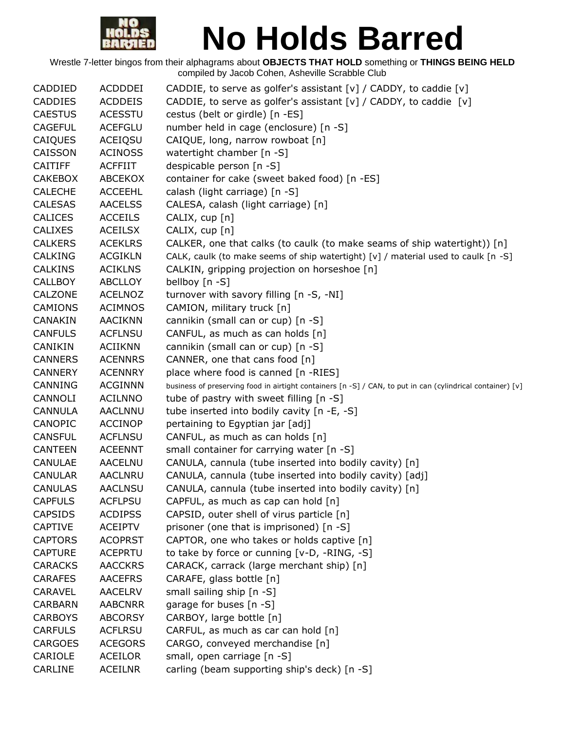

| CADDIED        | <b>ACDDDEI</b> | CADDIE, to serve as golfer's assistant $[v]$ / CADDY, to caddie $[v]$                                      |
|----------------|----------------|------------------------------------------------------------------------------------------------------------|
| <b>CADDIES</b> | <b>ACDDEIS</b> | CADDIE, to serve as golfer's assistant [v] / CADDY, to caddie [v]                                          |
| <b>CAESTUS</b> | <b>ACESSTU</b> | cestus (belt or girdle) [n -ES]                                                                            |
| <b>CAGEFUL</b> | <b>ACEFGLU</b> | number held in cage (enclosure) [n -S]                                                                     |
| CAIQUES        | <b>ACEIQSU</b> | CAIQUE, long, narrow rowboat [n]                                                                           |
| CAISSON        | <b>ACINOSS</b> | watertight chamber [n -S]                                                                                  |
| <b>CAITIFF</b> | <b>ACFFIIT</b> | despicable person [n -S]                                                                                   |
| <b>CAKEBOX</b> | ABCEKOX        | container for cake (sweet baked food) [n -ES]                                                              |
| <b>CALECHE</b> | <b>ACCEEHL</b> | calash (light carriage) [n -S]                                                                             |
| <b>CALESAS</b> | <b>AACELSS</b> | CALESA, calash (light carriage) [n]                                                                        |
| <b>CALICES</b> | <b>ACCEILS</b> | CALIX, cup [n]                                                                                             |
| <b>CALIXES</b> | <b>ACEILSX</b> | CALIX, cup [n]                                                                                             |
| <b>CALKERS</b> | <b>ACEKLRS</b> | CALKER, one that calks (to caulk (to make seams of ship watertight)) $[n]$                                 |
| CALKING        | <b>ACGIKLN</b> | CALK, caulk (to make seems of ship watertight) [v] / material used to caulk [n -S]                         |
| <b>CALKINS</b> | <b>ACIKLNS</b> | CALKIN, gripping projection on horseshoe [n]                                                               |
| <b>CALLBOY</b> | <b>ABCLLOY</b> | bellboy [n -S]                                                                                             |
| CALZONE        | <b>ACELNOZ</b> | turnover with savory filling [n -S, -NI]                                                                   |
| <b>CAMIONS</b> | <b>ACIMNOS</b> | CAMION, military truck [n]                                                                                 |
| CANAKIN        | <b>AACIKNN</b> | cannikin (small can or cup) [n -S]                                                                         |
| <b>CANFULS</b> | <b>ACFLNSU</b> | CANFUL, as much as can holds [n]                                                                           |
| CANIKIN        | <b>ACIIKNN</b> | cannikin (small can or cup) [n -S]                                                                         |
| <b>CANNERS</b> | <b>ACENNRS</b> | CANNER, one that cans food [n]                                                                             |
| <b>CANNERY</b> | <b>ACENNRY</b> | place where food is canned [n -RIES]                                                                       |
| CANNING        | <b>ACGINNN</b> | business of preserving food in airtight containers [n -S] / CAN, to put in can (cylindrical container) [v] |
| CANNOLI        | <b>ACILNNO</b> | tube of pastry with sweet filling [n -S]                                                                   |
| <b>CANNULA</b> | <b>AACLNNU</b> | tube inserted into bodily cavity [n -E, -S]                                                                |
| CANOPIC        | <b>ACCINOP</b> | pertaining to Egyptian jar [adj]                                                                           |
| <b>CANSFUL</b> | <b>ACFLNSU</b> | CANFUL, as much as can holds [n]                                                                           |
| <b>CANTEEN</b> | <b>ACEENNT</b> | small container for carrying water [n -S]                                                                  |
| <b>CANULAE</b> | AACELNU        | CANULA, cannula (tube inserted into bodily cavity) [n]                                                     |
| <b>CANULAR</b> | <b>AACLNRU</b> | CANULA, cannula (tube inserted into bodily cavity) [adj]                                                   |
| <b>CANULAS</b> | <b>AACLNSU</b> | CANULA, cannula (tube inserted into bodily cavity) [n]                                                     |
| <b>CAPFULS</b> | <b>ACFLPSU</b> | CAPFUL, as much as cap can hold [n]                                                                        |
| <b>CAPSIDS</b> | <b>ACDIPSS</b> | CAPSID, outer shell of virus particle [n]                                                                  |
| <b>CAPTIVE</b> | <b>ACEIPTV</b> | prisoner (one that is imprisoned) [n -S]                                                                   |
| <b>CAPTORS</b> | <b>ACOPRST</b> | CAPTOR, one who takes or holds captive [n]                                                                 |
| <b>CAPTURE</b> | <b>ACEPRTU</b> | to take by force or cunning [v-D, -RING, -S]                                                               |
| <b>CARACKS</b> | <b>AACCKRS</b> | CARACK, carrack (large merchant ship) [n]                                                                  |
| <b>CARAFES</b> | <b>AACEFRS</b> | CARAFE, glass bottle [n]                                                                                   |
| CARAVEL        | <b>AACELRV</b> | small sailing ship [n -S]                                                                                  |
| <b>CARBARN</b> | <b>AABCNRR</b> | garage for buses [n -S]                                                                                    |
| <b>CARBOYS</b> | <b>ABCORSY</b> | CARBOY, large bottle [n]                                                                                   |
| <b>CARFULS</b> | <b>ACFLRSU</b> | CARFUL, as much as car can hold [n]                                                                        |
| <b>CARGOES</b> | <b>ACEGORS</b> | CARGO, conveyed merchandise [n]                                                                            |
| CARIOLE        | <b>ACEILOR</b> | small, open carriage [n -S]                                                                                |
| CARLINE        | <b>ACEILNR</b> | carling (beam supporting ship's deck) [n -S]                                                               |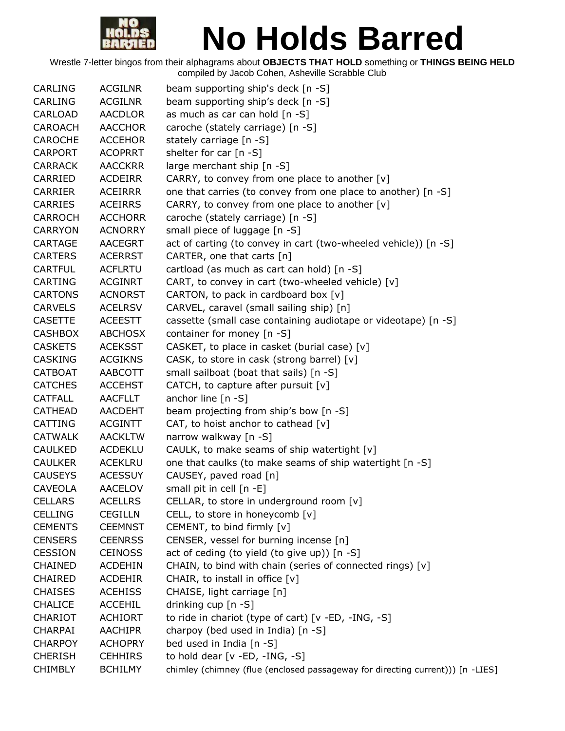

| <b>CARLING</b> | <b>ACGILNR</b> | beam supporting ship's deck [n -S]                                             |
|----------------|----------------|--------------------------------------------------------------------------------|
| <b>CARLING</b> | <b>ACGILNR</b> | beam supporting ship's deck [n -S]                                             |
| CARLOAD        | AACDLOR        | as much as car can hold [n -S]                                                 |
| CAROACH        | <b>AACCHOR</b> | caroche (stately carriage) [n -S]                                              |
| <b>CAROCHE</b> | <b>ACCEHOR</b> | stately carriage [n -S]                                                        |
| <b>CARPORT</b> | <b>ACOPRRT</b> | shelter for car [n -S]                                                         |
| <b>CARRACK</b> | <b>AACCKRR</b> | large merchant ship [n -S]                                                     |
| CARRIED        | <b>ACDEIRR</b> | CARRY, to convey from one place to another [v]                                 |
| <b>CARRIER</b> | <b>ACEIRRR</b> | one that carries (to convey from one place to another) [n -S]                  |
| <b>CARRIES</b> | <b>ACEIRRS</b> | CARRY, to convey from one place to another [v]                                 |
| <b>CARROCH</b> | <b>ACCHORR</b> | caroche (stately carriage) [n -S]                                              |
| <b>CARRYON</b> | <b>ACNORRY</b> | small piece of luggage [n -S]                                                  |
| CARTAGE        | <b>AACEGRT</b> | act of carting (to convey in cart (two-wheeled vehicle)) [n -S]                |
| <b>CARTERS</b> | <b>ACERRST</b> | CARTER, one that carts [n]                                                     |
| <b>CARTFUL</b> | <b>ACFLRTU</b> | cartload (as much as cart can hold) [n -S]                                     |
| <b>CARTING</b> | <b>ACGINRT</b> | CART, to convey in cart (two-wheeled vehicle) [v]                              |
| <b>CARTONS</b> | <b>ACNORST</b> | CARTON, to pack in cardboard box $[v]$                                         |
| <b>CARVELS</b> | <b>ACELRSV</b> | CARVEL, caravel (small sailing ship) [n]                                       |
| <b>CASETTE</b> | <b>ACEESTT</b> | cassette (small case containing audiotape or videotape) [n -S]                 |
| <b>CASHBOX</b> | <b>ABCHOSX</b> | container for money [n -S]                                                     |
| <b>CASKETS</b> | <b>ACEKSST</b> | CASKET, to place in casket (burial case) [v]                                   |
| <b>CASKING</b> | <b>ACGIKNS</b> | CASK, to store in cask (strong barrel) [v]                                     |
| <b>CATBOAT</b> | AABCOTT        | small sailboat (boat that sails) [n -S]                                        |
| <b>CATCHES</b> | <b>ACCEHST</b> | CATCH, to capture after pursuit [v]                                            |
| <b>CATFALL</b> | <b>AACFLLT</b> | anchor line $[n -S]$                                                           |
| <b>CATHEAD</b> | AACDEHT        | beam projecting from ship's bow [n -S]                                         |
| CATTING        | <b>ACGINTT</b> | CAT, to hoist anchor to cathead $[v]$                                          |
| <b>CATWALK</b> | <b>AACKLTW</b> | narrow walkway [n -S]                                                          |
| <b>CAULKED</b> | <b>ACDEKLU</b> | CAULK, to make seams of ship watertight [v]                                    |
| <b>CAULKER</b> | <b>ACEKLRU</b> | one that caulks (to make seams of ship watertight [n -S]                       |
| <b>CAUSEYS</b> | <b>ACESSUY</b> | CAUSEY, paved road [n]                                                         |
| <b>CAVEOLA</b> | <b>AACELOV</b> | small pit in cell [n -E]                                                       |
| <b>CELLARS</b> | <b>ACELLRS</b> | CELLAR, to store in underground room [v]                                       |
| <b>CELLING</b> | <b>CEGILLN</b> | CELL, to store in honeycomb [v]                                                |
| <b>CEMENTS</b> | <b>CEEMNST</b> | CEMENT, to bind firmly [v]                                                     |
| <b>CENSERS</b> | <b>CEENRSS</b> | CENSER, vessel for burning incense [n]                                         |
| <b>CESSION</b> | <b>CEINOSS</b> | act of ceding (to yield (to give up)) [n -S]                                   |
| <b>CHAINED</b> | <b>ACDEHIN</b> | CHAIN, to bind with chain (series of connected rings) [v]                      |
| <b>CHAIRED</b> | <b>ACDEHIR</b> | CHAIR, to install in office [v]                                                |
| <b>CHAISES</b> | <b>ACEHISS</b> | CHAISE, light carriage [n]                                                     |
| <b>CHALICE</b> | <b>ACCEHIL</b> | drinking cup [n -S]                                                            |
| <b>CHARIOT</b> | <b>ACHIORT</b> | to ride in chariot (type of cart) [v -ED, -ING, -S]                            |
| <b>CHARPAI</b> | <b>AACHIPR</b> | charpoy (bed used in India) [n -S]                                             |
| <b>CHARPOY</b> | <b>ACHOPRY</b> | bed used in India [n -S]                                                       |
| <b>CHERISH</b> | <b>CEHHIRS</b> | to hold dear [v -ED, -ING, -S]                                                 |
| <b>CHIMBLY</b> | <b>BCHILMY</b> | chimley (chimney (flue (enclosed passageway for directing current))) [n -LIES] |
|                |                |                                                                                |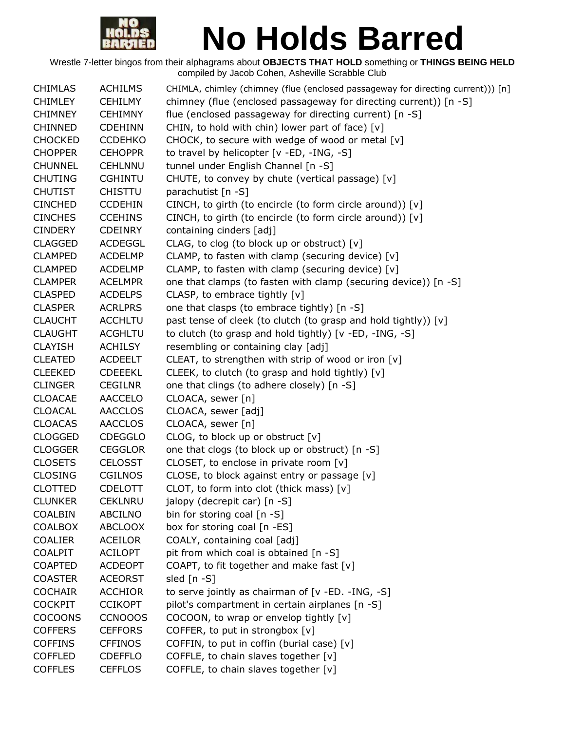

| <b>CHIMLAS</b> | <b>ACHILMS</b> | CHIMLA, chimley (chimney (flue (enclosed passageway for directing current))) [n] |
|----------------|----------------|----------------------------------------------------------------------------------|
| <b>CHIMLEY</b> | <b>CEHILMY</b> | chimney (flue (enclosed passageway for directing current)) [n -S]                |
| <b>CHIMNEY</b> | <b>CEHIMNY</b> | flue (enclosed passageway for directing current) [n -S]                          |
| <b>CHINNED</b> | <b>CDEHINN</b> | CHIN, to hold with chin) lower part of face) [v]                                 |
| <b>CHOCKED</b> | <b>CCDEHKO</b> | CHOCK, to secure with wedge of wood or metal [v]                                 |
| <b>CHOPPER</b> | <b>CEHOPPR</b> | to travel by helicopter [v -ED, -ING, -S]                                        |
| <b>CHUNNEL</b> | <b>CEHLNNU</b> | tunnel under English Channel [n -S]                                              |
| <b>CHUTING</b> | <b>CGHINTU</b> | CHUTE, to convey by chute (vertical passage) [v]                                 |
| <b>CHUTIST</b> | <b>CHISTTU</b> | parachutist [n -S]                                                               |
| <b>CINCHED</b> | <b>CCDEHIN</b> | CINCH, to girth (to encircle (to form circle around)) [v]                        |
| <b>CINCHES</b> | <b>CCEHINS</b> | CINCH, to girth (to encircle (to form circle around)) [v]                        |
| <b>CINDERY</b> | <b>CDEINRY</b> | containing cinders [adj]                                                         |
| <b>CLAGGED</b> | <b>ACDEGGL</b> | CLAG, to clog (to block up or obstruct) [v]                                      |
| <b>CLAMPED</b> | <b>ACDELMP</b> | CLAMP, to fasten with clamp (securing device) [v]                                |
| <b>CLAMPED</b> | <b>ACDELMP</b> | CLAMP, to fasten with clamp (securing device) [v]                                |
| <b>CLAMPER</b> | <b>ACELMPR</b> | one that clamps (to fasten with clamp (securing device)) [n -S]                  |
| <b>CLASPED</b> | <b>ACDELPS</b> | CLASP, to embrace tightly [v]                                                    |
| <b>CLASPER</b> | <b>ACRLPRS</b> | one that clasps (to embrace tightly) [n -S]                                      |
| <b>CLAUCHT</b> | <b>ACCHLTU</b> | past tense of cleek (to clutch (to grasp and hold tightly)) [v]                  |
| <b>CLAUGHT</b> | <b>ACGHLTU</b> | to clutch (to grasp and hold tightly) [v -ED, -ING, -S]                          |
| <b>CLAYISH</b> | <b>ACHILSY</b> | resembling or containing clay [adj]                                              |
| <b>CLEATED</b> | <b>ACDEELT</b> | CLEAT, to strengthen with strip of wood or iron [v]                              |
| <b>CLEEKED</b> | <b>CDEEEKL</b> | CLEEK, to clutch (to grasp and hold tightly) [v]                                 |
| <b>CLINGER</b> | <b>CEGILNR</b> | one that clings (to adhere closely) [n -S]                                       |
| <b>CLOACAE</b> | <b>AACCELO</b> | CLOACA, sewer [n]                                                                |
| <b>CLOACAL</b> | <b>AACCLOS</b> | CLOACA, sewer [adj]                                                              |
| <b>CLOACAS</b> | <b>AACCLOS</b> | CLOACA, sewer [n]                                                                |
| <b>CLOGGED</b> | <b>CDEGGLO</b> | CLOG, to block up or obstruct $[v]$                                              |
| <b>CLOGGER</b> | <b>CEGGLOR</b> | one that clogs (to block up or obstruct) [n -S]                                  |
| <b>CLOSETS</b> | <b>CELOSST</b> | CLOSET, to enclose in private room [v]                                           |
| <b>CLOSING</b> | <b>CGILNOS</b> | CLOSE, to block against entry or passage [v]                                     |
| <b>CLOTTED</b> | <b>CDELOTT</b> | CLOT, to form into clot (thick mass) [v]                                         |
| <b>CLUNKER</b> | <b>CEKLNRU</b> | jalopy (decrepit car) [n -S]                                                     |
| COALBIN        | <b>ABCILNO</b> | bin for storing coal $[n - S]$                                                   |
| <b>COALBOX</b> | <b>ABCLOOX</b> | box for storing coal [n -ES]                                                     |
| <b>COALIER</b> | <b>ACEILOR</b> | COALY, containing coal [adj]                                                     |
| <b>COALPIT</b> | <b>ACILOPT</b> | pit from which coal is obtained [n -S]                                           |
| <b>COAPTED</b> | <b>ACDEOPT</b> | COAPT, to fit together and make fast [v]                                         |
| <b>COASTER</b> | <b>ACEORST</b> | sled $[n - S]$                                                                   |
| <b>COCHAIR</b> | <b>ACCHIOR</b> | to serve jointly as chairman of $[v - ED. -ING, -S]$                             |
| <b>COCKPIT</b> | <b>CCIKOPT</b> | pilot's compartment in certain airplanes [n -S]                                  |
| <b>COCOONS</b> | <b>CCNOOOS</b> | COCOON, to wrap or envelop tightly [v]                                           |
| <b>COFFERS</b> | <b>CEFFORS</b> | COFFER, to put in strongbox [v]                                                  |
| <b>COFFINS</b> | <b>CFFINOS</b> | COFFIN, to put in coffin (burial case) [v]                                       |
| <b>COFFLED</b> | <b>CDEFFLO</b> | COFFLE, to chain slaves together [v]                                             |
| <b>COFFLES</b> | <b>CEFFLOS</b> | COFFLE, to chain slaves together [v]                                             |
|                |                |                                                                                  |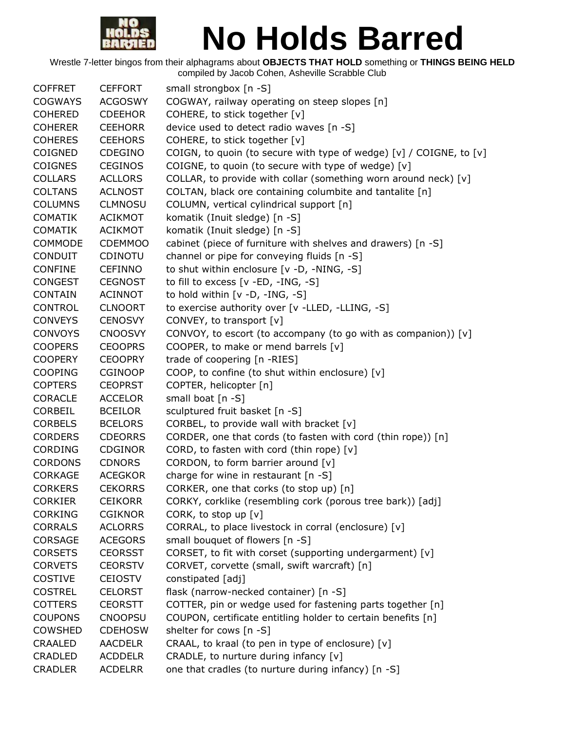

| <b>COFFRET</b> | <b>CEFFORT</b> | small strongbox [n -S]                                              |
|----------------|----------------|---------------------------------------------------------------------|
| <b>COGWAYS</b> | <b>ACGOSWY</b> | COGWAY, railway operating on steep slopes [n]                       |
| <b>COHERED</b> | <b>CDEEHOR</b> | COHERE, to stick together [v]                                       |
| <b>COHERER</b> | <b>CEEHORR</b> | device used to detect radio waves [n -S]                            |
| <b>COHERES</b> | <b>CEEHORS</b> | COHERE, to stick together [v]                                       |
| <b>COIGNED</b> | CDEGINO        | COIGN, to quoin (to secure with type of wedge) [v] / COIGNE, to [v] |
| <b>COIGNES</b> | <b>CEGINOS</b> | COIGNE, to quoin (to secure with type of wedge) [v]                 |
| <b>COLLARS</b> | <b>ACLLORS</b> | COLLAR, to provide with collar (something worn around neck) [v]     |
| <b>COLTANS</b> | <b>ACLNOST</b> | COLTAN, black ore containing columbite and tantalite [n]            |
| <b>COLUMNS</b> | <b>CLMNOSU</b> | COLUMN, vertical cylindrical support [n]                            |
| <b>COMATIK</b> | <b>ACIKMOT</b> | komatik (Inuit sledge) [n -S]                                       |
| <b>COMATIK</b> | <b>ACIKMOT</b> | komatik (Inuit sledge) [n -S]                                       |
| <b>COMMODE</b> | <b>CDEMMOO</b> | cabinet (piece of furniture with shelves and drawers) [n -S]        |
| <b>CONDUIT</b> | <b>CDINOTU</b> | channel or pipe for conveying fluids [n -S]                         |
| <b>CONFINE</b> | <b>CEFINNO</b> | to shut within enclosure [v -D, -NING, -S]                          |
| <b>CONGEST</b> | <b>CEGNOST</b> | to fill to excess [v -ED, -ING, -S]                                 |
| <b>CONTAIN</b> | <b>ACINNOT</b> | to hold within [v -D, -ING, -S]                                     |
| <b>CONTROL</b> | <b>CLNOORT</b> | to exercise authority over [v -LLED, -LLING, -S]                    |
| <b>CONVEYS</b> | <b>CENOSVY</b> | CONVEY, to transport [v]                                            |
| <b>CONVOYS</b> | <b>CNOOSVY</b> | CONVOY, to escort (to accompany (to go with as companion)) [v]      |
| <b>COOPERS</b> | <b>CEOOPRS</b> | COOPER, to make or mend barrels [v]                                 |
| <b>COOPERY</b> | <b>CEOOPRY</b> | trade of coopering [n -RIES]                                        |
| <b>COOPING</b> | <b>CGINOOP</b> | COOP, to confine (to shut within enclosure) [v]                     |
| <b>COPTERS</b> | <b>CEOPRST</b> | COPTER, helicopter [n]                                              |
| <b>CORACLE</b> | <b>ACCELOR</b> | small boat [n -S]                                                   |
| <b>CORBEIL</b> | <b>BCEILOR</b> | sculptured fruit basket [n -S]                                      |
| <b>CORBELS</b> | <b>BCELORS</b> | CORBEL, to provide wall with bracket [v]                            |
| <b>CORDERS</b> | <b>CDEORRS</b> | CORDER, one that cords (to fasten with cord (thin rope)) [n]        |
| <b>CORDING</b> | <b>CDGINOR</b> | CORD, to fasten with cord (thin rope) [v]                           |
| <b>CORDONS</b> | <b>CDNORS</b>  | CORDON, to form barrier around [v]                                  |
| <b>CORKAGE</b> | <b>ACEGKOR</b> | charge for wine in restaurant [n -S]                                |
| <b>CORKERS</b> | <b>CEKORRS</b> | CORKER, one that corks (to stop up) [n]                             |
| <b>CORKIER</b> | <b>CEIKORR</b> | CORKY, corklike (resembling cork (porous tree bark)) [adj]          |
| <b>CORKING</b> | <b>CGIKNOR</b> | CORK, to stop up [v]                                                |
| <b>CORRALS</b> | <b>ACLORRS</b> | CORRAL, to place livestock in corral (enclosure) [v]                |
| <b>CORSAGE</b> | <b>ACEGORS</b> | small bouquet of flowers [n -S]                                     |
| <b>CORSETS</b> | <b>CEORSST</b> | CORSET, to fit with corset (supporting undergarment) [v]            |
| <b>CORVETS</b> | <b>CEORSTV</b> | CORVET, corvette (small, swift warcraft) [n]                        |
| <b>COSTIVE</b> | <b>CEIOSTV</b> | constipated [adj]                                                   |
| <b>COSTREL</b> | <b>CELORST</b> | flask (narrow-necked container) [n -S]                              |
| <b>COTTERS</b> | <b>CEORSTT</b> | COTTER, pin or wedge used for fastening parts together [n]          |
| <b>COUPONS</b> | <b>CNOOPSU</b> | COUPON, certificate entitling holder to certain benefits [n]        |
| <b>COWSHED</b> | <b>CDEHOSW</b> | shelter for cows [n -S]                                             |
| CRAALED        | <b>AACDELR</b> | CRAAL, to kraal (to pen in type of enclosure) [v]                   |
| CRADLED        | <b>ACDDELR</b> | CRADLE, to nurture during infancy [v]                               |
| <b>CRADLER</b> | <b>ACDELRR</b> | one that cradles (to nurture during infancy) [n -S]                 |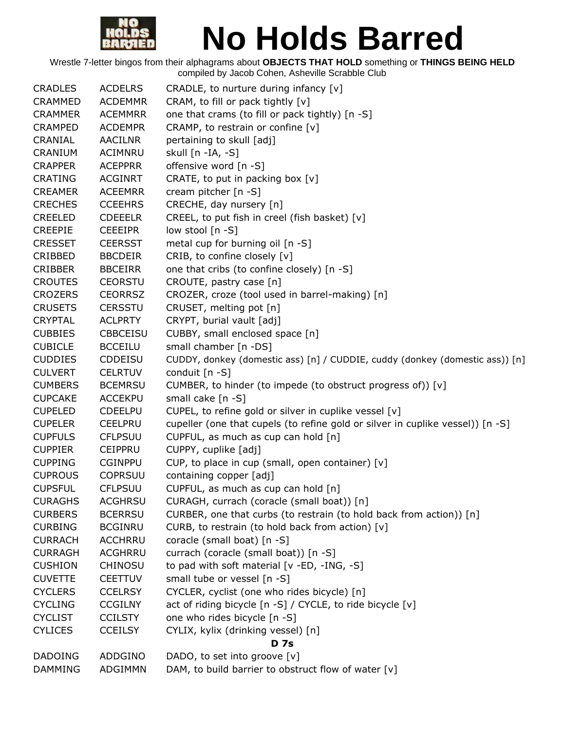

| <b>CRADLES</b> | <b>ACDELRS</b>  | CRADLE, to nurture during infancy $[v]$                                        |
|----------------|-----------------|--------------------------------------------------------------------------------|
| <b>CRAMMED</b> | <b>ACDEMMR</b>  | CRAM, to fill or pack tightly [v]                                              |
| <b>CRAMMER</b> | <b>ACEMMRR</b>  | one that crams (to fill or pack tightly) [n -S]                                |
| <b>CRAMPED</b> | <b>ACDEMPR</b>  | CRAMP, to restrain or confine [v]                                              |
| CRANIAL        | <b>AACILNR</b>  | pertaining to skull [adj]                                                      |
| CRANIUM        | ACIMNRU         | skull [n -IA, -S]                                                              |
| <b>CRAPPER</b> | <b>ACEPPRR</b>  | offensive word [n -S]                                                          |
| <b>CRATING</b> | <b>ACGINRT</b>  | CRATE, to put in packing box $[v]$                                             |
| <b>CREAMER</b> | <b>ACEEMRR</b>  | cream pitcher [n -S]                                                           |
| <b>CRECHES</b> | <b>CCEEHRS</b>  | CRECHE, day nursery [n]                                                        |
| <b>CREELED</b> | <b>CDEEELR</b>  | CREEL, to put fish in creel (fish basket) [v]                                  |
| <b>CREEPIE</b> | <b>CEEEIPR</b>  | low stool [n -S]                                                               |
| <b>CRESSET</b> | <b>CEERSST</b>  | metal cup for burning oil [n -S]                                               |
| CRIBBED        | <b>BBCDEIR</b>  | CRIB, to confine closely [v]                                                   |
| <b>CRIBBER</b> | <b>BBCEIRR</b>  | one that cribs (to confine closely) [n -S]                                     |
| <b>CROUTES</b> | <b>CEORSTU</b>  | CROUTE, pastry case [n]                                                        |
| <b>CROZERS</b> | <b>CEORRSZ</b>  | CROZER, croze (tool used in barrel-making) [n]                                 |
| <b>CRUSETS</b> | <b>CERSSTU</b>  | CRUSET, melting pot [n]                                                        |
| <b>CRYPTAL</b> | <b>ACLPRTY</b>  | CRYPT, burial vault [adj]                                                      |
| <b>CUBBIES</b> | <b>CBBCEISU</b> | CUBBY, small enclosed space [n]                                                |
| <b>CUBICLE</b> | <b>BCCEILU</b>  | small chamber [n -DS]                                                          |
| <b>CUDDIES</b> | CDDEISU         | CUDDY, donkey (domestic ass) [n] / CUDDIE, cuddy (donkey (domestic ass)) [n]   |
| <b>CULVERT</b> | <b>CELRTUV</b>  | conduit [n -S]                                                                 |
| <b>CUMBERS</b> | <b>BCEMRSU</b>  | CUMBER, to hinder (to impede (to obstruct progress of)) [v]                    |
| <b>CUPCAKE</b> | <b>ACCEKPU</b>  | small cake [n -S]                                                              |
| <b>CUPELED</b> | <b>CDEELPU</b>  | CUPEL, to refine gold or silver in cuplike vessel [v]                          |
| <b>CUPELER</b> | <b>CEELPRU</b>  | cupeller (one that cupels (to refine gold or silver in cuplike vessel)) [n -S] |
| <b>CUPFULS</b> | <b>CFLPSUU</b>  | CUPFUL, as much as cup can hold [n]                                            |
| <b>CUPPIER</b> | <b>CEIPPRU</b>  | CUPPY, cuplike [adj]                                                           |
| <b>CUPPING</b> | <b>CGINPPU</b>  | CUP, to place in cup (small, open container) [v]                               |
| <b>CUPROUS</b> | <b>COPRSUU</b>  | containing copper [adj]                                                        |
| <b>CUPSFUL</b> | <b>CFLPSUU</b>  | CUPFUL, as much as cup can hold [n]                                            |
| <b>CURAGHS</b> | <b>ACGHRSU</b>  | CURAGH, currach (coracle (small boat)) [n]                                     |
| <b>CURBERS</b> | <b>BCERRSU</b>  | CURBER, one that curbs (to restrain (to hold back from action)) [n]            |
| <b>CURBING</b> | <b>BCGINRU</b>  | CURB, to restrain (to hold back from action) [v]                               |
| <b>CURRACH</b> | <b>ACCHRRU</b>  | coracle (small boat) [n -S]                                                    |
| <b>CURRAGH</b> | <b>ACGHRRU</b>  | currach (coracle (small boat)) [n -S]                                          |
| <b>CUSHION</b> | <b>CHINOSU</b>  | to pad with soft material [v -ED, -ING, -S]                                    |
| <b>CUVETTE</b> | <b>CEETTUV</b>  | small tube or vessel [n -S]                                                    |
| <b>CYCLERS</b> | <b>CCELRSY</b>  | CYCLER, cyclist (one who rides bicycle) [n]                                    |
| <b>CYCLING</b> | <b>CCGILNY</b>  | act of riding bicycle [n -S] / CYCLE, to ride bicycle [v]                      |
| <b>CYCLIST</b> | <b>CCILSTY</b>  | one who rides bicycle [n -S]                                                   |
| <b>CYLICES</b> | <b>CCEILSY</b>  | CYLIX, kylix (drinking vessel) [n]                                             |
|                |                 | <b>D</b> 7s                                                                    |
| <b>DADOING</b> | ADDGINO         | DADO, to set into groove [v]                                                   |
| <b>DAMMING</b> | ADGIMMN         | DAM, to build barrier to obstruct flow of water [v]                            |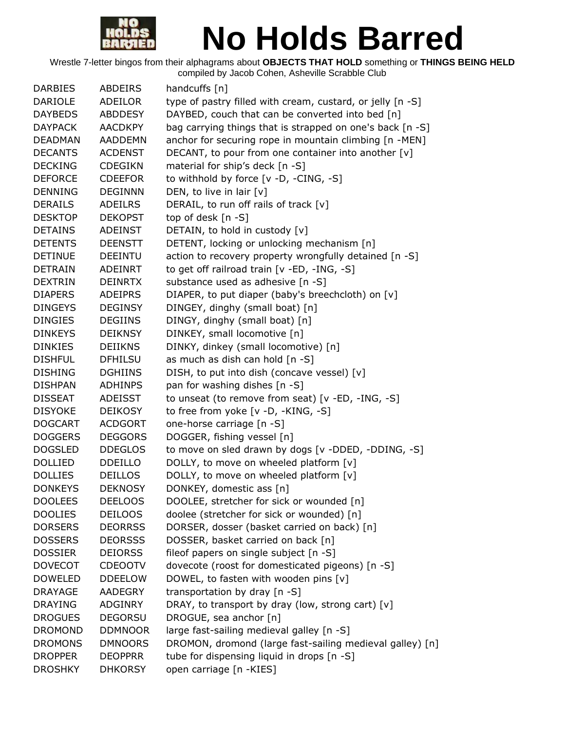

| <b>DARBIES</b> | <b>ABDEIRS</b> | handcuffs [n]                                              |
|----------------|----------------|------------------------------------------------------------|
| <b>DARIOLE</b> | ADEILOR        | type of pastry filled with cream, custard, or jelly [n -S] |
| <b>DAYBEDS</b> | <b>ABDDESY</b> | DAYBED, couch that can be converted into bed [n]           |
| <b>DAYPACK</b> | <b>AACDKPY</b> | bag carrying things that is strapped on one's back [n -S]  |
| <b>DEADMAN</b> | <b>AADDEMN</b> | anchor for securing rope in mountain climbing [n -MEN]     |
| <b>DECANTS</b> | <b>ACDENST</b> | DECANT, to pour from one container into another [v]        |
| <b>DECKING</b> | <b>CDEGIKN</b> | material for ship's deck [n -S]                            |
| <b>DEFORCE</b> | <b>CDEEFOR</b> | to withhold by force [v -D, -CING, -S]                     |
| <b>DENNING</b> | <b>DEGINNN</b> | DEN, to live in lair $[v]$                                 |
| <b>DERAILS</b> | <b>ADEILRS</b> | DERAIL, to run off rails of track [v]                      |
| <b>DESKTOP</b> | <b>DEKOPST</b> | top of desk $[n - S]$                                      |
| <b>DETAINS</b> | <b>ADEINST</b> | DETAIN, to hold in custody [v]                             |
| <b>DETENTS</b> | <b>DEENSTT</b> | DETENT, locking or unlocking mechanism [n]                 |
| <b>DETINUE</b> | <b>DEEINTU</b> | action to recovery property wrongfully detained [n -S]     |
| <b>DETRAIN</b> | <b>ADEINRT</b> | to get off railroad train [v -ED, -ING, -S]                |
| <b>DEXTRIN</b> | <b>DEINRTX</b> | substance used as adhesive [n -S]                          |
| <b>DIAPERS</b> | <b>ADEIPRS</b> | DIAPER, to put diaper (baby's breechcloth) on [v]          |
| <b>DINGEYS</b> | <b>DEGINSY</b> | DINGEY, dinghy (small boat) [n]                            |
| <b>DINGIES</b> | <b>DEGIINS</b> | DINGY, dinghy (small boat) [n]                             |
| <b>DINKEYS</b> | <b>DEIKNSY</b> | DINKEY, small locomotive [n]                               |
| <b>DINKIES</b> | <b>DEIIKNS</b> | DINKY, dinkey (small locomotive) [n]                       |
| <b>DISHFUL</b> | <b>DFHILSU</b> | as much as dish can hold [n -S]                            |
| <b>DISHING</b> | <b>DGHIINS</b> | DISH, to put into dish (concave vessel) [v]                |
| <b>DISHPAN</b> | <b>ADHINPS</b> | pan for washing dishes [n -S]                              |
| <b>DISSEAT</b> | <b>ADEISST</b> | to unseat (to remove from seat) [v -ED, -ING, -S]          |
| <b>DISYOKE</b> | <b>DEIKOSY</b> | to free from yoke [v -D, -KING, -S]                        |
| <b>DOGCART</b> | <b>ACDGORT</b> | one-horse carriage [n -S]                                  |
| <b>DOGGERS</b> | <b>DEGGORS</b> | DOGGER, fishing vessel [n]                                 |
| <b>DOGSLED</b> | <b>DDEGLOS</b> | to move on sled drawn by dogs [v -DDED, -DDING, -S]        |
| <b>DOLLIED</b> | <b>DDEILLO</b> | DOLLY, to move on wheeled platform [v]                     |
| <b>DOLLIES</b> | <b>DEILLOS</b> | DOLLY, to move on wheeled platform [v]                     |
| <b>DONKEYS</b> | <b>DEKNOSY</b> | DONKEY, domestic ass [n]                                   |
| <b>DOOLEES</b> | <b>DEELOOS</b> | DOOLEE, stretcher for sick or wounded [n]                  |
| <b>DOOLIES</b> | <b>DEILOOS</b> | doolee (stretcher for sick or wounded) [n]                 |
| <b>DORSERS</b> | <b>DEORRSS</b> | DORSER, dosser (basket carried on back) [n]                |
| <b>DOSSERS</b> | <b>DEORSSS</b> | DOSSER, basket carried on back [n]                         |
| <b>DOSSIER</b> | <b>DEIORSS</b> | fileof papers on single subject [n -S]                     |
| <b>DOVECOT</b> | <b>CDEOOTV</b> | dovecote (roost for domesticated pigeons) [n -S]           |
| <b>DOWELED</b> | <b>DDEELOW</b> | DOWEL, to fasten with wooden pins [v]                      |
| <b>DRAYAGE</b> | <b>AADEGRY</b> | transportation by dray [n -S]                              |
| <b>DRAYING</b> | ADGINRY        | DRAY, to transport by dray (low, strong cart) [v]          |
| <b>DROGUES</b> | <b>DEGORSU</b> | DROGUE, sea anchor [n]                                     |
| <b>DROMOND</b> | <b>DDMNOOR</b> | large fast-sailing medieval galley [n -S]                  |
| <b>DROMONS</b> | <b>DMNOORS</b> | DROMON, dromond (large fast-sailing medieval galley) [n]   |
| <b>DROPPER</b> | <b>DEOPPRR</b> | tube for dispensing liquid in drops [n -S]                 |
| <b>DROSHKY</b> | <b>DHKORSY</b> | open carriage [n -KIES]                                    |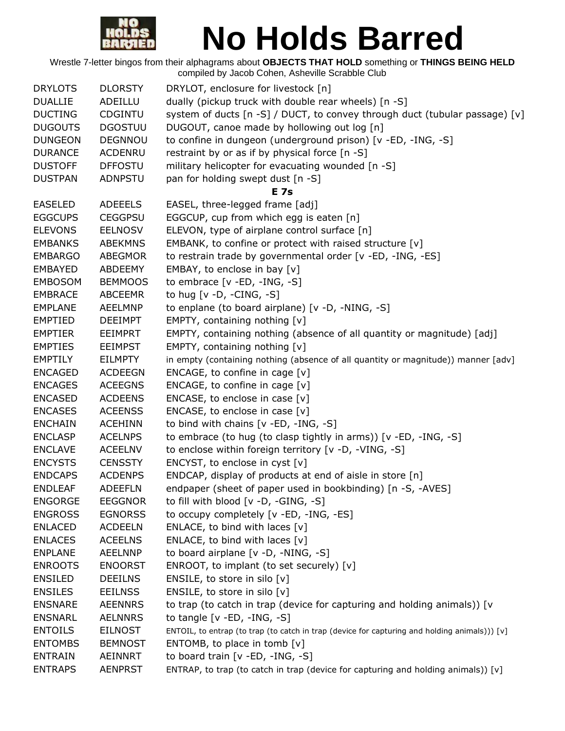

| <b>DRYLOTS</b> | <b>DLORSTY</b> | DRYLOT, enclosure for livestock [n]                                                                     |
|----------------|----------------|---------------------------------------------------------------------------------------------------------|
| <b>DUALLIE</b> | ADEILLU        | dually (pickup truck with double rear wheels) [n -S]                                                    |
| <b>DUCTING</b> | CDGINTU        | system of ducts [n -S] / DUCT, to convey through duct (tubular passage) [v]                             |
| <b>DUGOUTS</b> | <b>DGOSTUU</b> | DUGOUT, canoe made by hollowing out log [n]                                                             |
| <b>DUNGEON</b> | <b>DEGNNOU</b> | to confine in dungeon (underground prison) [v -ED, -ING, -S]                                            |
| <b>DURANCE</b> | <b>ACDENRU</b> | restraint by or as if by physical force [n -S]                                                          |
| <b>DUSTOFF</b> | <b>DFFOSTU</b> | military helicopter for evacuating wounded [n -S]                                                       |
| <b>DUSTPAN</b> | <b>ADNPSTU</b> | pan for holding swept dust [n -S]                                                                       |
|                |                | <b>E</b> 7s                                                                                             |
| <b>EASELED</b> | <b>ADEEELS</b> | EASEL, three-legged frame [adj]                                                                         |
| <b>EGGCUPS</b> | <b>CEGGPSU</b> | EGGCUP, cup from which egg is eaten [n]                                                                 |
| <b>ELEVONS</b> | <b>EELNOSV</b> | ELEVON, type of airplane control surface [n]                                                            |
| <b>EMBANKS</b> | <b>ABEKMNS</b> | EMBANK, to confine or protect with raised structure [v]                                                 |
| <b>EMBARGO</b> | <b>ABEGMOR</b> | to restrain trade by governmental order [v -ED, -ING, -ES]                                              |
| <b>EMBAYED</b> | ABDEEMY        | EMBAY, to enclose in bay [v]                                                                            |
| <b>EMBOSOM</b> | <b>BEMMOOS</b> | to embrace $[v - ED, -ING, -S]$                                                                         |
| <b>EMBRACE</b> | <b>ABCEEMR</b> | to hug [ $v$ -D, -CING, -S]                                                                             |
| <b>EMPLANE</b> | <b>AEELMNP</b> | to enplane (to board airplane) [v -D, -NING, -S]                                                        |
| <b>EMPTIED</b> | <b>DEEIMPT</b> | EMPTY, containing nothing [v]                                                                           |
| <b>EMPTIER</b> |                |                                                                                                         |
|                | EEIMPRT        | EMPTY, containing nothing (absence of all quantity or magnitude) [adj]<br>EMPTY, containing nothing [v] |
| <b>EMPTIES</b> | EEIMPST        |                                                                                                         |
| <b>EMPTILY</b> | <b>EILMPTY</b> | in empty (containing nothing (absence of all quantity or magnitude)) manner [adv]                       |
| <b>ENCAGED</b> | <b>ACDEEGN</b> | ENCAGE, to confine in cage $[v]$                                                                        |
| <b>ENCAGES</b> | <b>ACEEGNS</b> | ENCAGE, to confine in cage $[v]$                                                                        |
| <b>ENCASED</b> | <b>ACDEENS</b> | ENCASE, to enclose in case $[v]$                                                                        |
| <b>ENCASES</b> | <b>ACEENSS</b> | ENCASE, to enclose in case $[v]$                                                                        |
| <b>ENCHAIN</b> | <b>ACEHINN</b> | to bind with chains [v -ED, -ING, -S]                                                                   |
| <b>ENCLASP</b> | <b>ACELNPS</b> | to embrace (to hug (to clasp tightly in arms)) [v -ED, -ING, -S]                                        |
| <b>ENCLAVE</b> | <b>ACEELNV</b> | to enclose within foreign territory [v -D, -VING, -S]                                                   |
| <b>ENCYSTS</b> | <b>CENSSTY</b> | ENCYST, to enclose in cyst [v]                                                                          |
| <b>ENDCAPS</b> | <b>ACDENPS</b> | ENDCAP, display of products at end of aisle in store [n]                                                |
| <b>ENDLEAF</b> | <b>ADEEFLN</b> | endpaper (sheet of paper used in bookbinding) [n -S, -AVES]                                             |
| <b>ENGORGE</b> | <b>EEGGNOR</b> | to fill with blood [v -D, -GING, -S]                                                                    |
| <b>ENGROSS</b> | <b>EGNORSS</b> | to occupy completely [v -ED, -ING, -ES]                                                                 |
| <b>ENLACED</b> | <b>ACDEELN</b> | ENLACE, to bind with laces $[v]$                                                                        |
| <b>ENLACES</b> | <b>ACEELNS</b> | ENLACE, to bind with laces $[v]$                                                                        |
| <b>ENPLANE</b> | <b>AEELNNP</b> | to board airplane [v -D, -NING, -S]                                                                     |
| <b>ENROOTS</b> | <b>ENOORST</b> | ENROOT, to implant (to set securely) [v]                                                                |
| <b>ENSILED</b> | <b>DEEILNS</b> | ENSILE, to store in silo [v]                                                                            |
| <b>ENSILES</b> | <b>EEILNSS</b> | ENSILE, to store in silo [v]                                                                            |
| <b>ENSNARE</b> | <b>AEENNRS</b> | to trap (to catch in trap (device for capturing and holding animals)) [v                                |
| <b>ENSNARL</b> | <b>AELNNRS</b> | to tangle $[v - ED, -ING, -S]$                                                                          |
| <b>ENTOILS</b> | <b>EILNOST</b> | ENTOIL, to entrap (to trap (to catch in trap (device for capturing and holding animals))) [v]           |
| <b>ENTOMBS</b> | <b>BEMNOST</b> | ENTOMB, to place in tomb $[v]$                                                                          |
| <b>ENTRAIN</b> | AEINNRT        | to board train [v -ED, -ING, -S]                                                                        |
| <b>ENTRAPS</b> | <b>AENPRST</b> | ENTRAP, to trap (to catch in trap (device for capturing and holding animals)) [v]                       |
|                |                |                                                                                                         |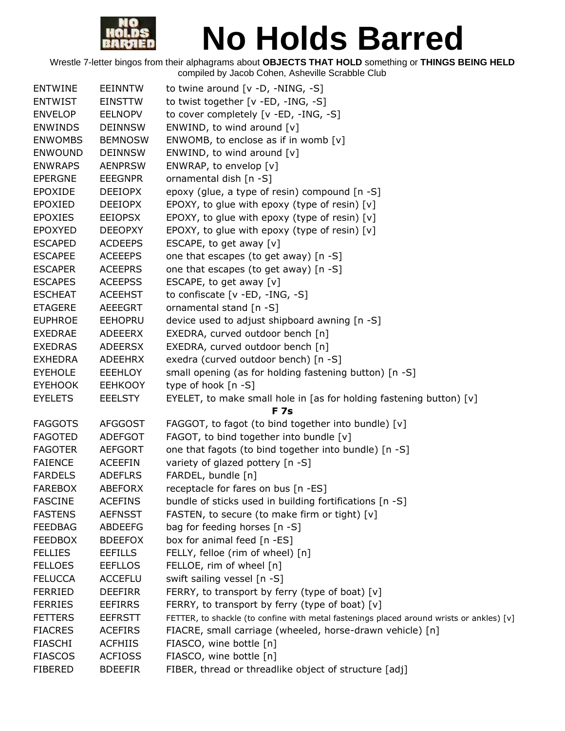

| <b>ENTWINE</b> | <b>EEINNTW</b> | to twine around $[v -D, -NING, -S]$                                                      |
|----------------|----------------|------------------------------------------------------------------------------------------|
| <b>ENTWIST</b> | <b>EINSTTW</b> | to twist together [v -ED, -ING, -S]                                                      |
| <b>ENVELOP</b> | <b>EELNOPV</b> | to cover completely [v -ED, -ING, -S]                                                    |
| <b>ENWINDS</b> | <b>DEINNSW</b> | ENWIND, to wind around [v]                                                               |
| <b>ENWOMBS</b> | <b>BEMNOSW</b> | ENWOMB, to enclose as if in womb $[v]$                                                   |
| <b>ENWOUND</b> | <b>DEINNSW</b> | ENWIND, to wind around [v]                                                               |
| <b>ENWRAPS</b> | <b>AENPRSW</b> | ENWRAP, to envelop [v]                                                                   |
| <b>EPERGNE</b> | <b>EEEGNPR</b> | ornamental dish [n -S]                                                                   |
| <b>EPOXIDE</b> | <b>DEEIOPX</b> | epoxy (glue, a type of resin) compound [n -S]                                            |
| <b>EPOXIED</b> | <b>DEEIOPX</b> | EPOXY, to glue with epoxy (type of resin) [v]                                            |
| <b>EPOXIES</b> | <b>EEIOPSX</b> | EPOXY, to glue with epoxy (type of resin) [v]                                            |
| <b>EPOXYED</b> | <b>DEEOPXY</b> | EPOXY, to glue with epoxy (type of resin) [v]                                            |
| <b>ESCAPED</b> | <b>ACDEEPS</b> | ESCAPE, to get away [v]                                                                  |
| <b>ESCAPEE</b> | <b>ACEEEPS</b> | one that escapes (to get away) [n -S]                                                    |
| <b>ESCAPER</b> | <b>ACEEPRS</b> | one that escapes (to get away) [n -S]                                                    |
| <b>ESCAPES</b> | <b>ACEEPSS</b> | ESCAPE, to get away [v]                                                                  |
| <b>ESCHEAT</b> | <b>ACEEHST</b> | to confiscate [v -ED, -ING, -S]                                                          |
| <b>ETAGERE</b> | <b>AEEEGRT</b> | ornamental stand [n -S]                                                                  |
| <b>EUPHROE</b> | <b>EEHOPRU</b> | device used to adjust shipboard awning [n -S]                                            |
| <b>EXEDRAE</b> | ADEEERX        | EXEDRA, curved outdoor bench [n]                                                         |
| <b>EXEDRAS</b> | <b>ADEERSX</b> | EXEDRA, curved outdoor bench [n]                                                         |
| <b>EXHEDRA</b> | <b>ADEEHRX</b> | exedra (curved outdoor bench) [n -S]                                                     |
| <b>EYEHOLE</b> | <b>EEEHLOY</b> | small opening (as for holding fastening button) [n -S]                                   |
| <b>EYEHOOK</b> | <b>EEHKOOY</b> | type of hook [n -S]                                                                      |
| <b>EYELETS</b> | <b>EEELSTY</b> | EYELET, to make small hole in [as for holding fastening button) [v]                      |
|                |                | <b>F7s</b>                                                                               |
| <b>FAGGOTS</b> | <b>AFGGOST</b> | FAGGOT, to fagot (to bind together into bundle) [v]                                      |
| <b>FAGOTED</b> | <b>ADEFGOT</b> | FAGOT, to bind together into bundle [v]                                                  |
| <b>FAGOTER</b> | <b>AEFGORT</b> | one that fagots (to bind together into bundle) [n -S]                                    |
| <b>FAIENCE</b> | <b>ACEEFIN</b> | variety of glazed pottery [n -S]                                                         |
| <b>FARDELS</b> | <b>ADEFLRS</b> | FARDEL, bundle [n]                                                                       |
| <b>FAREBOX</b> | <b>ABEFORX</b> | receptacle for fares on bus [n -ES]                                                      |
| <b>FASCINE</b> | <b>ACEFINS</b> | bundle of sticks used in building fortifications [n -S]                                  |
| <b>FASTENS</b> | <b>AEFNSST</b> | FASTEN, to secure (to make firm or tight) [v]                                            |
| <b>FEEDBAG</b> | <b>ABDEEFG</b> | bag for feeding horses [n -S]                                                            |
| <b>FEEDBOX</b> | <b>BDEEFOX</b> | box for animal feed [n -ES]                                                              |
| <b>FELLIES</b> | <b>EEFILLS</b> | FELLY, felloe (rim of wheel) [n]                                                         |
| <b>FELLOES</b> | <b>EEFLLOS</b> | FELLOE, rim of wheel [n]                                                                 |
| <b>FELUCCA</b> | <b>ACCEFLU</b> | swift sailing vessel [n -S]                                                              |
| <b>FERRIED</b> | <b>DEEFIRR</b> | FERRY, to transport by ferry (type of boat) [v]                                          |
| <b>FERRIES</b> | <b>EEFIRRS</b> | FERRY, to transport by ferry (type of boat) [v]                                          |
| <b>FETTERS</b> | <b>EEFRSTT</b> | FETTER, to shackle (to confine with metal fastenings placed around wrists or ankles) [v] |
| <b>FIACRES</b> | <b>ACEFIRS</b> | FIACRE, small carriage (wheeled, horse-drawn vehicle) [n]                                |
| <b>FIASCHI</b> | <b>ACFHIIS</b> | FIASCO, wine bottle [n]                                                                  |
| <b>FIASCOS</b> | <b>ACFIOSS</b> | FIASCO, wine bottle [n]                                                                  |
| <b>FIBERED</b> | <b>BDEEFIR</b> | FIBER, thread or threadlike object of structure [adj]                                    |
|                |                |                                                                                          |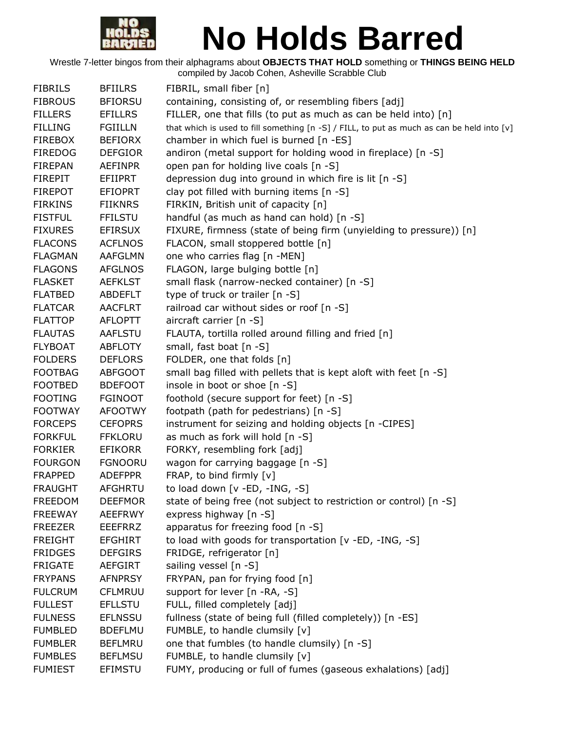

| <b>FIBRILS</b> | <b>BFIILRS</b> | FIBRIL, small fiber [n]                                                                    |
|----------------|----------------|--------------------------------------------------------------------------------------------|
| <b>FIBROUS</b> | <b>BFIORSU</b> | containing, consisting of, or resembling fibers [adj]                                      |
| <b>FILLERS</b> | <b>EFILLRS</b> | FILLER, one that fills (to put as much as can be held into) [n]                            |
| <b>FILLING</b> | <b>FGIILLN</b> | that which is used to fill something [n -S] / FILL, to put as much as can be held into [v] |
| <b>FIREBOX</b> | <b>BEFIORX</b> | chamber in which fuel is burned [n -ES]                                                    |
| <b>FIREDOG</b> | <b>DEFGIOR</b> | andiron (metal support for holding wood in fireplace) [n -S]                               |
| <b>FIREPAN</b> | <b>AEFINPR</b> | open pan for holding live coals [n -S]                                                     |
| <b>FIREPIT</b> | EFIIPRT        | depression dug into ground in which fire is lit [n -S]                                     |
| <b>FIREPOT</b> | <b>EFIOPRT</b> | clay pot filled with burning items [n -S]                                                  |
| <b>FIRKINS</b> | <b>FIIKNRS</b> | FIRKIN, British unit of capacity [n]                                                       |
| <b>FISTFUL</b> | <b>FFILSTU</b> | handful (as much as hand can hold) [n -S]                                                  |
| <b>FIXURES</b> | <b>EFIRSUX</b> | FIXURE, firmness (state of being firm (unyielding to pressure)) [n]                        |
| <b>FLACONS</b> | <b>ACFLNOS</b> | FLACON, small stoppered bottle [n]                                                         |
| <b>FLAGMAN</b> | AAFGLMN        | one who carries flag [n -MEN]                                                              |
| <b>FLAGONS</b> | <b>AFGLNOS</b> | FLAGON, large bulging bottle [n]                                                           |
| <b>FLASKET</b> | <b>AEFKLST</b> | small flask (narrow-necked container) [n -S]                                               |
| <b>FLATBED</b> | <b>ABDEFLT</b> | type of truck or trailer [n -S]                                                            |
| <b>FLATCAR</b> | <b>AACFLRT</b> | railroad car without sides or roof [n -S]                                                  |
| <b>FLATTOP</b> | <b>AFLOPTT</b> | aircraft carrier $[n - S]$                                                                 |
| <b>FLAUTAS</b> | <b>AAFLSTU</b> | FLAUTA, tortilla rolled around filling and fried [n]                                       |
| <b>FLYBOAT</b> | <b>ABFLOTY</b> | small, fast boat [n -S]                                                                    |
| <b>FOLDERS</b> | <b>DEFLORS</b> | FOLDER, one that folds [n]                                                                 |
| <b>FOOTBAG</b> | <b>ABFGOOT</b> | small bag filled with pellets that is kept aloft with feet [n -S]                          |
| <b>FOOTBED</b> | <b>BDEFOOT</b> | insole in boot or shoe [n -S]                                                              |
| <b>FOOTING</b> | <b>FGINOOT</b> | foothold (secure support for feet) [n -S]                                                  |
| <b>FOOTWAY</b> | <b>AFOOTWY</b> | footpath (path for pedestrians) [n -S]                                                     |
| <b>FORCEPS</b> | <b>CEFOPRS</b> | instrument for seizing and holding objects [n -CIPES]                                      |
| <b>FORKFUL</b> | <b>FFKLORU</b> | as much as fork will hold [n -S]                                                           |
| <b>FORKIER</b> | <b>EFIKORR</b> | FORKY, resembling fork [adj]                                                               |
| <b>FOURGON</b> | <b>FGNOORU</b> | wagon for carrying baggage [n -S]                                                          |
| <b>FRAPPED</b> | <b>ADEFPPR</b> | FRAP, to bind firmly [v]                                                                   |
| <b>FRAUGHT</b> | <b>AFGHRTU</b> | to load down [v -ED, -ING, -S]                                                             |
| <b>FREEDOM</b> | <b>DEEFMOR</b> | state of being free (not subject to restriction or control) [n -S]                         |
| <b>FREEWAY</b> | <b>AEEFRWY</b> | express highway [n -S]                                                                     |
| <b>FREEZER</b> | <b>EEEFRRZ</b> | apparatus for freezing food [n -S]                                                         |
| <b>FREIGHT</b> | <b>EFGHIRT</b> | to load with goods for transportation [v -ED, -ING, -S]                                    |
| <b>FRIDGES</b> | <b>DEFGIRS</b> | FRIDGE, refrigerator [n]                                                                   |
| <b>FRIGATE</b> | AEFGIRT        | sailing vessel [n -S]                                                                      |
| <b>FRYPANS</b> | <b>AFNPRSY</b> | FRYPAN, pan for frying food [n]                                                            |
| <b>FULCRUM</b> | <b>CFLMRUU</b> | support for lever [n -RA, -S]                                                              |
| <b>FULLEST</b> | <b>EFLLSTU</b> | FULL, filled completely [adj]                                                              |
| <b>FULNESS</b> | <b>EFLNSSU</b> | fullness (state of being full (filled completely)) [n -ES]                                 |
| <b>FUMBLED</b> | <b>BDEFLMU</b> | FUMBLE, to handle clumsily [v]                                                             |
| <b>FUMBLER</b> | <b>BEFLMRU</b> | one that fumbles (to handle clumsily) [n -S]                                               |
| <b>FUMBLES</b> | <b>BEFLMSU</b> | FUMBLE, to handle clumsily [v]                                                             |
| <b>FUMIEST</b> | EFIMSTU        | FUMY, producing or full of fumes (gaseous exhalations) [adj]                               |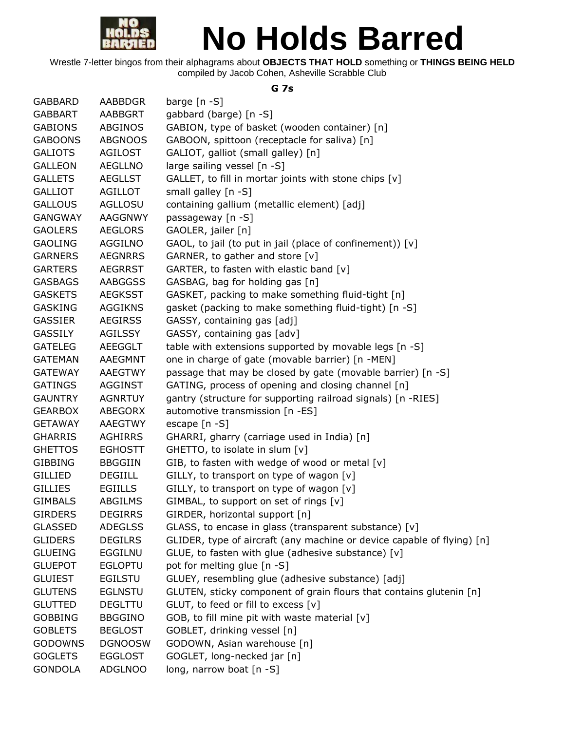

Wrestle 7-letter bingos from their alphagrams about **OBJECTS THAT HOLD** something or **THINGS BEING HELD** compiled by Jacob Cohen, Asheville Scrabble Club

#### **G 7s**

| <b>GABBARD</b> | <b>AABBDGR</b> | barge $[n - S]$                                                        |
|----------------|----------------|------------------------------------------------------------------------|
| <b>GABBART</b> | AABBGRT        | gabbard (barge) [n -S]                                                 |
| <b>GABIONS</b> | ABGINOS        | GABION, type of basket (wooden container) [n]                          |
| <b>GABOONS</b> | <b>ABGNOOS</b> | GABOON, spittoon (receptacle for saliva) [n]                           |
| <b>GALIOTS</b> | <b>AGILOST</b> | GALIOT, galliot (small galley) [n]                                     |
| <b>GALLEON</b> | <b>AEGLLNO</b> | large sailing vessel [n -S]                                            |
| <b>GALLETS</b> | <b>AEGLLST</b> | GALLET, to fill in mortar joints with stone chips [v]                  |
| <b>GALLIOT</b> | <b>AGILLOT</b> | small galley [n -S]                                                    |
| <b>GALLOUS</b> | AGLLOSU        | containing gallium (metallic element) [adj]                            |
| GANGWAY        | AAGGNWY        | passageway [n -S]                                                      |
| <b>GAOLERS</b> | <b>AEGLORS</b> | GAOLER, jailer [n]                                                     |
| <b>GAOLING</b> | AGGILNO        | GAOL, to jail (to put in jail (place of confinement)) [v]              |
| <b>GARNERS</b> | <b>AEGNRRS</b> | GARNER, to gather and store [v]                                        |
| <b>GARTERS</b> | <b>AEGRRST</b> | GARTER, to fasten with elastic band [v]                                |
| <b>GASBAGS</b> | AABGGSS        | GASBAG, bag for holding gas [n]                                        |
| <b>GASKETS</b> | <b>AEGKSST</b> | GASKET, packing to make something fluid-tight [n]                      |
| <b>GASKING</b> | <b>AGGIKNS</b> | gasket (packing to make something fluid-tight) [n -S]                  |
| <b>GASSIER</b> | <b>AEGIRSS</b> | GASSY, containing gas [adj]                                            |
| <b>GASSILY</b> | <b>AGILSSY</b> | GASSY, containing gas [adv]                                            |
| <b>GATELEG</b> | AEEGGLT        | table with extensions supported by movable legs [n -S]                 |
| <b>GATEMAN</b> | AAEGMNT        | one in charge of gate (movable barrier) [n -MEN]                       |
| <b>GATEWAY</b> | AAEGTWY        | passage that may be closed by gate (movable barrier) [n -S]            |
| <b>GATINGS</b> | AGGINST        | GATING, process of opening and closing channel [n]                     |
| <b>GAUNTRY</b> | <b>AGNRTUY</b> | gantry (structure for supporting railroad signals) [n -RIES]           |
| <b>GEARBOX</b> | ABEGORX        | automotive transmission [n -ES]                                        |
| <b>GETAWAY</b> | AAEGTWY        | escape $[n - S]$                                                       |
| <b>GHARRIS</b> | <b>AGHIRRS</b> | GHARRI, gharry (carriage used in India) [n]                            |
| <b>GHETTOS</b> | <b>EGHOSTT</b> | GHETTO, to isolate in slum [v]                                         |
| <b>GIBBING</b> | <b>BBGGIIN</b> | GIB, to fasten with wedge of wood or metal [v]                         |
| <b>GILLIED</b> | <b>DEGIILL</b> | GILLY, to transport on type of wagon $[v]$                             |
| <b>GILLIES</b> | <b>EGIILLS</b> | GILLY, to transport on type of wagon [v]                               |
| <b>GIMBALS</b> | ABGILMS        | GIMBAL, to support on set of rings [v]                                 |
| <b>GIRDERS</b> | <b>DEGIRRS</b> | GIRDER, horizontal support [n]                                         |
| <b>GLASSED</b> | <b>ADEGLSS</b> | GLASS, to encase in glass (transparent substance) [v]                  |
| <b>GLIDERS</b> | <b>DEGILRS</b> | GLIDER, type of aircraft (any machine or device capable of flying) [n] |
| <b>GLUEING</b> | <b>EGGILNU</b> | GLUE, to fasten with glue (adhesive substance) [v]                     |
| <b>GLUEPOT</b> | <b>EGLOPTU</b> | pot for melting glue [n -S]                                            |
| <b>GLUIEST</b> | <b>EGILSTU</b> | GLUEY, resembling glue (adhesive substance) [adj]                      |
| <b>GLUTENS</b> | <b>EGLNSTU</b> | GLUTEN, sticky component of grain flours that contains glutenin [n]    |
| <b>GLUTTED</b> | <b>DEGLTTU</b> | GLUT, to feed or fill to excess [v]                                    |
| <b>GOBBING</b> | <b>BBGGINO</b> | GOB, to fill mine pit with waste material [v]                          |
| <b>GOBLETS</b> | <b>BEGLOST</b> | GOBLET, drinking vessel [n]                                            |
| <b>GODOWNS</b> | <b>DGNOOSW</b> | GODOWN, Asian warehouse [n]                                            |
| <b>GOGLETS</b> | <b>EGGLOST</b> | GOGLET, long-necked jar [n]                                            |
| <b>GONDOLA</b> | <b>ADGLNOO</b> | long, narrow boat [n -S]                                               |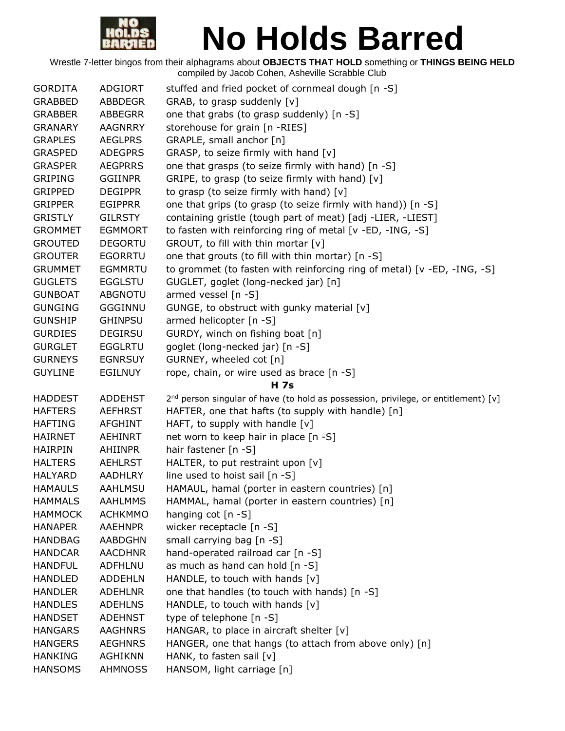

| <b>GORDITA</b> | <b>ADGIORT</b> | stuffed and fried pocket of cornmeal dough [n -S]                                    |
|----------------|----------------|--------------------------------------------------------------------------------------|
| <b>GRABBED</b> | <b>ABBDEGR</b> | GRAB, to grasp suddenly [v]                                                          |
| <b>GRABBER</b> | <b>ABBEGRR</b> | one that grabs (to grasp suddenly) [n -S]                                            |
| <b>GRANARY</b> | <b>AAGNRRY</b> | storehouse for grain [n -RIES]                                                       |
| <b>GRAPLES</b> | <b>AEGLPRS</b> | GRAPLE, small anchor [n]                                                             |
| <b>GRASPED</b> | <b>ADEGPRS</b> | GRASP, to seize firmly with hand [v]                                                 |
| <b>GRASPER</b> | <b>AEGPRRS</b> | one that grasps (to seize firmly with hand) [n -S]                                   |
| <b>GRIPING</b> | <b>GGIINPR</b> | GRIPE, to grasp (to seize firmly with hand) [v]                                      |
| <b>GRIPPED</b> | <b>DEGIPPR</b> | to grasp (to seize firmly with hand) [v]                                             |
| <b>GRIPPER</b> | <b>EGIPPRR</b> | one that grips (to grasp (to seize firmly with hand)) [n -S]                         |
| <b>GRISTLY</b> | <b>GILRSTY</b> | containing gristle (tough part of meat) [adj -LIER, -LIEST]                          |
| <b>GROMMET</b> | <b>EGMMORT</b> | to fasten with reinforcing ring of metal [v -ED, -ING, -S]                           |
| <b>GROUTED</b> | <b>DEGORTU</b> | GROUT, to fill with thin mortar [v]                                                  |
| <b>GROUTER</b> | <b>EGORRTU</b> | one that grouts (to fill with thin mortar) [n -S]                                    |
| <b>GRUMMET</b> | <b>EGMMRTU</b> | to grommet (to fasten with reinforcing ring of metal) [v -ED, -ING, -S]              |
| <b>GUGLETS</b> | <b>EGGLSTU</b> | GUGLET, goglet (long-necked jar) [n]                                                 |
| <b>GUNBOAT</b> | <b>ABGNOTU</b> | armed vessel [n -S]                                                                  |
| <b>GUNGING</b> | <b>GGGINNU</b> | GUNGE, to obstruct with gunky material [v]                                           |
| <b>GUNSHIP</b> | <b>GHINPSU</b> | armed helicopter [n -S]                                                              |
| <b>GURDIES</b> | <b>DEGIRSU</b> | GURDY, winch on fishing boat [n]                                                     |
| <b>GURGLET</b> | <b>EGGLRTU</b> | goglet (long-necked jar) [n -S]                                                      |
| <b>GURNEYS</b> | <b>EGNRSUY</b> | GURNEY, wheeled cot [n]                                                              |
| <b>GUYLINE</b> | <b>EGILNUY</b> | rope, chain, or wire used as brace [n -S]                                            |
|                |                | <b>H</b> 7s                                                                          |
| <b>HADDEST</b> | <b>ADDEHST</b> | $2nd$ person singular of have (to hold as possession, privilege, or entitlement) [v] |
| <b>HAFTERS</b> | <b>AEFHRST</b> | HAFTER, one that hafts (to supply with handle) [n]                                   |
| <b>HAFTING</b> | <b>AFGHINT</b> | HAFT, to supply with handle $[v]$                                                    |
| <b>HAIRNET</b> | <b>AEHINRT</b> | net worn to keep hair in place [n -S]                                                |
| <b>HAIRPIN</b> | AHIINPR        | hair fastener [n -S]                                                                 |
| <b>HALTERS</b> | <b>AEHLRST</b> | HALTER, to put restraint upon [v]                                                    |
| <b>HALYARD</b> | <b>AADHLRY</b> | line used to hoist sail [n -S]                                                       |
| <b>HAMAULS</b> | AAHLMSU        | HAMAUL, hamal (porter in eastern countries) [n]                                      |
| <b>HAMMALS</b> | <b>AAHLMMS</b> | HAMMAL, hamal (porter in eastern countries) [n]                                      |
| <b>HAMMOCK</b> | <b>ACHKMMO</b> | hanging cot $[n - S]$                                                                |
| <b>HANAPER</b> | <b>AAEHNPR</b> | wicker receptacle [n -S]                                                             |
| <b>HANDBAG</b> | <b>AABDGHN</b> | small carrying bag [n -S]                                                            |
| <b>HANDCAR</b> | <b>AACDHNR</b> | hand-operated railroad car [n -S]                                                    |
| <b>HANDFUL</b> | <b>ADFHLNU</b> | as much as hand can hold [n -S]                                                      |
| <b>HANDLED</b> | <b>ADDEHLN</b> | HANDLE, to touch with hands [v]                                                      |
| <b>HANDLER</b> | <b>ADEHLNR</b> | one that handles (to touch with hands) [n -S]                                        |
| <b>HANDLES</b> | <b>ADEHLNS</b> | HANDLE, to touch with hands [v]                                                      |
| <b>HANDSET</b> | <b>ADEHNST</b> | type of telephone [n -S]                                                             |
| <b>HANGARS</b> | <b>AAGHNRS</b> | HANGAR, to place in aircraft shelter [v]                                             |
| <b>HANGERS</b> |                |                                                                                      |
|                | <b>AEGHNRS</b> | HANGER, one that hangs (to attach from above only) [n]                               |
| <b>HANKING</b> | <b>AGHIKNN</b> | HANK, to fasten sail [v]                                                             |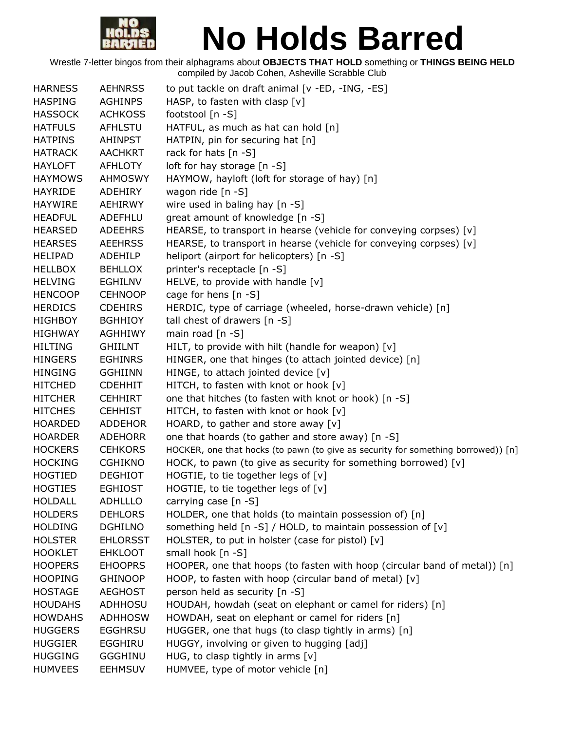

| <b>HARNESS</b> | <b>AEHNRSS</b>  | to put tackle on draft animal [v -ED, -ING, -ES]                                  |
|----------------|-----------------|-----------------------------------------------------------------------------------|
| <b>HASPING</b> | <b>AGHINPS</b>  | HASP, to fasten with clasp $[v]$                                                  |
| <b>HASSOCK</b> | <b>ACHKOSS</b>  | footstool [n -S]                                                                  |
| <b>HATFULS</b> | AFHLSTU         | HATFUL, as much as hat can hold [n]                                               |
| <b>HATPINS</b> | <b>AHINPST</b>  | HATPIN, pin for securing hat [n]                                                  |
| <b>HATRACK</b> | <b>AACHKRT</b>  | rack for hats [n -S]                                                              |
| <b>HAYLOFT</b> | <b>AFHLOTY</b>  | loft for hay storage [n -S]                                                       |
| <b>HAYMOWS</b> | <b>AHMOSWY</b>  | HAYMOW, hayloft (loft for storage of hay) [n]                                     |
| <b>HAYRIDE</b> | <b>ADEHIRY</b>  | wagon ride [n -S]                                                                 |
| <b>HAYWIRE</b> | <b>AEHIRWY</b>  | wire used in baling hay [n -S]                                                    |
| <b>HEADFUL</b> | ADEFHLU         | great amount of knowledge [n -S]                                                  |
| <b>HEARSED</b> | <b>ADEEHRS</b>  | HEARSE, to transport in hearse (vehicle for conveying corpses) [v]                |
| <b>HEARSES</b> | <b>AEEHRSS</b>  | HEARSE, to transport in hearse (vehicle for conveying corpses) [v]                |
| <b>HELIPAD</b> | ADEHILP         | heliport (airport for helicopters) [n -S]                                         |
| <b>HELLBOX</b> | <b>BEHLLOX</b>  | printer's receptacle [n -S]                                                       |
| <b>HELVING</b> | EGHILNV         | HELVE, to provide with handle [v]                                                 |
| <b>HENCOOP</b> | <b>CEHNOOP</b>  | cage for hens [n -S]                                                              |
| <b>HERDICS</b> | <b>CDEHIRS</b>  | HERDIC, type of carriage (wheeled, horse-drawn vehicle) [n]                       |
| <b>HIGHBOY</b> | <b>BGHHIOY</b>  | tall chest of drawers [n -S]                                                      |
| <b>HIGHWAY</b> | <b>AGHHIWY</b>  | main road $[n - S]$                                                               |
| <b>HILTING</b> | <b>GHIILNT</b>  | HILT, to provide with hilt (handle for weapon) $[v]$                              |
| <b>HINGERS</b> | <b>EGHINRS</b>  | HINGER, one that hinges (to attach jointed device) [n]                            |
| <b>HINGING</b> | <b>GGHIINN</b>  | HINGE, to attach jointed device [v]                                               |
| <b>HITCHED</b> | <b>CDEHHIT</b>  | HITCH, to fasten with knot or hook [v]                                            |
| <b>HITCHER</b> | <b>CEHHIRT</b>  | one that hitches (to fasten with knot or hook) [n -S]                             |
| <b>HITCHES</b> | <b>CEHHIST</b>  | HITCH, to fasten with knot or hook [v]                                            |
| <b>HOARDED</b> | <b>ADDEHOR</b>  | HOARD, to gather and store away $[v]$                                             |
| <b>HOARDER</b> | <b>ADEHORR</b>  | one that hoards (to gather and store away) [n -S]                                 |
| <b>HOCKERS</b> | <b>CEHKORS</b>  | HOCKER, one that hocks (to pawn (to give as security for something borrowed)) [n] |
| <b>HOCKING</b> | <b>CGHIKNO</b>  | HOCK, to pawn (to give as security for something borrowed) [v]                    |
| <b>HOGTIED</b> | <b>DEGHIOT</b>  | HOGTIE, to tie together legs of [v]                                               |
| <b>HOGTIES</b> | <b>EGHIOST</b>  | HOGTIE, to tie together legs of [v]                                               |
| <b>HOLDALL</b> | <b>ADHLLLO</b>  | carrying case [n -S]                                                              |
| <b>HOLDERS</b> | <b>DEHLORS</b>  | HOLDER, one that holds (to maintain possession of) [n]                            |
| <b>HOLDING</b> | <b>DGHILNO</b>  | something held [n -S] / HOLD, to maintain possession of [v]                       |
| <b>HOLSTER</b> | <b>EHLORSST</b> | HOLSTER, to put in holster (case for pistol) [v]                                  |
| <b>HOOKLET</b> | <b>EHKLOOT</b>  | small hook [n -S]                                                                 |
| <b>HOOPERS</b> | <b>EHOOPRS</b>  | HOOPER, one that hoops (to fasten with hoop (circular band of metal)) [n]         |
| <b>HOOPING</b> | <b>GHINOOP</b>  | HOOP, to fasten with hoop (circular band of metal) $[v]$                          |
| <b>HOSTAGE</b> | <b>AEGHOST</b>  | person held as security [n -S]                                                    |
| <b>HOUDAHS</b> | <b>ADHHOSU</b>  | HOUDAH, howdah (seat on elephant or camel for riders) [n]                         |
| <b>HOWDAHS</b> | <b>ADHHOSW</b>  | HOWDAH, seat on elephant or camel for riders [n]                                  |
| <b>HUGGERS</b> | <b>EGGHRSU</b>  | HUGGER, one that hugs (to clasp tightly in arms) [n]                              |
| <b>HUGGIER</b> | <b>EGGHIRU</b>  | HUGGY, involving or given to hugging [adj]                                        |
| <b>HUGGING</b> | <b>GGGHINU</b>  | HUG, to clasp tightly in arms $[v]$                                               |
| <b>HUMVEES</b> | <b>EEHMSUV</b>  | HUMVEE, type of motor vehicle [n]                                                 |
|                |                 |                                                                                   |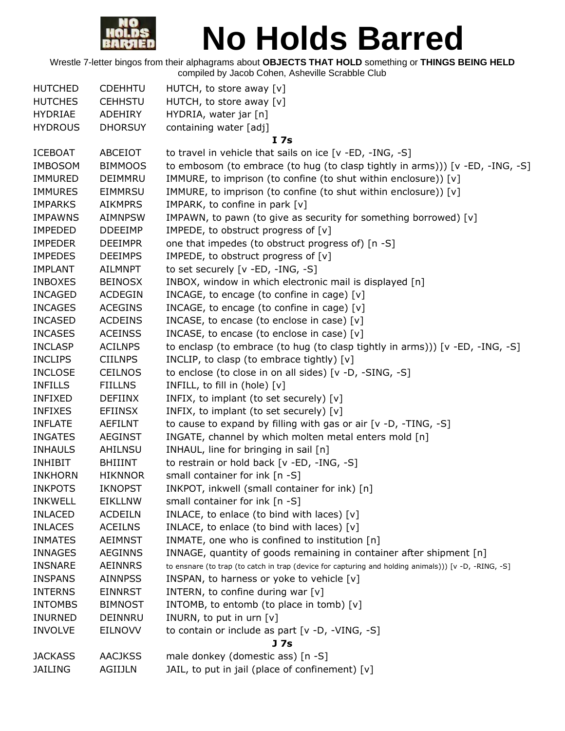

| <b>HUTCHED</b> | <b>CDEHHTU</b> | HUTCH, to store away [v]                                                                             |
|----------------|----------------|------------------------------------------------------------------------------------------------------|
| <b>HUTCHES</b> | <b>CEHHSTU</b> | HUTCH, to store away [v]                                                                             |
| <b>HYDRIAE</b> | ADEHIRY        | HYDRIA, water jar [n]                                                                                |
| <b>HYDROUS</b> | <b>DHORSUY</b> | containing water [adj]                                                                               |
|                |                | I <sub>7s</sub>                                                                                      |
| <b>ICEBOAT</b> | ABCEIOT        | to travel in vehicle that sails on ice [v -ED, -ING, -S]                                             |
| <b>IMBOSOM</b> | <b>BIMMOOS</b> | to embosom (to embrace (to hug (to clasp tightly in arms))) [v -ED, -ING, -S]                        |
| <b>IMMURED</b> | DEIMMRU        | IMMURE, to imprison (to confine (to shut within enclosure)) [v]                                      |
| <b>IMMURES</b> | <b>EIMMRSU</b> | IMMURE, to imprison (to confine (to shut within enclosure)) [v]                                      |
| <b>IMPARKS</b> | <b>AIKMPRS</b> | IMPARK, to confine in park [v]                                                                       |
| <b>IMPAWNS</b> | <b>AIMNPSW</b> | IMPAWN, to pawn (to give as security for something borrowed) [v]                                     |
| <b>IMPEDED</b> | <b>DDEEIMP</b> | IMPEDE, to obstruct progress of [v]                                                                  |
| <b>IMPEDER</b> | <b>DEEIMPR</b> | one that impedes (to obstruct progress of) [n -S]                                                    |
| <b>IMPEDES</b> | <b>DEEIMPS</b> | IMPEDE, to obstruct progress of [v]                                                                  |
| <b>IMPLANT</b> | AILMNPT        | to set securely [v -ED, -ING, -S]                                                                    |
| <b>INBOXES</b> | <b>BEINOSX</b> | INBOX, window in which electronic mail is displayed [n]                                              |
| <b>INCAGED</b> | <b>ACDEGIN</b> | INCAGE, to encage (to confine in cage) [v]                                                           |
| <b>INCAGES</b> | <b>ACEGINS</b> | INCAGE, to encage (to confine in cage) [v]                                                           |
| <b>INCASED</b> | <b>ACDEINS</b> | INCASE, to encase (to enclose in case) [v]                                                           |
| <b>INCASES</b> | <b>ACEINSS</b> | INCASE, to encase (to enclose in case) [v]                                                           |
| <b>INCLASP</b> | <b>ACILNPS</b> | to enclasp (to embrace (to hug (to clasp tightly in arms))) $[v - ED, -ING, -S]$                     |
| <b>INCLIPS</b> | <b>CIILNPS</b> | INCLIP, to clasp (to embrace tightly) [v]                                                            |
| <b>INCLOSE</b> | <b>CEILNOS</b> | to enclose (to close in on all sides) [v -D, -SING, -S]                                              |
| <b>INFILLS</b> | <b>FIILLNS</b> | INFILL, to fill in (hole) [v]                                                                        |
| <b>INFIXED</b> | <b>DEFIINX</b> | INFIX, to implant (to set securely) [v]                                                              |
| <b>INFIXES</b> | <b>EFIINSX</b> | INFIX, to implant (to set securely) [v]                                                              |
| <b>INFLATE</b> | AEFILNT        | to cause to expand by filling with gas or air [v -D, -TING, -S]                                      |
| <b>INGATES</b> | <b>AEGINST</b> | INGATE, channel by which molten metal enters mold [n]                                                |
| <b>INHAULS</b> | AHILNSU        | INHAUL, line for bringing in sail [n]                                                                |
| <b>INHIBIT</b> | <b>BHIIINT</b> | to restrain or hold back [v -ED, -ING, -S]                                                           |
| <b>INKHORN</b> | <b>HIKNNOR</b> | small container for ink [n -S]                                                                       |
| <b>INKPOTS</b> | <b>IKNOPST</b> | INKPOT, inkwell (small container for ink) [n]                                                        |
| <b>INKWELL</b> | <b>EIKLLNW</b> | small container for ink [n -S]                                                                       |
| <b>INLACED</b> | <b>ACDEILN</b> | INLACE, to enlace (to bind with laces) $[v]$                                                         |
| <b>INLACES</b> | <b>ACEILNS</b> | INLACE, to enlace (to bind with laces) [v]                                                           |
| <b>INMATES</b> | <b>AEIMNST</b> | INMATE, one who is confined to institution [n]                                                       |
| <b>INNAGES</b> | <b>AEGINNS</b> | INNAGE, quantity of goods remaining in container after shipment [n]                                  |
| <b>INSNARE</b> | <b>AEINNRS</b> | to ensnare (to trap (to catch in trap (device for capturing and holding animals))) [v -D, -RING, -S] |
| <b>INSPANS</b> | <b>AINNPSS</b> | INSPAN, to harness or yoke to vehicle [v]                                                            |
| <b>INTERNS</b> | <b>EINNRST</b> | INTERN, to confine during war $[v]$                                                                  |
| <b>INTOMBS</b> | <b>BIMNOST</b> | INTOMB, to entomb (to place in tomb) [v]                                                             |
| <b>INURNED</b> | DEINNRU        | INURN, to put in urn $[v]$                                                                           |
| <b>INVOLVE</b> | <b>EILNOVV</b> | to contain or include as part [v -D, -VING, -S]                                                      |
|                |                | J 7s                                                                                                 |
| <b>JACKASS</b> | <b>AACJKSS</b> | male donkey (domestic ass) [n -S]                                                                    |
| <b>JAILING</b> | AGIIJLN        | JAIL, to put in jail (place of confinement) [v]                                                      |
|                |                |                                                                                                      |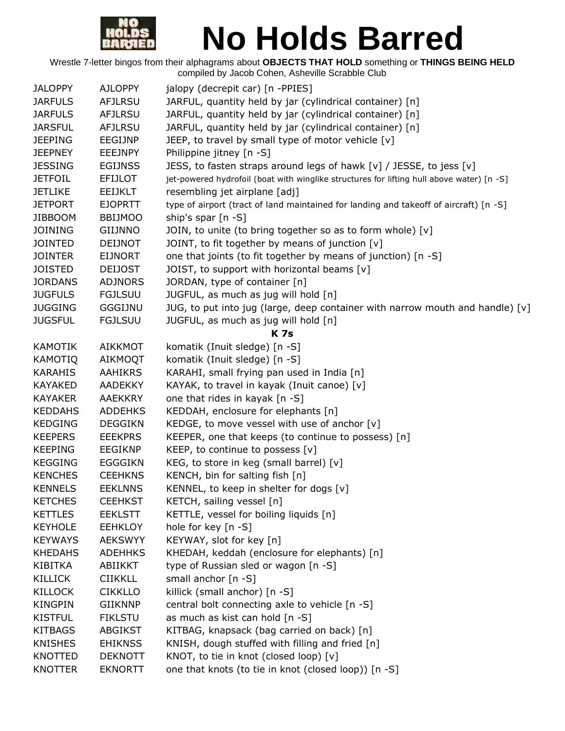

| <b>JALOPPY</b> | <b>AJLOPPY</b> | jalopy (decrepit car) [n -PPIES]                                                          |
|----------------|----------------|-------------------------------------------------------------------------------------------|
| <b>JARFULS</b> | <b>AFJLRSU</b> | JARFUL, quantity held by jar (cylindrical container) [n]                                  |
| <b>JARFULS</b> | <b>AFJLRSU</b> | JARFUL, quantity held by jar (cylindrical container) [n]                                  |
| <b>JARSFUL</b> | <b>AFJLRSU</b> | JARFUL, quantity held by jar (cylindrical container) [n]                                  |
| <b>JEEPING</b> | EEGIJNP        | JEEP, to travel by small type of motor vehicle [v]                                        |
| <b>JEEPNEY</b> | <b>EEEJNPY</b> | Philippine jitney [n -S]                                                                  |
| <b>JESSING</b> | <b>EGIJNSS</b> | JESS, to fasten straps around legs of hawk [v] / JESSE, to jess [v]                       |
| <b>JETFOIL</b> | <b>EFIJLOT</b> | jet-powered hydrofoil (boat with winglike structures for lifting hull above water) [n -S] |
| <b>JETLIKE</b> | <b>EEIJKLT</b> | resembling jet airplane [adj]                                                             |
| <b>JETPORT</b> | <b>EJOPRTT</b> | type of airport (tract of land maintained for landing and takeoff of aircraft) [n -S]     |
| <b>JIBBOOM</b> | <b>BBIJMOO</b> | ship's spar [n -S]                                                                        |
| <b>JOINING</b> | <b>GIIJNNO</b> | JOIN, to unite (to bring together so as to form whole) [v]                                |
| <b>JOINTED</b> | <b>DEIJNOT</b> | JOINT, to fit together by means of junction [v]                                           |
| <b>JOINTER</b> | <b>EIJNORT</b> | one that joints (to fit together by means of junction) [n -S]                             |
| <b>JOISTED</b> | <b>DEIJOST</b> | JOIST, to support with horizontal beams [v]                                               |
| <b>JORDANS</b> | <b>ADJNORS</b> | JORDAN, type of container [n]                                                             |
| <b>JUGFULS</b> | <b>FGJLSUU</b> | JUGFUL, as much as jug will hold [n]                                                      |
| <b>JUGGING</b> | <b>GGGIJNU</b> | JUG, to put into jug (large, deep container with narrow mouth and handle) [v]             |
| <b>JUGSFUL</b> | <b>FGJLSUU</b> | JUGFUL, as much as jug will hold [n]                                                      |
|                |                | <b>K7s</b>                                                                                |
| <b>KAMOTIK</b> | <b>AIKKMOT</b> | komatik (Inuit sledge) [n -S]                                                             |
| <b>KAMOTIQ</b> | AIKMOQT        | komatik (Inuit sledge) [n -S]                                                             |
| <b>KARAHIS</b> | <b>AAHIKRS</b> | KARAHI, small frying pan used in India [n]                                                |
| <b>KAYAKED</b> | <b>AADEKKY</b> | KAYAK, to travel in kayak (Inuit canoe) [v]                                               |
| <b>KAYAKER</b> | <b>AAEKKRY</b> | one that rides in kayak [n -S]                                                            |
| <b>KEDDAHS</b> | <b>ADDEHKS</b> | KEDDAH, enclosure for elephants [n]                                                       |
| <b>KEDGING</b> | <b>DEGGIKN</b> | KEDGE, to move vessel with use of anchor [v]                                              |
| <b>KEEPERS</b> | <b>EEEKPRS</b> | KEEPER, one that keeps (to continue to possess) [n]                                       |
| <b>KEEPING</b> | <b>EEGIKNP</b> | KEEP, to continue to possess [v]                                                          |
| <b>KEGGING</b> | <b>EGGGIKN</b> | KEG, to store in keg (small barrel) [v]                                                   |
| <b>KENCHES</b> | <b>CEEHKNS</b> | KENCH, bin for salting fish [n]                                                           |
| <b>KENNELS</b> | <b>EEKLNNS</b> | KENNEL, to keep in shelter for dogs [v]                                                   |
| <b>KETCHES</b> | <b>CEEHKST</b> | KETCH, sailing vessel [n]                                                                 |
| <b>KETTLES</b> | <b>EEKLSTT</b> | KETTLE, vessel for boiling liquids [n]                                                    |
| <b>KEYHOLE</b> | <b>EEHKLOY</b> | hole for key [n -S]                                                                       |
| <b>KEYWAYS</b> | <b>AEKSWYY</b> | KEYWAY, slot for key [n]                                                                  |
| <b>KHEDAHS</b> | <b>ADEHHKS</b> | KHEDAH, keddah (enclosure for elephants) [n]                                              |
| <b>KIBITKA</b> | ABIIKKT        | type of Russian sled or wagon [n -S]                                                      |
| <b>KILLICK</b> | <b>CIIKKLL</b> | small anchor [n -S]                                                                       |
| <b>KILLOCK</b> | <b>CIKKLLO</b> | killick (small anchor) [n -S]                                                             |
| <b>KINGPIN</b> | <b>GIIKNNP</b> | central bolt connecting axle to vehicle [n -S]                                            |
| <b>KISTFUL</b> | <b>FIKLSTU</b> | as much as kist can hold [n -S]                                                           |
| <b>KITBAGS</b> | ABGIKST        | KITBAG, knapsack (bag carried on back) [n]                                                |
| <b>KNISHES</b> | <b>EHIKNSS</b> | KNISH, dough stuffed with filling and fried [n]                                           |
| KNOTTED        | <b>DEKNOTT</b> | KNOT, to tie in knot (closed loop) [v]                                                    |
| <b>KNOTTER</b> | <b>EKNORTT</b> | one that knots (to tie in knot (closed loop)) [n -S]                                      |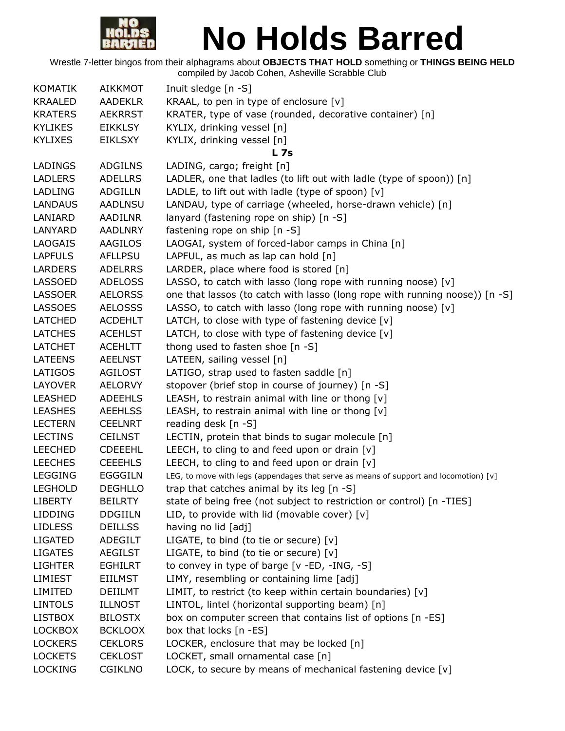

| <b>KOMATIK</b> | <b>AIKKMOT</b> | Inuit sledge [n -S]                                                                   |
|----------------|----------------|---------------------------------------------------------------------------------------|
| <b>KRAALED</b> | <b>AADEKLR</b> | KRAAL, to pen in type of enclosure [v]                                                |
| <b>KRATERS</b> | <b>AEKRRST</b> | KRATER, type of vase (rounded, decorative container) [n]                              |
| <b>KYLIKES</b> | <b>EIKKLSY</b> | KYLIX, drinking vessel [n]                                                            |
| <b>KYLIXES</b> | <b>EIKLSXY</b> | KYLIX, drinking vessel [n]                                                            |
|                |                | <b>L</b> 7s                                                                           |
| LADINGS        | <b>ADGILNS</b> | LADING, cargo; freight [n]                                                            |
| <b>LADLERS</b> | <b>ADELLRS</b> | LADLER, one that ladles (to lift out with ladle (type of spoon)) [n]                  |
| <b>LADLING</b> | <b>ADGILLN</b> | LADLE, to lift out with ladle (type of spoon) [v]                                     |
| <b>LANDAUS</b> | <b>AADLNSU</b> | LANDAU, type of carriage (wheeled, horse-drawn vehicle) [n]                           |
| LANIARD        | <b>AADILNR</b> | lanyard (fastening rope on ship) [n -S]                                               |
| LANYARD        | <b>AADLNRY</b> | fastening rope on ship [n -S]                                                         |
| <b>LAOGAIS</b> | AAGILOS        | LAOGAI, system of forced-labor camps in China [n]                                     |
| <b>LAPFULS</b> | <b>AFLLPSU</b> | LAPFUL, as much as lap can hold [n]                                                   |
| <b>LARDERS</b> | <b>ADELRRS</b> | LARDER, place where food is stored [n]                                                |
| LASSOED        | <b>ADELOSS</b> | LASSO, to catch with lasso (long rope with running noose) $[v]$                       |
| <b>LASSOER</b> | <b>AELORSS</b> | one that lassos (to catch with lasso (long rope with running noose)) [n -S]           |
| <b>LASSOES</b> | <b>AELOSSS</b> | LASSO, to catch with lasso (long rope with running noose) [v]                         |
| <b>LATCHED</b> | <b>ACDEHLT</b> | LATCH, to close with type of fastening device $[v]$                                   |
| <b>LATCHES</b> | <b>ACEHLST</b> | LATCH, to close with type of fastening device $[v]$                                   |
| <b>LATCHET</b> | <b>ACEHLTT</b> | thong used to fasten shoe [n -S]                                                      |
| <b>LATEENS</b> | <b>AEELNST</b> | LATEEN, sailing vessel [n]                                                            |
| LATIGOS        | <b>AGILOST</b> | LATIGO, strap used to fasten saddle [n]                                               |
| <b>LAYOVER</b> | <b>AELORVY</b> | stopover (brief stop in course of journey) [n -S]                                     |
| <b>LEASHED</b> | <b>ADEEHLS</b> | LEASH, to restrain animal with line or thong $[v]$                                    |
| <b>LEASHES</b> | <b>AEEHLSS</b> | LEASH, to restrain animal with line or thong $[v]$                                    |
| <b>LECTERN</b> | <b>CEELNRT</b> | reading desk [n -S]                                                                   |
| <b>LECTINS</b> | <b>CEILNST</b> | LECTIN, protein that binds to sugar molecule [n]                                      |
| <b>LEECHED</b> | <b>CDEEEHL</b> | LEECH, to cling to and feed upon or drain $[v]$                                       |
| <b>LEECHES</b> | <b>CEEEHLS</b> | LEECH, to cling to and feed upon or drain $[v]$                                       |
| <b>LEGGING</b> | <b>EGGGILN</b> | LEG, to move with legs (appendages that serve as means of support and locomotion) [v] |
| <b>LEGHOLD</b> | <b>DEGHLLO</b> | trap that catches animal by its leg [n -S]                                            |
| <b>LIBERTY</b> | <b>BEILRTY</b> | state of being free (not subject to restriction or control) [n -TIES]                 |
| <b>LIDDING</b> | <b>DDGIILN</b> | LID, to provide with lid (movable cover) $[v]$                                        |
| <b>LIDLESS</b> | <b>DEILLSS</b> | having no lid [adj]                                                                   |
| <b>LIGATED</b> | ADEGILT        | LIGATE, to bind (to tie or secure) $[v]$                                              |
| <b>LIGATES</b> | <b>AEGILST</b> | LIGATE, to bind (to tie or secure) $[v]$                                              |
| <b>LIGHTER</b> | <b>EGHILRT</b> | to convey in type of barge [v -ED, -ING, -S]                                          |
| LIMIEST        | <b>EIILMST</b> | LIMY, resembling or containing lime [adj]                                             |
| LIMITED        | <b>DEIILMT</b> | LIMIT, to restrict (to keep within certain boundaries) [v]                            |
| <b>LINTOLS</b> | <b>ILLNOST</b> | LINTOL, lintel (horizontal supporting beam) [n]                                       |
| <b>LISTBOX</b> | <b>BILOSTX</b> | box on computer screen that contains list of options [n -ES]                          |
| <b>LOCKBOX</b> | <b>BCKLOOX</b> | box that locks [n -ES]                                                                |
| <b>LOCKERS</b> | <b>CEKLORS</b> | LOCKER, enclosure that may be locked [n]                                              |
| <b>LOCKETS</b> | <b>CEKLOST</b> | LOCKET, small ornamental case [n]                                                     |
| <b>LOCKING</b> | <b>CGIKLNO</b> | LOCK, to secure by means of mechanical fastening device [v]                           |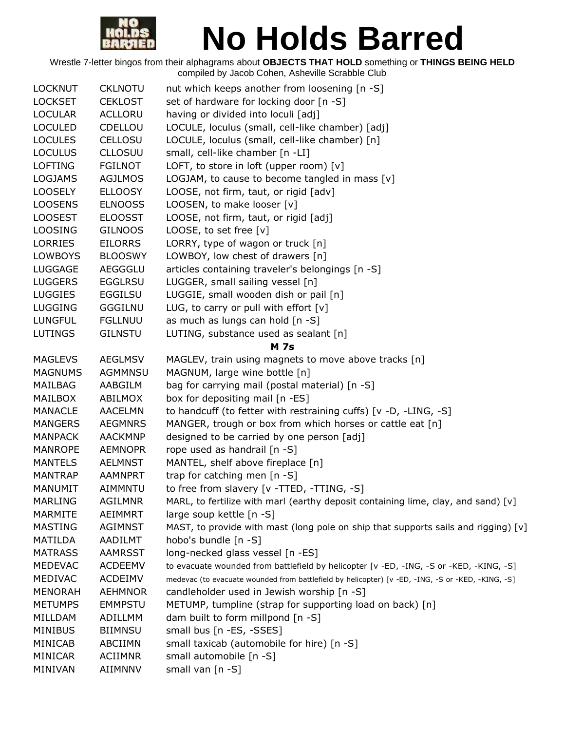

| <b>LOCKNUT</b> | <b>CKLNOTU</b> | nut which keeps another from loosening [n -S]                                                     |
|----------------|----------------|---------------------------------------------------------------------------------------------------|
| <b>LOCKSET</b> | <b>CEKLOST</b> | set of hardware for locking door [n -S]                                                           |
| <b>LOCULAR</b> | <b>ACLLORU</b> | having or divided into loculi [adj]                                                               |
| <b>LOCULED</b> | CDELLOU        | LOCULE, loculus (small, cell-like chamber) [adj]                                                  |
| <b>LOCULES</b> | <b>CELLOSU</b> | LOCULE, loculus (small, cell-like chamber) [n]                                                    |
| <b>LOCULUS</b> | <b>CLLOSUU</b> | small, cell-like chamber [n -LI]                                                                  |
| <b>LOFTING</b> | <b>FGILNOT</b> | LOFT, to store in loft (upper room) [v]                                                           |
| <b>LOGJAMS</b> | <b>AGJLMOS</b> | LOGJAM, to cause to become tangled in mass $[v]$                                                  |
| <b>LOOSELY</b> | <b>ELLOOSY</b> | LOOSE, not firm, taut, or rigid [adv]                                                             |
| <b>LOOSENS</b> | <b>ELNOOSS</b> | LOOSEN, to make looser [v]                                                                        |
| <b>LOOSEST</b> | <b>ELOOSST</b> | LOOSE, not firm, taut, or rigid [adj]                                                             |
| <b>LOOSING</b> | <b>GILNOOS</b> | LOOSE, to set free [v]                                                                            |
| LORRIES        | <b>EILORRS</b> | LORRY, type of wagon or truck [n]                                                                 |
| <b>LOWBOYS</b> | <b>BLOOSWY</b> | LOWBOY, low chest of drawers [n]                                                                  |
| <b>LUGGAGE</b> | <b>AEGGGLU</b> | articles containing traveler's belongings [n -S]                                                  |
| <b>LUGGERS</b> | <b>EGGLRSU</b> | LUGGER, small sailing vessel [n]                                                                  |
| <b>LUGGIES</b> | <b>EGGILSU</b> | LUGGIE, small wooden dish or pail [n]                                                             |
| <b>LUGGING</b> | <b>GGGILNU</b> | LUG, to carry or pull with effort $[v]$                                                           |
| <b>LUNGFUL</b> | <b>FGLLNUU</b> | as much as lungs can hold [n -S]                                                                  |
| LUTINGS        | <b>GILNSTU</b> | LUTING, substance used as sealant [n]                                                             |
|                |                | <b>M</b> 7s                                                                                       |
| <b>MAGLEVS</b> | <b>AEGLMSV</b> | MAGLEV, train using magnets to move above tracks [n]                                              |
| <b>MAGNUMS</b> | AGMMNSU        | MAGNUM, large wine bottle [n]                                                                     |
| MAILBAG        | AABGILM        | bag for carrying mail (postal material) [n -S]                                                    |
| MAILBOX        | ABILMOX        | box for depositing mail [n -ES]                                                                   |
| <b>MANACLE</b> | <b>AACELMN</b> | to handcuff (to fetter with restraining cuffs) [v -D, -LING, -S]                                  |
| <b>MANGERS</b> | <b>AEGMNRS</b> | MANGER, trough or box from which horses or cattle eat [n]                                         |
| <b>MANPACK</b> | <b>AACKMNP</b> | designed to be carried by one person [adj]                                                        |
| <b>MANROPE</b> | <b>AEMNOPR</b> | rope used as handrail [n -S]                                                                      |
| <b>MANTELS</b> | <b>AELMNST</b> | MANTEL, shelf above fireplace [n]                                                                 |
| <b>MANTRAP</b> | <b>AAMNPRT</b> | trap for catching men [n -S]                                                                      |
| <b>MANUMIT</b> | AIMMNTU        | to free from slavery [v -TTED, -TTING, -S]                                                        |
| <b>MARLING</b> | <b>AGILMNR</b> | MARL, to fertilize with marl (earthy deposit containing lime, clay, and sand) [v]                 |
| <b>MARMITE</b> | AEIMMRT        | large soup kettle [n -S]                                                                          |
| <b>MASTING</b> | <b>AGIMNST</b> | MAST, to provide with mast (long pole on ship that supports sails and rigging) [v]                |
| MATILDA        | AADILMT        | hobo's bundle [n -S]                                                                              |
| <b>MATRASS</b> | <b>AAMRSST</b> | long-necked glass vessel [n -ES]                                                                  |
| <b>MEDEVAC</b> | <b>ACDEEMV</b> | to evacuate wounded from battlefield by helicopter [v -ED, -ING, -S or -KED, -KING, -S]           |
| MEDIVAC        | <b>ACDEIMV</b> | medevac (to evacuate wounded from battlefield by helicopter) [v -ED, -ING, -S or -KED, -KING, -S] |
| <b>MENORAH</b> | <b>AEHMNOR</b> | candleholder used in Jewish worship [n -S]                                                        |
| <b>METUMPS</b> | <b>EMMPSTU</b> | METUMP, tumpline (strap for supporting load on back) [n]                                          |
| MILLDAM        | ADILLMM        | dam built to form millpond [n -S]                                                                 |
| <b>MINIBUS</b> | <b>BIIMNSU</b> | small bus [n -ES, -SSES]                                                                          |
| MINICAB        | ABCIIMN        | small taxicab (automobile for hire) [n -S]                                                        |
| MINICAR        | <b>ACIIMNR</b> | small automobile [n -S]                                                                           |
| MINIVAN        | AIIMNNV        | small van [n -S]                                                                                  |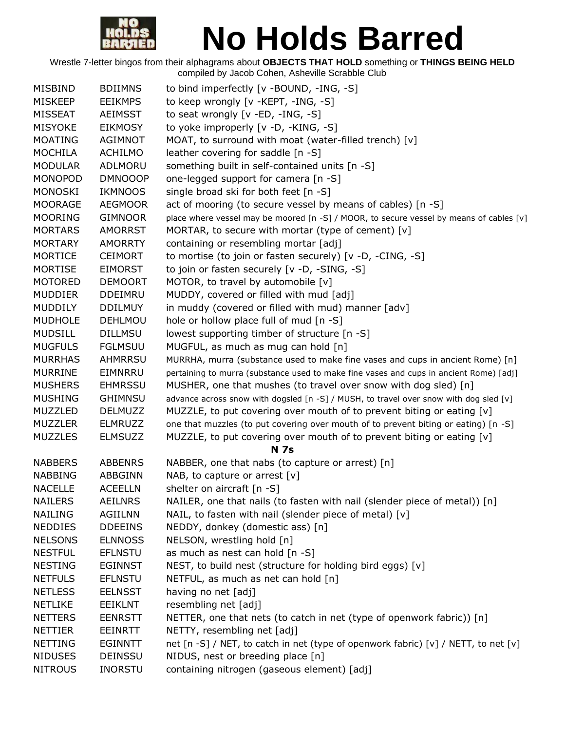

| <b>MISBIND</b> | <b>BDIIMNS</b> | to bind imperfectly [v -BOUND, -ING, -S]                                                |
|----------------|----------------|-----------------------------------------------------------------------------------------|
| <b>MISKEEP</b> | <b>EEIKMPS</b> | to keep wrongly [v -KEPT, -ING, -S]                                                     |
| <b>MISSEAT</b> | <b>AEIMSST</b> | to seat wrongly [v -ED, -ING, -S]                                                       |
| <b>MISYOKE</b> | <b>EIKMOSY</b> | to yoke improperly [v -D, -KING, -S]                                                    |
| <b>MOATING</b> | <b>AGIMNOT</b> | MOAT, to surround with moat (water-filled trench) [v]                                   |
| <b>MOCHILA</b> | <b>ACHILMO</b> | leather covering for saddle [n -S]                                                      |
| <b>MODULAR</b> | ADLMORU        | something built in self-contained units [n -S]                                          |
| <b>MONOPOD</b> | <b>DMNOOOP</b> | one-legged support for camera [n -S]                                                    |
| <b>MONOSKI</b> | <b>IKMNOOS</b> | single broad ski for both feet [n -S]                                                   |
| <b>MOORAGE</b> | <b>AEGMOOR</b> | act of mooring (to secure vessel by means of cables) [n -S]                             |
| <b>MOORING</b> | <b>GIMNOOR</b> | place where vessel may be moored [n -S] / MOOR, to secure vessel by means of cables [v] |
| <b>MORTARS</b> | <b>AMORRST</b> | MORTAR, to secure with mortar (type of cement) [v]                                      |
| <b>MORTARY</b> | <b>AMORRTY</b> | containing or resembling mortar [adj]                                                   |
| <b>MORTICE</b> | <b>CEIMORT</b> | to mortise (to join or fasten securely) [v -D, -CING, -S]                               |
| <b>MORTISE</b> | <b>EIMORST</b> | to join or fasten securely [v -D, -SING, -S]                                            |
| <b>MOTORED</b> | <b>DEMOORT</b> | MOTOR, to travel by automobile [v]                                                      |
| <b>MUDDIER</b> | <b>DDEIMRU</b> | MUDDY, covered or filled with mud [adj]                                                 |
| <b>MUDDILY</b> | <b>DDILMUY</b> | in muddy (covered or filled with mud) manner [adv]                                      |
| <b>MUDHOLE</b> | <b>DEHLMOU</b> | hole or hollow place full of mud $[n - S]$                                              |
| <b>MUDSILL</b> | <b>DILLMSU</b> | lowest supporting timber of structure [n -S]                                            |
| <b>MUGFULS</b> | <b>FGLMSUU</b> | MUGFUL, as much as mug can hold [n]                                                     |
| <b>MURRHAS</b> | <b>AHMRRSU</b> | MURRHA, murra (substance used to make fine vases and cups in ancient Rome) [n]          |
| <b>MURRINE</b> | EIMNRRU        | pertaining to murra (substance used to make fine vases and cups in ancient Rome) [adj]  |
| <b>MUSHERS</b> | <b>EHMRSSU</b> | MUSHER, one that mushes (to travel over snow with dog sled) [n]                         |
| <b>MUSHING</b> | <b>GHIMNSU</b> | advance across snow with dogsled [n -S] / MUSH, to travel over snow with dog sled [v]   |
| MUZZLED        | <b>DELMUZZ</b> | MUZZLE, to put covering over mouth of to prevent biting or eating $[v]$                 |
| <b>MUZZLER</b> | <b>ELMRUZZ</b> | one that muzzles (to put covering over mouth of to prevent biting or eating) [n -S]     |
| <b>MUZZLES</b> | <b>ELMSUZZ</b> | MUZZLE, to put covering over mouth of to prevent biting or eating [v]                   |
|                |                | <b>N</b> 7s                                                                             |
| <b>NABBERS</b> | <b>ABBENRS</b> | NABBER, one that nabs (to capture or arrest) [n]                                        |
| <b>NABBING</b> | <b>ABBGINN</b> | NAB, to capture or arrest $[v]$                                                         |
| <b>NACELLE</b> | <b>ACEELLN</b> | shelter on aircraft [n -S]                                                              |
| <b>NAILERS</b> | <b>AEILNRS</b> | NAILER, one that nails (to fasten with nail (slender piece of metal)) [n]               |
| <b>NAILING</b> | <b>AGIILNN</b> | NAIL, to fasten with nail (slender piece of metal) [v]                                  |
| <b>NEDDIES</b> | <b>DDEEINS</b> | NEDDY, donkey (domestic ass) [n]                                                        |
| <b>NELSONS</b> | <b>ELNNOSS</b> | NELSON, wrestling hold [n]                                                              |
| <b>NESTFUL</b> | <b>EFLNSTU</b> | as much as nest can hold [n -S]                                                         |
| <b>NESTING</b> | <b>EGINNST</b> | NEST, to build nest (structure for holding bird eggs) [v]                               |
| <b>NETFULS</b> | <b>EFLNSTU</b> | NETFUL, as much as net can hold [n]                                                     |
| <b>NETLESS</b> | <b>EELNSST</b> | having no net [adj]                                                                     |
| <b>NETLIKE</b> | <b>EEIKLNT</b> | resembling net [adj]                                                                    |
| <b>NETTERS</b> | <b>EENRSTT</b> | NETTER, one that nets (to catch in net (type of openwork fabric)) [n]                   |
| <b>NETTIER</b> | <b>EEINRTT</b> | NETTY, resembling net [adj]                                                             |
| <b>NETTING</b> | <b>EGINNTT</b> | net [n -S] / NET, to catch in net (type of openwork fabric) [v] / NETT, to net [v]      |
| <b>NIDUSES</b> | <b>DEINSSU</b> | NIDUS, nest or breeding place [n]                                                       |
| <b>NITROUS</b> | <b>INORSTU</b> | containing nitrogen (gaseous element) [adj]                                             |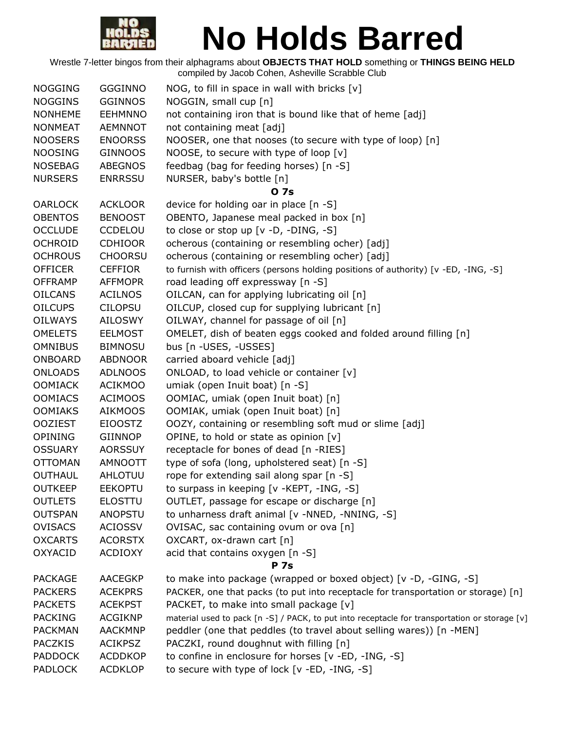

| <b>NOGGING</b> | <b>GGGINNO</b> | NOG, to fill in space in wall with bricks [v]                                                 |
|----------------|----------------|-----------------------------------------------------------------------------------------------|
| <b>NOGGINS</b> | <b>GGINNOS</b> | NOGGIN, small cup [n]                                                                         |
| <b>NONHEME</b> | <b>EEHMNNO</b> | not containing iron that is bound like that of heme [adj]                                     |
| <b>NONMEAT</b> | <b>AEMNNOT</b> | not containing meat [adj]                                                                     |
| <b>NOOSERS</b> | <b>ENOORSS</b> | NOOSER, one that nooses (to secure with type of loop) [n]                                     |
| <b>NOOSING</b> | <b>GINNOOS</b> | NOOSE, to secure with type of loop [v]                                                        |
| <b>NOSEBAG</b> | <b>ABEGNOS</b> | feedbag (bag for feeding horses) [n -S]                                                       |
| <b>NURSERS</b> | <b>ENRRSSU</b> | NURSER, baby's bottle [n]                                                                     |
|                |                | 0 7s                                                                                          |
| <b>OARLOCK</b> | <b>ACKLOOR</b> | device for holding oar in place [n -S]                                                        |
| <b>OBENTOS</b> | <b>BENOOST</b> | OBENTO, Japanese meal packed in box [n]                                                       |
| <b>OCCLUDE</b> | <b>CCDELOU</b> | to close or stop up [v -D, -DING, -S]                                                         |
| <b>OCHROID</b> | <b>CDHIOOR</b> | ocherous (containing or resembling ocher) [adj]                                               |
| <b>OCHROUS</b> | <b>CHOORSU</b> | ocherous (containing or resembling ocher) [adj]                                               |
| <b>OFFICER</b> | <b>CEFFIOR</b> | to furnish with officers (persons holding positions of authority) [v -ED, -ING, -S]           |
| <b>OFFRAMP</b> | <b>AFFMOPR</b> | road leading off expressway [n -S]                                                            |
| <b>OILCANS</b> | <b>ACILNOS</b> | OILCAN, can for applying lubricating oil [n]                                                  |
| <b>OILCUPS</b> | <b>CILOPSU</b> | OILCUP, closed cup for supplying lubricant [n]                                                |
| <b>OILWAYS</b> | <b>AILOSWY</b> | OILWAY, channel for passage of oil [n]                                                        |
| <b>OMELETS</b> | <b>EELMOST</b> | OMELET, dish of beaten eggs cooked and folded around filling [n]                              |
| <b>OMNIBUS</b> | <b>BIMNOSU</b> | bus [n -USES, -USSES]                                                                         |
| ONBOARD        | <b>ABDNOOR</b> | carried aboard vehicle [adj]                                                                  |
| <b>ONLOADS</b> | <b>ADLNOOS</b> | ONLOAD, to load vehicle or container [v]                                                      |
| <b>OOMIACK</b> | <b>ACIKMOO</b> | umiak (open Inuit boat) [n -S]                                                                |
| <b>OOMIACS</b> | <b>ACIMOOS</b> | OOMIAC, umiak (open Inuit boat) [n]                                                           |
| <b>OOMIAKS</b> | <b>AIKMOOS</b> | OOMIAK, umiak (open Inuit boat) [n]                                                           |
| <b>OOZIEST</b> | <b>EIOOSTZ</b> | OOZY, containing or resembling soft mud or slime [adj]                                        |
| OPINING        | GIINNOP        | OPINE, to hold or state as opinion [v]                                                        |
| <b>OSSUARY</b> | <b>AORSSUY</b> | receptacle for bones of dead [n -RIES]                                                        |
| <b>OTTOMAN</b> | <b>AMNOOTT</b> | type of sofa (long, upholstered seat) [n -S]                                                  |
| <b>OUTHAUL</b> | AHLOTUU        | rope for extending sail along spar [n -S]                                                     |
| <b>OUTKEEP</b> | <b>EEKOPTU</b> | to surpass in keeping [v -KEPT, -ING, -S]                                                     |
| <b>OUTLETS</b> | <b>ELOSTTU</b> | OUTLET, passage for escape or discharge [n]                                                   |
| <b>OUTSPAN</b> | <b>ANOPSTU</b> | to unharness draft animal [v -NNED, -NNING, -S]                                               |
| <b>OVISACS</b> | <b>ACIOSSV</b> | OVISAC, sac containing ovum or ova [n]                                                        |
| <b>OXCARTS</b> | <b>ACORSTX</b> | OXCART, ox-drawn cart [n]                                                                     |
| <b>OXYACID</b> | <b>ACDIOXY</b> | acid that contains oxygen [n -S]                                                              |
|                |                | <b>P</b> 7s                                                                                   |
| <b>PACKAGE</b> | <b>AACEGKP</b> | to make into package (wrapped or boxed object) [v -D, -GING, -S]                              |
| <b>PACKERS</b> | <b>ACEKPRS</b> | PACKER, one that packs (to put into receptacle for transportation or storage) [n]             |
| <b>PACKETS</b> | <b>ACEKPST</b> | PACKET, to make into small package [v]                                                        |
| <b>PACKING</b> | <b>ACGIKNP</b> | material used to pack [n -S] / PACK, to put into receptacle for transportation or storage [v] |
| <b>PACKMAN</b> | <b>AACKMNP</b> | peddler (one that peddles (to travel about selling wares)) [n -MEN]                           |
| <b>PACZKIS</b> | <b>ACIKPSZ</b> | PACZKI, round doughnut with filling [n]                                                       |
| <b>PADDOCK</b> | <b>ACDDKOP</b> | to confine in enclosure for horses [v -ED, -ING, -S]                                          |
| <b>PADLOCK</b> | <b>ACDKLOP</b> | to secure with type of lock [v -ED, -ING, -S]                                                 |
|                |                |                                                                                               |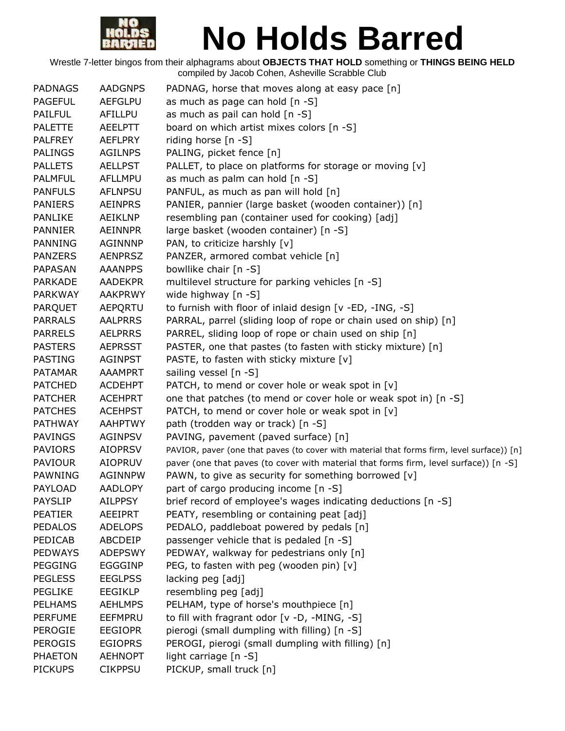

| <b>PADNAGS</b> | <b>AADGNPS</b> | PADNAG, horse that moves along at easy pace [n]                                            |
|----------------|----------------|--------------------------------------------------------------------------------------------|
| <b>PAGEFUL</b> | <b>AEFGLPU</b> | as much as page can hold [n -S]                                                            |
| <b>PAILFUL</b> | AFILLPU        | as much as pail can hold [n -S]                                                            |
| <b>PALETTE</b> | <b>AEELPTT</b> | board on which artist mixes colors [n -S]                                                  |
| <b>PALFREY</b> | <b>AEFLPRY</b> | riding horse [n -S]                                                                        |
| <b>PALINGS</b> | <b>AGILNPS</b> | PALING, picket fence [n]                                                                   |
| <b>PALLETS</b> | <b>AELLPST</b> | PALLET, to place on platforms for storage or moving [v]                                    |
| <b>PALMFUL</b> | <b>AFLLMPU</b> | as much as palm can hold [n -S]                                                            |
| <b>PANFULS</b> | <b>AFLNPSU</b> | PANFUL, as much as pan will hold [n]                                                       |
| <b>PANIERS</b> | <b>AEINPRS</b> | PANIER, pannier (large basket (wooden container)) [n]                                      |
| <b>PANLIKE</b> | AEIKLNP        | resembling pan (container used for cooking) [adj]                                          |
| <b>PANNIER</b> | <b>AEINNPR</b> | large basket (wooden container) [n -S]                                                     |
| <b>PANNING</b> | <b>AGINNNP</b> | PAN, to criticize harshly [v]                                                              |
| <b>PANZERS</b> | <b>AENPRSZ</b> | PANZER, armored combat vehicle [n]                                                         |
| <b>PAPASAN</b> | <b>AAANPPS</b> | bowllike chair [n -S]                                                                      |
| <b>PARKADE</b> | <b>AADEKPR</b> | multilevel structure for parking vehicles [n -S]                                           |
| <b>PARKWAY</b> | <b>AAKPRWY</b> | wide highway [n -S]                                                                        |
| PARQUET        | AEPQRTU        | to furnish with floor of inlaid design [v -ED, -ING, -S]                                   |
| <b>PARRALS</b> | <b>AALPRRS</b> | PARRAL, parrel (sliding loop of rope or chain used on ship) [n]                            |
| <b>PARRELS</b> | <b>AELPRRS</b> | PARREL, sliding loop of rope or chain used on ship [n]                                     |
| <b>PASTERS</b> | <b>AEPRSST</b> | PASTER, one that pastes (to fasten with sticky mixture) [n]                                |
| <b>PASTING</b> | <b>AGINPST</b> | PASTE, to fasten with sticky mixture [v]                                                   |
| <b>PATAMAR</b> | <b>AAAMPRT</b> | sailing vessel [n -S]                                                                      |
| <b>PATCHED</b> | <b>ACDEHPT</b> | PATCH, to mend or cover hole or weak spot in [v]                                           |
| <b>PATCHER</b> | <b>ACEHPRT</b> | one that patches (to mend or cover hole or weak spot in) [n -S]                            |
| <b>PATCHES</b> | <b>ACEHPST</b> | PATCH, to mend or cover hole or weak spot in [v]                                           |
| <b>PATHWAY</b> | <b>AAHPTWY</b> | path (trodden way or track) [n -S]                                                         |
| <b>PAVINGS</b> | AGINPSV        | PAVING, pavement (paved surface) [n]                                                       |
| <b>PAVIORS</b> | <b>AIOPRSV</b> | PAVIOR, paver (one that paves (to cover with material that forms firm, level surface)) [n] |
| <b>PAVIOUR</b> | <b>AIOPRUV</b> | paver (one that paves (to cover with material that forms firm, level surface)) [n -S]      |
| PAWNING        | <b>AGINNPW</b> | PAWN, to give as security for something borrowed [v]                                       |
| PAYLOAD        | <b>AADLOPY</b> | part of cargo producing income [n -S]                                                      |
| <b>PAYSLIP</b> | <b>AILPPSY</b> | brief record of employee's wages indicating deductions [n -S]                              |
| <b>PEATIER</b> | <b>AEEIPRT</b> | PEATY, resembling or containing peat [adj]                                                 |
| <b>PEDALOS</b> | <b>ADELOPS</b> | PEDALO, paddleboat powered by pedals [n]                                                   |
| PEDICAB        | ABCDEIP        | passenger vehicle that is pedaled [n -S]                                                   |
| <b>PEDWAYS</b> | <b>ADEPSWY</b> | PEDWAY, walkway for pedestrians only [n]                                                   |
| <b>PEGGING</b> | <b>EGGGINP</b> | PEG, to fasten with peg (wooden pin) [v]                                                   |
| <b>PEGLESS</b> | <b>EEGLPSS</b> | lacking peg [adj]                                                                          |
| <b>PEGLIKE</b> | <b>EEGIKLP</b> | resembling peg [adj]                                                                       |
| <b>PELHAMS</b> | <b>AEHLMPS</b> | PELHAM, type of horse's mouthpiece [n]                                                     |
| <b>PERFUME</b> | EEFMPRU        | to fill with fragrant odor [v -D, -MING, -S]                                               |
| <b>PEROGIE</b> | <b>EEGIOPR</b> | pierogi (small dumpling with filling) [n -S]                                               |
| <b>PEROGIS</b> | <b>EGIOPRS</b> | PEROGI, pierogi (small dumpling with filling) [n]                                          |
| <b>PHAETON</b> | <b>AEHNOPT</b> | light carriage [n -S]                                                                      |
| <b>PICKUPS</b> | <b>CIKPPSU</b> | PICKUP, small truck [n]                                                                    |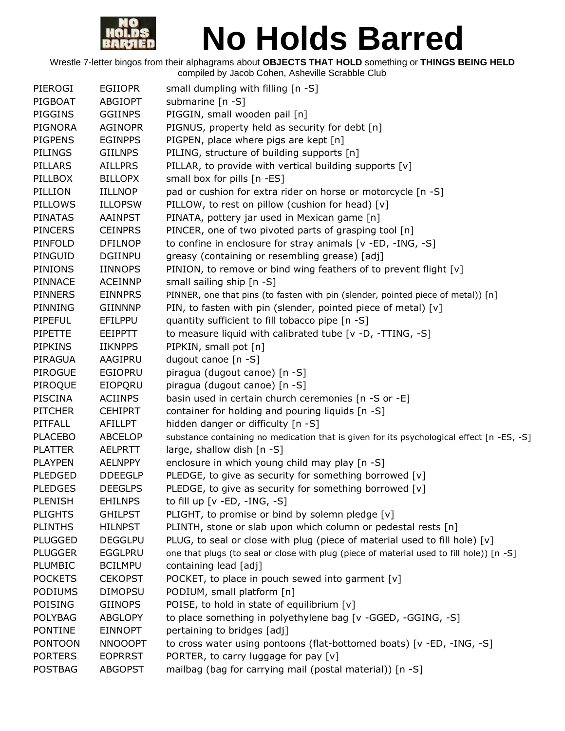

| PIEROGI        | <b>EGIIOPR</b> | small dumpling with filling [n -S]                                                        |
|----------------|----------------|-------------------------------------------------------------------------------------------|
| PIGBOAT        | <b>ABGIOPT</b> | submarine $[n - S]$                                                                       |
| <b>PIGGINS</b> | <b>GGIINPS</b> | PIGGIN, small wooden pail [n]                                                             |
| <b>PIGNORA</b> | <b>AGINOPR</b> | PIGNUS, property held as security for debt [n]                                            |
| <b>PIGPENS</b> | <b>EGINPPS</b> | PIGPEN, place where pigs are kept [n]                                                     |
| <b>PILINGS</b> | <b>GIILNPS</b> | PILING, structure of building supports [n]                                                |
| PILLARS        | <b>AILLPRS</b> | PILLAR, to provide with vertical building supports [v]                                    |
| PILLBOX        | <b>BILLOPX</b> | small box for pills [n -ES]                                                               |
| PILLION        | <b>IILLNOP</b> | pad or cushion for extra rider on horse or motorcycle [n -S]                              |
| PILLOWS        | <b>ILLOPSW</b> | PILLOW, to rest on pillow (cushion for head) [v]                                          |
| <b>PINATAS</b> | <b>AAINPST</b> | PINATA, pottery jar used in Mexican game [n]                                              |
| <b>PINCERS</b> | <b>CEINPRS</b> | PINCER, one of two pivoted parts of grasping tool [n]                                     |
| PINFOLD        | <b>DFILNOP</b> | to confine in enclosure for stray animals [v -ED, -ING, -S]                               |
| PINGUID        | <b>DGIINPU</b> | greasy (containing or resembling grease) [adj]                                            |
| <b>PINIONS</b> | <b>IINNOPS</b> | PINION, to remove or bind wing feathers of to prevent flight [v]                          |
| PINNACE        | <b>ACEINNP</b> | small sailing ship [n -S]                                                                 |
| <b>PINNERS</b> | <b>EINNPRS</b> | PINNER, one that pins (to fasten with pin (slender, pointed piece of metal)) [n]          |
| PINNING        | <b>GIINNNP</b> | PIN, to fasten with pin (slender, pointed piece of metal) [v]                             |
| <b>PIPEFUL</b> | EFILPPU        | quantity sufficient to fill tobacco pipe [n -S]                                           |
| <b>PIPETTE</b> | <b>EEIPPTT</b> | to measure liquid with calibrated tube [v -D, -TTING, -S]                                 |
| <b>PIPKINS</b> | <b>IIKNPPS</b> | PIPKIN, small pot [n]                                                                     |
| PIRAGUA        | AAGIPRU        | dugout canoe [n -S]                                                                       |
| <b>PIROGUE</b> | <b>EGIOPRU</b> | piragua (dugout canoe) [n -S]                                                             |
| PIROQUE        | <b>EIOPQRU</b> | piragua (dugout canoe) [n -S]                                                             |
| PISCINA        | <b>ACIINPS</b> | basin used in certain church ceremonies [n -S or -E]                                      |
| <b>PITCHER</b> | <b>CEHIPRT</b> | container for holding and pouring liquids [n -S]                                          |
| <b>PITFALL</b> | AFILLPT        | hidden danger or difficulty [n -S]                                                        |
| <b>PLACEBO</b> | <b>ABCELOP</b> | substance containing no medication that is given for its psychological effect [n -ES, -S] |
| <b>PLATTER</b> | <b>AELPRTT</b> | large, shallow dish [n -S]                                                                |
| <b>PLAYPEN</b> | <b>AELNPPY</b> | enclosure in which young child may play [n -S]                                            |
| <b>PLEDGED</b> | <b>DDEEGLP</b> | PLEDGE, to give as security for something borrowed [v]                                    |
| <b>PLEDGES</b> | <b>DEEGLPS</b> | PLEDGE, to give as security for something borrowed [v]                                    |
| <b>PLENISH</b> | <b>EHILNPS</b> | to fill up $[v - ED, -ING, -S]$                                                           |
| <b>PLIGHTS</b> | <b>GHILPST</b> | PLIGHT, to promise or bind by solemn pledge [v]                                           |
| <b>PLINTHS</b> | <b>HILNPST</b> | PLINTH, stone or slab upon which column or pedestal rests [n]                             |
| <b>PLUGGED</b> | <b>DEGGLPU</b> | PLUG, to seal or close with plug (piece of material used to fill hole) [v]                |
| <b>PLUGGER</b> | <b>EGGLPRU</b> | one that plugs (to seal or close with plug (piece of material used to fill hole)) [n -S]  |
| PLUMBIC        | <b>BCILMPU</b> | containing lead [adj]                                                                     |
| <b>POCKETS</b> | <b>CEKOPST</b> | POCKET, to place in pouch sewed into garment [v]                                          |
| <b>PODIUMS</b> | <b>DIMOPSU</b> | PODIUM, small platform [n]                                                                |
| <b>POISING</b> | <b>GIINOPS</b> | POISE, to hold in state of equilibrium [v]                                                |
| <b>POLYBAG</b> | <b>ABGLOPY</b> | to place something in polyethylene bag [v -GGED, -GGING, -S]                              |
| <b>PONTINE</b> | <b>EINNOPT</b> | pertaining to bridges [adj]                                                               |
| <b>PONTOON</b> | <b>NNOOOPT</b> | to cross water using pontoons (flat-bottomed boats) [v -ED, -ING, -S]                     |
| <b>PORTERS</b> | <b>EOPRRST</b> | PORTER, to carry luggage for pay [v]                                                      |
| <b>POSTBAG</b> | <b>ABGOPST</b> | mailbag (bag for carrying mail (postal material)) [n -S]                                  |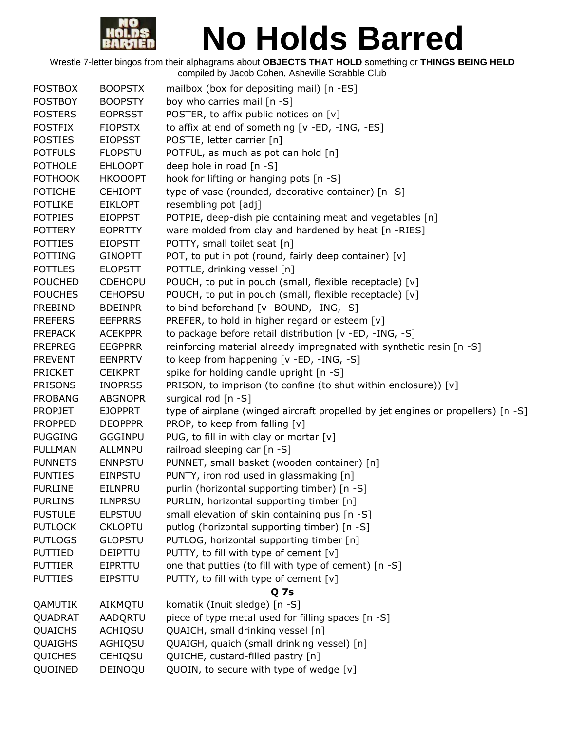

| <b>POSTBOX</b> | <b>BOOPSTX</b> | mailbox (box for depositing mail) [n -ES]                                        |
|----------------|----------------|----------------------------------------------------------------------------------|
| <b>POSTBOY</b> | <b>BOOPSTY</b> | boy who carries mail [n -S]                                                      |
| <b>POSTERS</b> | <b>EOPRSST</b> | POSTER, to affix public notices on [v]                                           |
| <b>POSTFIX</b> | <b>FIOPSTX</b> | to affix at end of something [v -ED, -ING, -ES]                                  |
| <b>POSTIES</b> | <b>EIOPSST</b> | POSTIE, letter carrier [n]                                                       |
| <b>POTFULS</b> | <b>FLOPSTU</b> | POTFUL, as much as pot can hold [n]                                              |
| <b>POTHOLE</b> | <b>EHLOOPT</b> | deep hole in road [n -S]                                                         |
| <b>POTHOOK</b> | <b>HKOOOPT</b> | hook for lifting or hanging pots [n -S]                                          |
| <b>POTICHE</b> | <b>CEHIOPT</b> | type of vase (rounded, decorative container) [n -S]                              |
| <b>POTLIKE</b> | <b>EIKLOPT</b> | resembling pot [adj]                                                             |
| <b>POTPIES</b> | <b>EIOPPST</b> | POTPIE, deep-dish pie containing meat and vegetables [n]                         |
| <b>POTTERY</b> | <b>EOPRTTY</b> | ware molded from clay and hardened by heat [n -RIES]                             |
| <b>POTTIES</b> | <b>EIOPSTT</b> | POTTY, small toilet seat [n]                                                     |
| <b>POTTING</b> | <b>GINOPTT</b> | POT, to put in pot (round, fairly deep container) [v]                            |
| <b>POTTLES</b> | <b>ELOPSTT</b> | POTTLE, drinking vessel [n]                                                      |
| <b>POUCHED</b> | <b>CDEHOPU</b> | POUCH, to put in pouch (small, flexible receptacle) [v]                          |
| <b>POUCHES</b> | <b>CEHOPSU</b> | POUCH, to put in pouch (small, flexible receptacle) [v]                          |
| <b>PREBIND</b> | <b>BDEINPR</b> | to bind beforehand [v -BOUND, -ING, -S]                                          |
|                |                |                                                                                  |
| <b>PREFERS</b> | <b>EEFPRRS</b> | PREFER, to hold in higher regard or esteem [v]                                   |
| <b>PREPACK</b> | <b>ACEKPPR</b> | to package before retail distribution [v -ED, -ING, -S]                          |
| <b>PREPREG</b> | <b>EEGPPRR</b> | reinforcing material already impregnated with synthetic resin [n -S]             |
| <b>PREVENT</b> | <b>EENPRTV</b> | to keep from happening [v -ED, -ING, -S]                                         |
| <b>PRICKET</b> | <b>CEIKPRT</b> | spike for holding candle upright [n -S]                                          |
| <b>PRISONS</b> | <b>INOPRSS</b> | PRISON, to imprison (to confine (to shut within enclosure)) [v]                  |
| <b>PROBANG</b> | <b>ABGNOPR</b> | surgical rod $[n -S]$                                                            |
| <b>PROPJET</b> | <b>EJOPPRT</b> | type of airplane (winged aircraft propelled by jet engines or propellers) [n -S] |
| <b>PROPPED</b> | <b>DEOPPPR</b> | PROP, to keep from falling [v]                                                   |
| <b>PUGGING</b> | GGGINPU        | PUG, to fill in with clay or mortar [v]                                          |
| PULLMAN        | ALLMNPU        | railroad sleeping car [n -S]                                                     |
| <b>PUNNETS</b> | <b>ENNPSTU</b> | PUNNET, small basket (wooden container) [n]                                      |
| <b>PUNTIES</b> | <b>EINPSTU</b> | PUNTY, iron rod used in glassmaking [n]                                          |
| <b>PURLINE</b> | EILNPRU        | purlin (horizontal supporting timber) [n -S]                                     |
| <b>PURLINS</b> | <b>ILNPRSU</b> | PURLIN, horizontal supporting timber [n]                                         |
| <b>PUSTULE</b> | <b>ELPSTUU</b> | small elevation of skin containing pus [n -S]                                    |
| <b>PUTLOCK</b> | <b>CKLOPTU</b> | putlog (horizontal supporting timber) [n -S]                                     |
| <b>PUTLOGS</b> | <b>GLOPSTU</b> | PUTLOG, horizontal supporting timber [n]                                         |
| <b>PUTTIED</b> | <b>DEIPTTU</b> | PUTTY, to fill with type of cement [v]                                           |
| <b>PUTTIER</b> | EIPRTTU        | one that putties (to fill with type of cement) [n -S]                            |
| <b>PUTTIES</b> | <b>EIPSTTU</b> | PUTTY, to fill with type of cement [v]                                           |
|                |                | Q <sub>7s</sub>                                                                  |
| QAMUTIK        | AIKMQTU        | komatik (Inuit sledge) [n -S]                                                    |
| QUADRAT        | AADQRTU        | piece of type metal used for filling spaces [n -S]                               |
| <b>QUAICHS</b> | <b>ACHIQSU</b> | QUAICH, small drinking vessel [n]                                                |
| QUAIGHS        | AGHIQSU        | QUAIGH, quaich (small drinking vessel) [n]                                       |
| <b>QUICHES</b> | <b>CEHIQSU</b> | QUICHE, custard-filled pastry [n]                                                |
| QUOINED        | DEINOQU        | QUOIN, to secure with type of wedge [v]                                          |
|                |                |                                                                                  |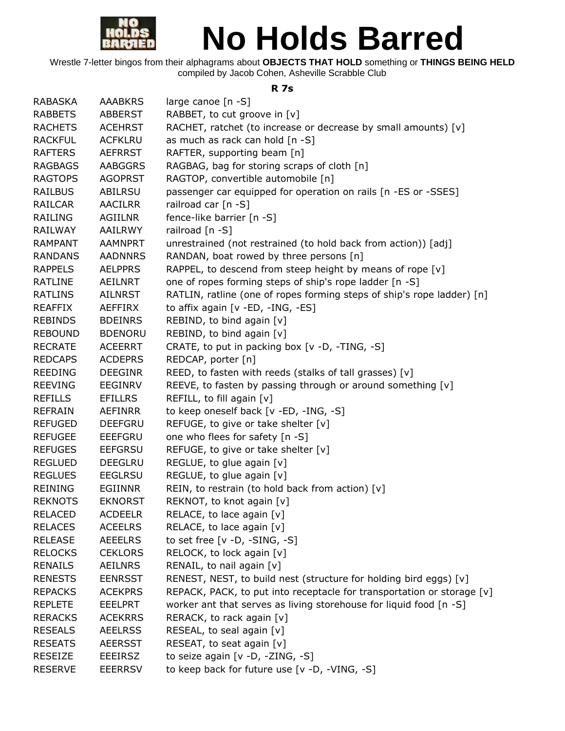

Wrestle 7-letter bingos from their alphagrams about **OBJECTS THAT HOLD** something or **THINGS BEING HELD** compiled by Jacob Cohen, Asheville Scrabble Club

#### **R 7s**

| <b>RABASKA</b> | <b>AAABKRS</b> | large canoe [n -S]                                                     |
|----------------|----------------|------------------------------------------------------------------------|
| <b>RABBETS</b> | <b>ABBERST</b> | RABBET, to cut groove in [v]                                           |
| <b>RACHETS</b> | <b>ACEHRST</b> | RACHET, ratchet (to increase or decrease by small amounts) [v]         |
| <b>RACKFUL</b> | <b>ACFKLRU</b> | as much as rack can hold [n -S]                                        |
| <b>RAFTERS</b> | <b>AEFRRST</b> | RAFTER, supporting beam [n]                                            |
| <b>RAGBAGS</b> | <b>AABGGRS</b> | RAGBAG, bag for storing scraps of cloth [n]                            |
| <b>RAGTOPS</b> | <b>AGOPRST</b> | RAGTOP, convertible automobile [n]                                     |
| <b>RAILBUS</b> | <b>ABILRSU</b> | passenger car equipped for operation on rails [n -ES or -SSES]         |
| <b>RAILCAR</b> | <b>AACILRR</b> | railroad car [n -S]                                                    |
| RAILING        | AGIILNR        | fence-like barrier [n -S]                                              |
| RAILWAY        | <b>AAILRWY</b> | railroad [n -S]                                                        |
| <b>RAMPANT</b> | <b>AAMNPRT</b> | unrestrained (not restrained (to hold back from action)) [adj]         |
| <b>RANDANS</b> | <b>AADNNRS</b> | RANDAN, boat rowed by three persons [n]                                |
| <b>RAPPELS</b> | <b>AELPPRS</b> | RAPPEL, to descend from steep height by means of rope [v]              |
| <b>RATLINE</b> | AEILNRT        | one of ropes forming steps of ship's rope ladder [n -S]                |
| <b>RATLINS</b> | <b>AILNRST</b> | RATLIN, ratline (one of ropes forming steps of ship's rope ladder) [n] |
| <b>REAFFIX</b> | AEFFIRX        | to affix again [v -ED, -ING, -ES]                                      |
| <b>REBINDS</b> | <b>BDEINRS</b> | REBIND, to bind again [v]                                              |
| <b>REBOUND</b> | <b>BDENORU</b> | REBIND, to bind again [v]                                              |
| <b>RECRATE</b> | <b>ACEERRT</b> | CRATE, to put in packing box [v -D, -TING, -S]                         |
| <b>REDCAPS</b> | <b>ACDEPRS</b> | REDCAP, porter [n]                                                     |
| <b>REEDING</b> | <b>DEEGINR</b> | REED, to fasten with reeds (stalks of tall grasses) [v]                |
| <b>REEVING</b> | <b>EEGINRV</b> | REEVE, to fasten by passing through or around something [v]            |
| <b>REFILLS</b> | <b>EFILLRS</b> | REFILL, to fill again [v]                                              |
| <b>REFRAIN</b> | AEFINRR        | to keep oneself back [v -ED, -ING, -S]                                 |
| <b>REFUGED</b> | DEEFGRU        | REFUGE, to give or take shelter [v]                                    |
| <b>REFUGEE</b> | <b>EEEFGRU</b> | one who flees for safety [n -S]                                        |
| <b>REFUGES</b> | <b>EEFGRSU</b> | REFUGE, to give or take shelter [v]                                    |
| <b>REGLUED</b> | <b>DEEGLRU</b> | REGLUE, to glue again [v]                                              |
| <b>REGLUES</b> | <b>EEGLRSU</b> | REGLUE, to glue again [v]                                              |
| <b>REINING</b> | EGIINNR        | REIN, to restrain (to hold back from action) [v]                       |
| <b>REKNOTS</b> | <b>EKNORST</b> | REKNOT, to knot again [v]                                              |
| <b>RELACED</b> | <b>ACDEELR</b> | RELACE, to lace again [v]                                              |
| <b>RELACES</b> | <b>ACEELRS</b> | RELACE, to lace again [v]                                              |
| <b>RELEASE</b> | <b>AEEELRS</b> | to set free $[v -D, -SING, -S]$                                        |
| <b>RELOCKS</b> | <b>CEKLORS</b> | RELOCK, to lock again [v]                                              |
| <b>RENAILS</b> | <b>AEILNRS</b> | RENAIL, to nail again [v]                                              |
| <b>RENESTS</b> | <b>EENRSST</b> | RENEST, NEST, to build nest (structure for holding bird eggs) [v]      |
| <b>REPACKS</b> | <b>ACEKPRS</b> | REPACK, PACK, to put into receptacle for transportation or storage [v] |
| <b>REPLETE</b> | <b>EEELPRT</b> | worker ant that serves as living storehouse for liquid food [n -S]     |
| <b>RERACKS</b> | <b>ACEKRRS</b> | RERACK, to rack again [v]                                              |
| <b>RESEALS</b> | <b>AEELRSS</b> | RESEAL, to seal again [v]                                              |
| <b>RESEATS</b> | <b>AEERSST</b> | RESEAT, to seat again [v]                                              |
| <b>RESEIZE</b> | <b>EEEIRSZ</b> | to seize again [v -D, -ZING, -S]                                       |
| <b>RESERVE</b> | <b>EEERRSV</b> | to keep back for future use [v -D, -VING, -S]                          |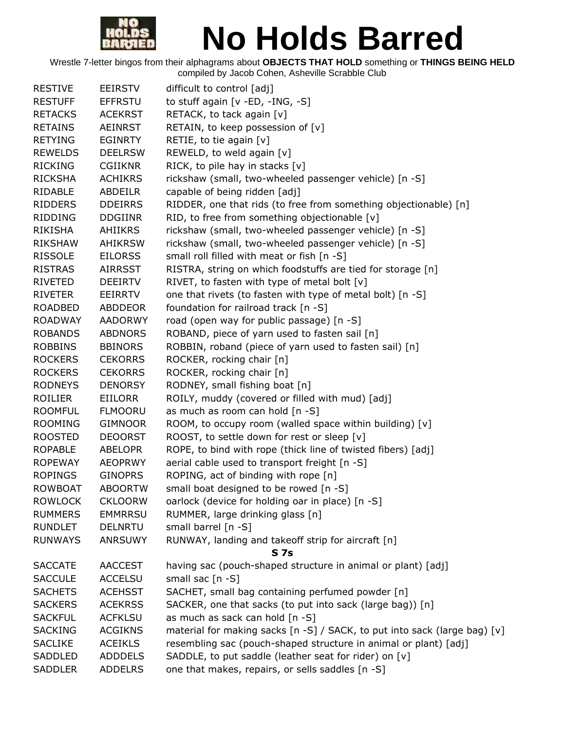

| <b>RESTIVE</b> | <b>EEIRSTV</b> | difficult to control [adj]                                                |
|----------------|----------------|---------------------------------------------------------------------------|
| <b>RESTUFF</b> | <b>EFFRSTU</b> | to stuff again [v -ED, -ING, -S]                                          |
| <b>RETACKS</b> | <b>ACEKRST</b> | RETACK, to tack again [v]                                                 |
| <b>RETAINS</b> | <b>AEINRST</b> | RETAIN, to keep possession of [v]                                         |
| <b>RETYING</b> | <b>EGINRTY</b> | RETIE, to tie again [v]                                                   |
| <b>REWELDS</b> | <b>DEELRSW</b> | REWELD, to weld again [v]                                                 |
| <b>RICKING</b> | <b>CGIIKNR</b> | RICK, to pile hay in stacks [v]                                           |
| <b>RICKSHA</b> | <b>ACHIKRS</b> | rickshaw (small, two-wheeled passenger vehicle) [n -S]                    |
| RIDABLE        | <b>ABDEILR</b> | capable of being ridden [adj]                                             |
| <b>RIDDERS</b> | <b>DDEIRRS</b> | RIDDER, one that rids (to free from something objectionable) [n]          |
| <b>RIDDING</b> | <b>DDGIINR</b> | RID, to free from something objectionable [v]                             |
| <b>RIKISHA</b> | <b>AHIIKRS</b> | rickshaw (small, two-wheeled passenger vehicle) [n -S]                    |
| <b>RIKSHAW</b> | <b>AHIKRSW</b> | rickshaw (small, two-wheeled passenger vehicle) [n -S]                    |
| <b>RISSOLE</b> | <b>EILORSS</b> | small roll filled with meat or fish [n -S]                                |
| <b>RISTRAS</b> | <b>AIRRSST</b> | RISTRA, string on which foodstuffs are tied for storage [n]               |
| RIVETED        | <b>DEEIRTV</b> | RIVET, to fasten with type of metal bolt [v]                              |
| <b>RIVETER</b> | <b>EEIRRTV</b> | one that rivets (to fasten with type of metal bolt) [n -S]                |
| <b>ROADBED</b> | <b>ABDDEOR</b> | foundation for railroad track [n -S]                                      |
| <b>ROADWAY</b> | <b>AADORWY</b> | road (open way for public passage) [n -S]                                 |
| <b>ROBANDS</b> | <b>ABDNORS</b> | ROBAND, piece of yarn used to fasten sail [n]                             |
| <b>ROBBINS</b> | <b>BBINORS</b> | ROBBIN, roband (piece of yarn used to fasten sail) [n]                    |
| <b>ROCKERS</b> | <b>CEKORRS</b> | ROCKER, rocking chair [n]                                                 |
| <b>ROCKERS</b> | <b>CEKORRS</b> | ROCKER, rocking chair [n]                                                 |
| <b>RODNEYS</b> | <b>DENORSY</b> | RODNEY, small fishing boat [n]                                            |
| <b>ROILIER</b> | EIILORR        | ROILY, muddy (covered or filled with mud) [adj]                           |
| <b>ROOMFUL</b> | <b>FLMOORU</b> | as much as room can hold [n -S]                                           |
| <b>ROOMING</b> | <b>GIMNOOR</b> | ROOM, to occupy room (walled space within building) [v]                   |
| <b>ROOSTED</b> | <b>DEOORST</b> | ROOST, to settle down for rest or sleep [v]                               |
| <b>ROPABLE</b> | <b>ABELOPR</b> | ROPE, to bind with rope (thick line of twisted fibers) [adj]              |
| <b>ROPEWAY</b> | <b>AEOPRWY</b> | aerial cable used to transport freight [n -S]                             |
| <b>ROPINGS</b> | <b>GINOPRS</b> | ROPING, act of binding with rope [n]                                      |
| <b>ROWBOAT</b> | <b>ABOORTW</b> | small boat designed to be rowed [n -S]                                    |
| <b>ROWLOCK</b> | <b>CKLOORW</b> | oarlock (device for holding oar in place) [n -S]                          |
| <b>RUMMERS</b> | <b>EMMRRSU</b> | RUMMER, large drinking glass [n]                                          |
| <b>RUNDLET</b> | <b>DELNRTU</b> | small barrel [n -S]                                                       |
| <b>RUNWAYS</b> | <b>ANRSUWY</b> | RUNWAY, landing and takeoff strip for aircraft [n]                        |
|                |                | S <sub>7s</sub>                                                           |
| <b>SACCATE</b> | <b>AACCEST</b> | having sac (pouch-shaped structure in animal or plant) [adj]              |
| <b>SACCULE</b> | <b>ACCELSU</b> | small sac $[n -S]$                                                        |
| <b>SACHETS</b> | <b>ACEHSST</b> | SACHET, small bag containing perfumed powder [n]                          |
| <b>SACKERS</b> | <b>ACEKRSS</b> | SACKER, one that sacks (to put into sack (large bag)) [n]                 |
| <b>SACKFUL</b> | <b>ACFKLSU</b> | as much as sack can hold [n -S]                                           |
| <b>SACKING</b> | <b>ACGIKNS</b> | material for making sacks [n -S] / SACK, to put into sack (large bag) [v] |
| <b>SACLIKE</b> | <b>ACEIKLS</b> | resembling sac (pouch-shaped structure in animal or plant) [adj]          |
| SADDLED        | <b>ADDDELS</b> | SADDLE, to put saddle (leather seat for rider) on [v]                     |
| <b>SADDLER</b> | <b>ADDELRS</b> | one that makes, repairs, or sells saddles [n -S]                          |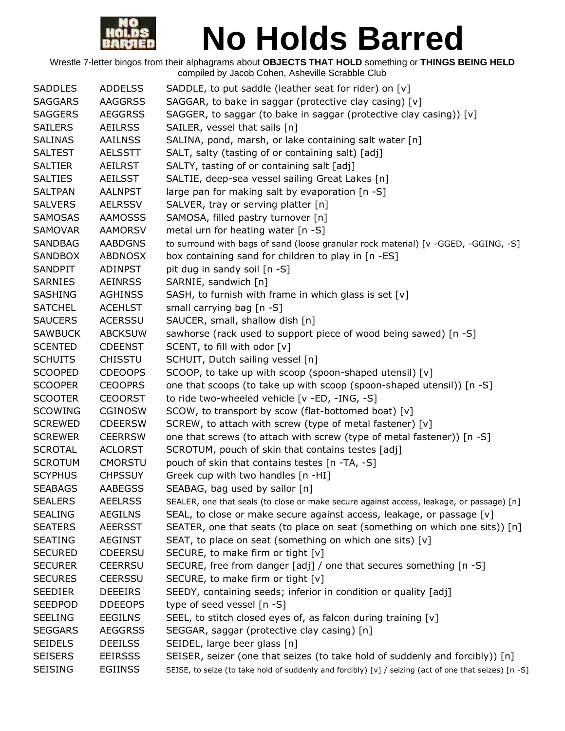

| <b>SADDLES</b> | <b>ADDELSS</b> | SADDLE, to put saddle (leather seat for rider) on [v]                                                 |
|----------------|----------------|-------------------------------------------------------------------------------------------------------|
| <b>SAGGARS</b> | <b>AAGGRSS</b> | SAGGAR, to bake in saggar (protective clay casing) [v]                                                |
| <b>SAGGERS</b> | <b>AEGGRSS</b> | SAGGER, to saggar (to bake in saggar (protective clay casing)) [v]                                    |
| <b>SAILERS</b> | <b>AEILRSS</b> | SAILER, vessel that sails [n]                                                                         |
| <b>SALINAS</b> | <b>AAILNSS</b> | SALINA, pond, marsh, or lake containing salt water [n]                                                |
| <b>SALTEST</b> | <b>AELSSTT</b> | SALT, salty (tasting of or containing salt) [adj]                                                     |
| <b>SALTIER</b> | AEILRST        | SALTY, tasting of or containing salt [adj]                                                            |
| <b>SALTIES</b> | <b>AEILSST</b> | SALTIE, deep-sea vessel sailing Great Lakes [n]                                                       |
| <b>SALTPAN</b> | <b>AALNPST</b> | large pan for making salt by evaporation [n -S]                                                       |
| <b>SALVERS</b> | <b>AELRSSV</b> | SALVER, tray or serving platter [n]                                                                   |
| <b>SAMOSAS</b> | <b>AAMOSSS</b> | SAMOSA, filled pastry turnover [n]                                                                    |
| <b>SAMOVAR</b> | <b>AAMORSV</b> | metal urn for heating water [n -S]                                                                    |
| <b>SANDBAG</b> | <b>AABDGNS</b> | to surround with bags of sand (loose granular rock material) [v -GGED, -GGING, -S]                    |
| <b>SANDBOX</b> | <b>ABDNOSX</b> | box containing sand for children to play in [n -ES]                                                   |
| SANDPIT        | <b>ADINPST</b> | pit dug in sandy soil [n -S]                                                                          |
| <b>SARNIES</b> | <b>AEINRSS</b> | SARNIE, sandwich [n]                                                                                  |
| <b>SASHING</b> | <b>AGHINSS</b> | SASH, to furnish with frame in which glass is set [v]                                                 |
| <b>SATCHEL</b> | <b>ACEHLST</b> | small carrying bag [n -S]                                                                             |
| <b>SAUCERS</b> | <b>ACERSSU</b> | SAUCER, small, shallow dish [n]                                                                       |
| <b>SAWBUCK</b> | <b>ABCKSUW</b> | sawhorse (rack used to support piece of wood being sawed) [n -S]                                      |
| <b>SCENTED</b> | <b>CDEENST</b> | SCENT, to fill with odor [v]                                                                          |
| <b>SCHUITS</b> | <b>CHISSTU</b> | SCHUIT, Dutch sailing vessel [n]                                                                      |
| <b>SCOOPED</b> | <b>CDEOOPS</b> | SCOOP, to take up with scoop (spoon-shaped utensil) [v]                                               |
| <b>SCOOPER</b> | <b>CEOOPRS</b> | one that scoops (to take up with scoop (spoon-shaped utensil)) [n -S]                                 |
| <b>SCOOTER</b> | <b>CEOORST</b> | to ride two-wheeled vehicle [v -ED, -ING, -S]                                                         |
| <b>SCOWING</b> | <b>CGINOSW</b> | SCOW, to transport by scow (flat-bottomed boat) [v]                                                   |
| <b>SCREWED</b> | <b>CDEERSW</b> | SCREW, to attach with screw (type of metal fastener) [v]                                              |
| <b>SCREWER</b> | <b>CEERRSW</b> | one that screws (to attach with screw (type of metal fastener)) [n -S]                                |
| <b>SCROTAL</b> | <b>ACLORST</b> | SCROTUM, pouch of skin that contains testes [adj]                                                     |
| <b>SCROTUM</b> | <b>CMORSTU</b> | pouch of skin that contains testes [n -TA, -S]                                                        |
| <b>SCYPHUS</b> | <b>CHPSSUY</b> | Greek cup with two handles [n -HI]                                                                    |
| <b>SEABAGS</b> | <b>AABEGSS</b> | SEABAG, bag used by sailor [n]                                                                        |
| <b>SEALERS</b> | <b>AEELRSS</b> | SEALER, one that seals (to close or make secure against access, leakage, or passage) [n]              |
| <b>SEALING</b> | <b>AEGILNS</b> | SEAL, to close or make secure against access, leakage, or passage [v]                                 |
| <b>SEATERS</b> | <b>AEERSST</b> | SEATER, one that seats (to place on seat (something on which one sits)) [n]                           |
| <b>SEATING</b> | <b>AEGINST</b> | SEAT, to place on seat (something on which one sits) [v]                                              |
| <b>SECURED</b> | <b>CDEERSU</b> | SECURE, to make firm or tight [v]                                                                     |
| <b>SECURER</b> | <b>CEERRSU</b> | SECURE, free from danger [adj] / one that secures something [n -S]                                    |
| <b>SECURES</b> | <b>CEERSSU</b> | SECURE, to make firm or tight [v]                                                                     |
| <b>SEEDIER</b> | <b>DEEEIRS</b> | SEEDY, containing seeds; inferior in condition or quality [adj]                                       |
| <b>SEEDPOD</b> | <b>DDEEOPS</b> | type of seed vessel [n -S]                                                                            |
| <b>SEELING</b> | <b>EEGILNS</b> | SEEL, to stitch closed eyes of, as falcon during training [v]                                         |
| <b>SEGGARS</b> | <b>AEGGRSS</b> | SEGGAR, saggar (protective clay casing) [n]                                                           |
| <b>SEIDELS</b> | <b>DEEILSS</b> | SEIDEL, large beer glass [n]                                                                          |
| <b>SEISERS</b> | <b>EEIRSSS</b> | SEISER, seizer (one that seizes (to take hold of suddenly and forcibly)) [n]                          |
| <b>SEISING</b> | <b>EGIINSS</b> | SEISE, to seize (to take hold of suddenly and forcibly) [v] / seizing (act of one that seizes) [n -S] |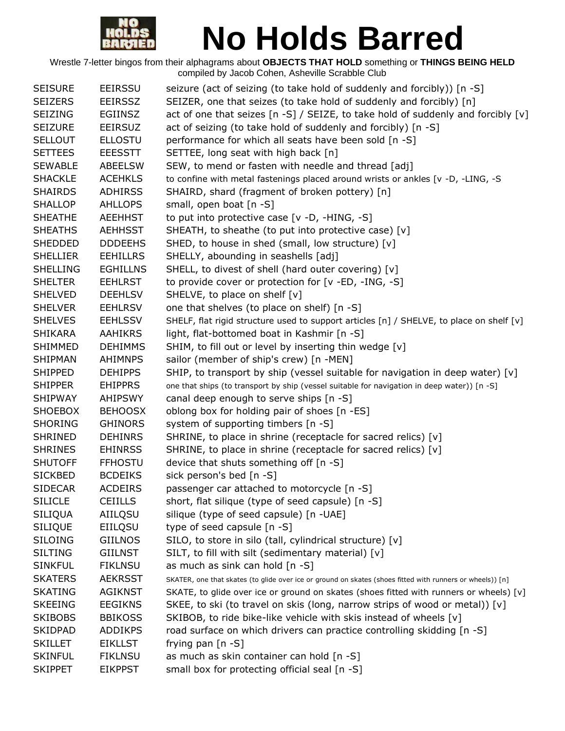

| <b>SEISURE</b>  | <b>EEIRSSU</b>  | seizure (act of seizing (to take hold of suddenly and forcibly)) [n -S]                                   |
|-----------------|-----------------|-----------------------------------------------------------------------------------------------------------|
| <b>SEIZERS</b>  | <b>EEIRSSZ</b>  | SEIZER, one that seizes (to take hold of suddenly and forcibly) [n]                                       |
| <b>SEIZING</b>  | <b>EGIINSZ</b>  | act of one that seizes [n -S] / SEIZE, to take hold of suddenly and forcibly $[v]$                        |
| <b>SEIZURE</b>  | <b>EEIRSUZ</b>  | act of seizing (to take hold of suddenly and forcibly) [n -S]                                             |
| <b>SELLOUT</b>  | <b>ELLOSTU</b>  | performance for which all seats have been sold [n -S]                                                     |
| <b>SETTEES</b>  | <b>EEESSTT</b>  | SETTEE, long seat with high back [n]                                                                      |
| <b>SEWABLE</b>  | <b>ABEELSW</b>  | SEW, to mend or fasten with needle and thread [adj]                                                       |
| <b>SHACKLE</b>  | <b>ACEHKLS</b>  | to confine with metal fastenings placed around wrists or ankles [v -D, -LING, -S                          |
| <b>SHAIRDS</b>  | <b>ADHIRSS</b>  | SHAIRD, shard (fragment of broken pottery) [n]                                                            |
| <b>SHALLOP</b>  | <b>AHLLOPS</b>  | small, open boat [n -S]                                                                                   |
| <b>SHEATHE</b>  | <b>AEEHHST</b>  | to put into protective case [v -D, -HING, -S]                                                             |
| <b>SHEATHS</b>  | <b>AEHHSST</b>  | SHEATH, to sheathe (to put into protective case) [v]                                                      |
| <b>SHEDDED</b>  | <b>DDDEEHS</b>  | SHED, to house in shed (small, low structure) [v]                                                         |
| <b>SHELLIER</b> | <b>EEHILLRS</b> | SHELLY, abounding in seashells [adj]                                                                      |
| <b>SHELLING</b> | <b>EGHILLNS</b> | SHELL, to divest of shell (hard outer covering) [v]                                                       |
| <b>SHELTER</b>  | <b>EEHLRST</b>  | to provide cover or protection for [v -ED, -ING, -S]                                                      |
| <b>SHELVED</b>  | <b>DEEHLSV</b>  | SHELVE, to place on shelf [v]                                                                             |
| <b>SHELVER</b>  | <b>EEHLRSV</b>  | one that shelves (to place on shelf) [n -S]                                                               |
| <b>SHELVES</b>  | <b>EEHLSSV</b>  | SHELF, flat rigid structure used to support articles [n] / SHELVE, to place on shelf [v]                  |
| <b>SHIKARA</b>  | <b>AAHIKRS</b>  | light, flat-bottomed boat in Kashmir [n -S]                                                               |
| <b>SHIMMED</b>  | <b>DEHIMMS</b>  | SHIM, to fill out or level by inserting thin wedge [v]                                                    |
| <b>SHIPMAN</b>  | <b>AHIMNPS</b>  | sailor (member of ship's crew) [n -MEN]                                                                   |
| <b>SHIPPED</b>  | <b>DEHIPPS</b>  | SHIP, to transport by ship (vessel suitable for navigation in deep water) $[v]$                           |
| <b>SHIPPER</b>  | <b>EHIPPRS</b>  | one that ships (to transport by ship (vessel suitable for navigation in deep water)) [n -S]               |
| <b>SHIPWAY</b>  | <b>AHIPSWY</b>  | canal deep enough to serve ships [n -S]                                                                   |
| <b>SHOEBOX</b>  | <b>BEHOOSX</b>  | oblong box for holding pair of shoes [n -ES]                                                              |
| <b>SHORING</b>  | <b>GHINORS</b>  | system of supporting timbers [n -S]                                                                       |
| <b>SHRINED</b>  | <b>DEHINRS</b>  | SHRINE, to place in shrine (receptacle for sacred relics) [v]                                             |
| <b>SHRINES</b>  | <b>EHINRSS</b>  | SHRINE, to place in shrine (receptacle for sacred relics) [v]                                             |
| <b>SHUTOFF</b>  | <b>FFHOSTU</b>  | device that shuts something off [n -S]                                                                    |
| <b>SICKBED</b>  | <b>BCDEIKS</b>  | sick person's bed [n -S]                                                                                  |
| <b>SIDECAR</b>  | <b>ACDEIRS</b>  | passenger car attached to motorcycle [n -S]                                                               |
| <b>SILICLE</b>  | <b>CEIILLS</b>  | short, flat silique (type of seed capsule) [n -S]                                                         |
| <b>SILIQUA</b>  | AIILQSU         | silique (type of seed capsule) [n -UAE]                                                                   |
| <b>SILIQUE</b>  | EIILQSU         | type of seed capsule $[n - S]$                                                                            |
| <b>SILOING</b>  | <b>GIILNOS</b>  | SILO, to store in silo (tall, cylindrical structure) [v]                                                  |
| <b>SILTING</b>  | <b>GIILNST</b>  | SILT, to fill with silt (sedimentary material) [v]                                                        |
| <b>SINKFUL</b>  | <b>FIKLNSU</b>  | as much as sink can hold [n -S]                                                                           |
| <b>SKATERS</b>  | <b>AEKRSST</b>  | SKATER, one that skates (to glide over ice or ground on skates (shoes fitted with runners or wheels)) [n] |
| <b>SKATING</b>  | <b>AGIKNST</b>  | SKATE, to glide over ice or ground on skates (shoes fitted with runners or wheels) [v]                    |
| <b>SKEEING</b>  | <b>EEGIKNS</b>  | SKEE, to ski (to travel on skis (long, narrow strips of wood or metal)) [v]                               |
| <b>SKIBOBS</b>  | <b>BBIKOSS</b>  | SKIBOB, to ride bike-like vehicle with skis instead of wheels [v]                                         |
| <b>SKIDPAD</b>  | <b>ADDIKPS</b>  | road surface on which drivers can practice controlling skidding [n -S]                                    |
| <b>SKILLET</b>  | <b>EIKLLST</b>  | frying pan $[n -S]$                                                                                       |
| <b>SKINFUL</b>  | <b>FIKLNSU</b>  | as much as skin container can hold [n -S]                                                                 |
| <b>SKIPPET</b>  | <b>EIKPPST</b>  | small box for protecting official seal [n -S]                                                             |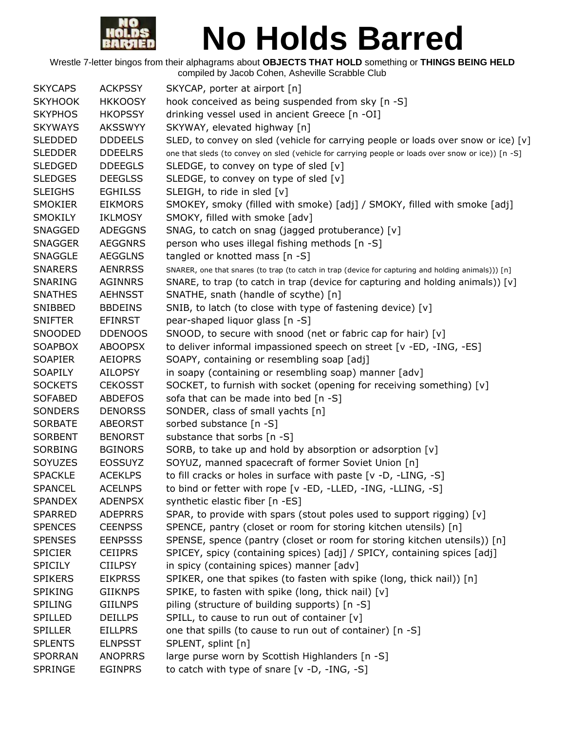

| <b>SKYCAPS</b> | <b>ACKPSSY</b> | SKYCAP, porter at airport [n]                                                                       |
|----------------|----------------|-----------------------------------------------------------------------------------------------------|
| <b>SKYHOOK</b> | <b>HKKOOSY</b> | hook conceived as being suspended from sky [n -S]                                                   |
| <b>SKYPHOS</b> | <b>HKOPSSY</b> | drinking vessel used in ancient Greece [n -OI]                                                      |
| <b>SKYWAYS</b> | <b>AKSSWYY</b> | SKYWAY, elevated highway [n]                                                                        |
| <b>SLEDDED</b> | <b>DDDEELS</b> | SLED, to convey on sled (vehicle for carrying people or loads over snow or ice) $[v]$               |
| <b>SLEDDER</b> | <b>DDEELRS</b> | one that sleds (to convey on sled (vehicle for carrying people or loads over snow or ice)) [n -S]   |
| <b>SLEDGED</b> | <b>DDEEGLS</b> | SLEDGE, to convey on type of sled $[v]$                                                             |
| <b>SLEDGES</b> | <b>DEEGLSS</b> | SLEDGE, to convey on type of sled [v]                                                               |
| <b>SLEIGHS</b> | <b>EGHILSS</b> | SLEIGH, to ride in sled [v]                                                                         |
| <b>SMOKIER</b> | <b>EIKMORS</b> | SMOKEY, smoky (filled with smoke) [adj] / SMOKY, filled with smoke [adj]                            |
| <b>SMOKILY</b> | <b>IKLMOSY</b> | SMOKY, filled with smoke [adv]                                                                      |
| <b>SNAGGED</b> | <b>ADEGGNS</b> | SNAG, to catch on snag (jagged protuberance) [v]                                                    |
| <b>SNAGGER</b> | <b>AEGGNRS</b> | person who uses illegal fishing methods [n -S]                                                      |
| <b>SNAGGLE</b> | <b>AEGGLNS</b> | tangled or knotted mass [n -S]                                                                      |
| <b>SNARERS</b> | <b>AENRRSS</b> | SNARER, one that snares (to trap (to catch in trap (device for capturing and holding animals))) [n] |
| SNARING        | AGINNRS        | SNARE, to trap (to catch in trap (device for capturing and holding animals)) $[v]$                  |
| <b>SNATHES</b> | <b>AEHNSST</b> | SNATHE, snath (handle of scythe) [n]                                                                |
| SNIBBED        | <b>BBDEINS</b> | SNIB, to latch (to close with type of fastening device) [v]                                         |
| <b>SNIFTER</b> | EFINRST        | pear-shaped liquor glass [n -S]                                                                     |
| SNOODED        | <b>DDENOOS</b> | SNOOD, to secure with snood (net or fabric cap for hair) [v]                                        |
| <b>SOAPBOX</b> | <b>ABOOPSX</b> | to deliver informal impassioned speech on street [v -ED, -ING, -ES]                                 |
| <b>SOAPIER</b> | <b>AEIOPRS</b> | SOAPY, containing or resembling soap [adj]                                                          |
| <b>SOAPILY</b> | <b>AILOPSY</b> | in soapy (containing or resembling soap) manner [adv]                                               |
| <b>SOCKETS</b> | <b>CEKOSST</b> | SOCKET, to furnish with socket (opening for receiving something) [v]                                |
| <b>SOFABED</b> | <b>ABDEFOS</b> | sofa that can be made into bed [n -S]                                                               |
| <b>SONDERS</b> | <b>DENORSS</b> | SONDER, class of small yachts [n]                                                                   |
| <b>SORBATE</b> | <b>ABEORST</b> | sorbed substance [n -S]                                                                             |
| <b>SORBENT</b> | <b>BENORST</b> | substance that sorbs [n -S]                                                                         |
| <b>SORBING</b> | <b>BGINORS</b> | SORB, to take up and hold by absorption or adsorption [v]                                           |
| SOYUZES        | <b>EOSSUYZ</b> | SOYUZ, manned spacecraft of former Soviet Union [n]                                                 |
| <b>SPACKLE</b> | <b>ACEKLPS</b> | to fill cracks or holes in surface with paste [v -D, -LING, -S]                                     |
| <b>SPANCEL</b> | <b>ACELNPS</b> | to bind or fetter with rope [v -ED, -LLED, -ING, -LLING, -S]                                        |
| <b>SPANDEX</b> | <b>ADENPSX</b> | synthetic elastic fiber [n -ES]                                                                     |
| <b>SPARRED</b> | <b>ADEPRRS</b> | SPAR, to provide with spars (stout poles used to support rigging) [v]                               |
| <b>SPENCES</b> | <b>CEENPSS</b> | SPENCE, pantry (closet or room for storing kitchen utensils) [n]                                    |
|                | <b>EENPSSS</b> |                                                                                                     |
| <b>SPENSES</b> |                | SPENSE, spence (pantry (closet or room for storing kitchen utensils)) [n]                           |
| <b>SPICIER</b> | <b>CEIIPRS</b> | SPICEY, spicy (containing spices) [adj] / SPICY, containing spices [adj]                            |
| <b>SPICILY</b> | <b>CIILPSY</b> | in spicy (containing spices) manner [adv]                                                           |
| <b>SPIKERS</b> | <b>EIKPRSS</b> | SPIKER, one that spikes (to fasten with spike (long, thick nail)) [n]                               |
| <b>SPIKING</b> | <b>GIIKNPS</b> | SPIKE, to fasten with spike (long, thick nail) [v]                                                  |
| <b>SPILING</b> | <b>GIILNPS</b> | piling (structure of building supports) [n -S]                                                      |
| SPILLED        | <b>DEILLPS</b> | SPILL, to cause to run out of container [v]                                                         |
| <b>SPILLER</b> | <b>EILLPRS</b> | one that spills (to cause to run out of container) [n -S]                                           |
| <b>SPLENTS</b> | <b>ELNPSST</b> | SPLENT, splint [n]                                                                                  |
| <b>SPORRAN</b> | <b>ANOPRRS</b> | large purse worn by Scottish Highlanders [n -S]                                                     |
| <b>SPRINGE</b> | <b>EGINPRS</b> | to catch with type of snare $[v -D, -ING, -S]$                                                      |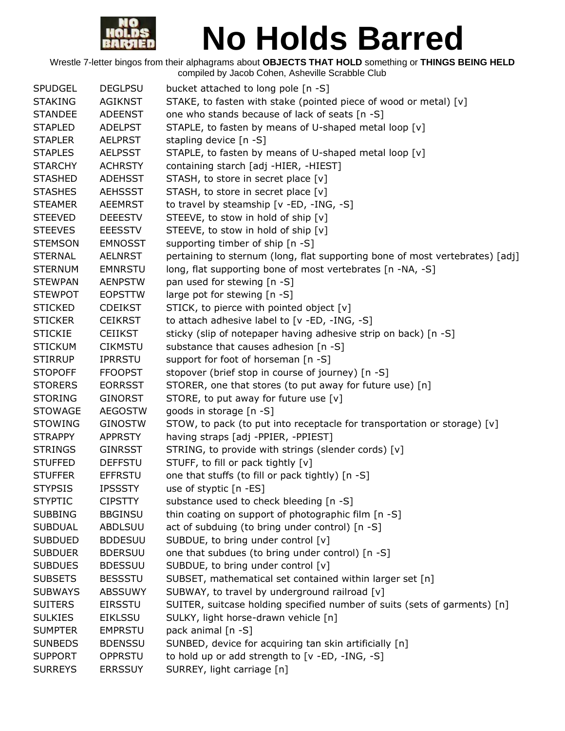

| STAKE, to fasten with stake (pointed piece of wood or metal) [v]<br><b>STAKING</b><br><b>AGIKNST</b><br>one who stands because of lack of seats [n -S]<br><b>STANDEE</b><br><b>ADEENST</b><br>STAPLE, to fasten by means of U-shaped metal loop [v]<br><b>STAPLED</b><br><b>ADELPST</b><br>stapling device [n -S]<br><b>STAPLER</b><br><b>AELPRST</b><br>STAPLE, to fasten by means of U-shaped metal loop [v]<br><b>STAPLES</b><br><b>AELPSST</b><br>containing starch [adj -HIER, -HIEST]<br><b>STARCHY</b><br><b>ACHRSTY</b><br>STASH, to store in secret place [v]<br><b>STASHED</b><br><b>ADEHSST</b><br><b>STASHES</b><br>STASH, to store in secret place [v]<br><b>AEHSSST</b><br>to travel by steamship [v -ED, -ING, -S]<br><b>STEAMER</b><br><b>AEEMRST</b><br>STEEVE, to stow in hold of ship [v]<br><b>STEEVED</b><br><b>DEEESTV</b><br>STEEVE, to stow in hold of ship [v]<br><b>STEEVES</b><br><b>EEESSTV</b><br><b>STEMSON</b><br><b>EMNOSST</b><br>supporting timber of ship [n -S]<br>pertaining to sternum (long, flat supporting bone of most vertebrates) [adj]<br><b>STERNAL</b><br><b>AELNRST</b><br><b>STERNUM</b><br>long, flat supporting bone of most vertebrates [n -NA, -S]<br><b>EMNRSTU</b><br>pan used for stewing [n -S]<br><b>STEWPAN</b><br><b>AENPSTW</b><br>large pot for stewing [n -S]<br><b>STEWPOT</b><br><b>EOPSTTW</b><br>STICK, to pierce with pointed object [v]<br><b>STICKED</b><br><b>CDEIKST</b><br>to attach adhesive label to [v -ED, -ING, -S]<br><b>STICKER</b><br><b>CEIKRST</b><br>sticky (slip of notepaper having adhesive strip on back) [n -S]<br><b>STICKIE</b><br><b>CEIIKST</b><br>substance that causes adhesion [n -S]<br><b>STICKUM</b><br><b>CIKMSTU</b><br>support for foot of horseman [n -S]<br><b>STIRRUP</b><br><b>IPRRSTU</b><br>stopover (brief stop in course of journey) [n -S]<br><b>STOPOFF</b><br><b>FFOOPST</b><br>STORER, one that stores (to put away for future use) [n]<br><b>STORERS</b><br><b>EORRSST</b><br>STORE, to put away for future use $[v]$<br><b>STORING</b><br><b>GINORST</b><br>goods in storage [n -S]<br><b>STOWAGE</b><br><b>AEGOSTW</b><br>STOW, to pack (to put into receptacle for transportation or storage) [v]<br><b>STOWING</b><br><b>GINOSTW</b><br><b>STRAPPY</b><br><b>APPRSTY</b><br>having straps [adj -PPIER, -PPIEST]<br>STRING, to provide with strings (slender cords) [v]<br><b>STRINGS</b><br><b>GINRSST</b><br>STUFF, to fill or pack tightly [v]<br><b>DEFFSTU</b><br><b>STUFFED</b><br>one that stuffs (to fill or pack tightly) [n -S]<br><b>STUFFER</b><br><b>EFFRSTU</b><br>use of styptic [n -ES]<br><b>STYPSIS</b><br><b>IPSSSTY</b><br><b>STYPTIC</b><br><b>CIPSTTY</b><br>substance used to check bleeding [n -S]<br>thin coating on support of photographic film [n -S]<br><b>SUBBING</b><br><b>BBGINSU</b><br><b>ABDLSUU</b><br>act of subduing (to bring under control) [n -S]<br><b>SUBDUAL</b><br><b>BDDESUU</b><br>SUBDUE, to bring under control [v]<br><b>SUBDUED</b><br>one that subdues (to bring under control) [n -S]<br><b>SUBDUER</b><br><b>BDERSUU</b><br>SUBDUE, to bring under control [v]<br><b>SUBDUES</b><br><b>BDESSUU</b><br>SUBSET, mathematical set contained within larger set [n]<br><b>SUBSETS</b><br><b>BESSSTU</b><br>SUBWAY, to travel by underground railroad [v]<br><b>SUBWAYS</b><br><b>ABSSUWY</b><br>SUITER, suitcase holding specified number of suits (sets of garments) [n]<br><b>SUITERS</b><br><b>EIRSSTU</b><br><b>SULKIES</b><br>SULKY, light horse-drawn vehicle [n]<br><b>EIKLSSU</b><br>pack animal [n -S]<br><b>SUMPTER</b><br><b>EMPRSTU</b> | <b>SPUDGEL</b> | <b>DEGLPSU</b> | bucket attached to long pole [n -S]                    |
|----------------------------------------------------------------------------------------------------------------------------------------------------------------------------------------------------------------------------------------------------------------------------------------------------------------------------------------------------------------------------------------------------------------------------------------------------------------------------------------------------------------------------------------------------------------------------------------------------------------------------------------------------------------------------------------------------------------------------------------------------------------------------------------------------------------------------------------------------------------------------------------------------------------------------------------------------------------------------------------------------------------------------------------------------------------------------------------------------------------------------------------------------------------------------------------------------------------------------------------------------------------------------------------------------------------------------------------------------------------------------------------------------------------------------------------------------------------------------------------------------------------------------------------------------------------------------------------------------------------------------------------------------------------------------------------------------------------------------------------------------------------------------------------------------------------------------------------------------------------------------------------------------------------------------------------------------------------------------------------------------------------------------------------------------------------------------------------------------------------------------------------------------------------------------------------------------------------------------------------------------------------------------------------------------------------------------------------------------------------------------------------------------------------------------------------------------------------------------------------------------------------------------------------------------------------------------------------------------------------------------------------------------------------------------------------------------------------------------------------------------------------------------------------------------------------------------------------------------------------------------------------------------------------------------------------------------------------------------------------------------------------------------------------------------------------------------------------------------------------------------------------------------------------------------------------------------------------------------------------------------------------------------------------------------------------------------------------------------------------------------------------------------------------------------------------------------------------------------------------------------------------------------------------------------------------------------------------------------------------------------|----------------|----------------|--------------------------------------------------------|
|                                                                                                                                                                                                                                                                                                                                                                                                                                                                                                                                                                                                                                                                                                                                                                                                                                                                                                                                                                                                                                                                                                                                                                                                                                                                                                                                                                                                                                                                                                                                                                                                                                                                                                                                                                                                                                                                                                                                                                                                                                                                                                                                                                                                                                                                                                                                                                                                                                                                                                                                                                                                                                                                                                                                                                                                                                                                                                                                                                                                                                                                                                                                                                                                                                                                                                                                                                                                                                                                                                                                                                                                                            |                |                |                                                        |
|                                                                                                                                                                                                                                                                                                                                                                                                                                                                                                                                                                                                                                                                                                                                                                                                                                                                                                                                                                                                                                                                                                                                                                                                                                                                                                                                                                                                                                                                                                                                                                                                                                                                                                                                                                                                                                                                                                                                                                                                                                                                                                                                                                                                                                                                                                                                                                                                                                                                                                                                                                                                                                                                                                                                                                                                                                                                                                                                                                                                                                                                                                                                                                                                                                                                                                                                                                                                                                                                                                                                                                                                                            |                |                |                                                        |
|                                                                                                                                                                                                                                                                                                                                                                                                                                                                                                                                                                                                                                                                                                                                                                                                                                                                                                                                                                                                                                                                                                                                                                                                                                                                                                                                                                                                                                                                                                                                                                                                                                                                                                                                                                                                                                                                                                                                                                                                                                                                                                                                                                                                                                                                                                                                                                                                                                                                                                                                                                                                                                                                                                                                                                                                                                                                                                                                                                                                                                                                                                                                                                                                                                                                                                                                                                                                                                                                                                                                                                                                                            |                |                |                                                        |
|                                                                                                                                                                                                                                                                                                                                                                                                                                                                                                                                                                                                                                                                                                                                                                                                                                                                                                                                                                                                                                                                                                                                                                                                                                                                                                                                                                                                                                                                                                                                                                                                                                                                                                                                                                                                                                                                                                                                                                                                                                                                                                                                                                                                                                                                                                                                                                                                                                                                                                                                                                                                                                                                                                                                                                                                                                                                                                                                                                                                                                                                                                                                                                                                                                                                                                                                                                                                                                                                                                                                                                                                                            |                |                |                                                        |
|                                                                                                                                                                                                                                                                                                                                                                                                                                                                                                                                                                                                                                                                                                                                                                                                                                                                                                                                                                                                                                                                                                                                                                                                                                                                                                                                                                                                                                                                                                                                                                                                                                                                                                                                                                                                                                                                                                                                                                                                                                                                                                                                                                                                                                                                                                                                                                                                                                                                                                                                                                                                                                                                                                                                                                                                                                                                                                                                                                                                                                                                                                                                                                                                                                                                                                                                                                                                                                                                                                                                                                                                                            |                |                |                                                        |
|                                                                                                                                                                                                                                                                                                                                                                                                                                                                                                                                                                                                                                                                                                                                                                                                                                                                                                                                                                                                                                                                                                                                                                                                                                                                                                                                                                                                                                                                                                                                                                                                                                                                                                                                                                                                                                                                                                                                                                                                                                                                                                                                                                                                                                                                                                                                                                                                                                                                                                                                                                                                                                                                                                                                                                                                                                                                                                                                                                                                                                                                                                                                                                                                                                                                                                                                                                                                                                                                                                                                                                                                                            |                |                |                                                        |
|                                                                                                                                                                                                                                                                                                                                                                                                                                                                                                                                                                                                                                                                                                                                                                                                                                                                                                                                                                                                                                                                                                                                                                                                                                                                                                                                                                                                                                                                                                                                                                                                                                                                                                                                                                                                                                                                                                                                                                                                                                                                                                                                                                                                                                                                                                                                                                                                                                                                                                                                                                                                                                                                                                                                                                                                                                                                                                                                                                                                                                                                                                                                                                                                                                                                                                                                                                                                                                                                                                                                                                                                                            |                |                |                                                        |
|                                                                                                                                                                                                                                                                                                                                                                                                                                                                                                                                                                                                                                                                                                                                                                                                                                                                                                                                                                                                                                                                                                                                                                                                                                                                                                                                                                                                                                                                                                                                                                                                                                                                                                                                                                                                                                                                                                                                                                                                                                                                                                                                                                                                                                                                                                                                                                                                                                                                                                                                                                                                                                                                                                                                                                                                                                                                                                                                                                                                                                                                                                                                                                                                                                                                                                                                                                                                                                                                                                                                                                                                                            |                |                |                                                        |
|                                                                                                                                                                                                                                                                                                                                                                                                                                                                                                                                                                                                                                                                                                                                                                                                                                                                                                                                                                                                                                                                                                                                                                                                                                                                                                                                                                                                                                                                                                                                                                                                                                                                                                                                                                                                                                                                                                                                                                                                                                                                                                                                                                                                                                                                                                                                                                                                                                                                                                                                                                                                                                                                                                                                                                                                                                                                                                                                                                                                                                                                                                                                                                                                                                                                                                                                                                                                                                                                                                                                                                                                                            |                |                |                                                        |
|                                                                                                                                                                                                                                                                                                                                                                                                                                                                                                                                                                                                                                                                                                                                                                                                                                                                                                                                                                                                                                                                                                                                                                                                                                                                                                                                                                                                                                                                                                                                                                                                                                                                                                                                                                                                                                                                                                                                                                                                                                                                                                                                                                                                                                                                                                                                                                                                                                                                                                                                                                                                                                                                                                                                                                                                                                                                                                                                                                                                                                                                                                                                                                                                                                                                                                                                                                                                                                                                                                                                                                                                                            |                |                |                                                        |
|                                                                                                                                                                                                                                                                                                                                                                                                                                                                                                                                                                                                                                                                                                                                                                                                                                                                                                                                                                                                                                                                                                                                                                                                                                                                                                                                                                                                                                                                                                                                                                                                                                                                                                                                                                                                                                                                                                                                                                                                                                                                                                                                                                                                                                                                                                                                                                                                                                                                                                                                                                                                                                                                                                                                                                                                                                                                                                                                                                                                                                                                                                                                                                                                                                                                                                                                                                                                                                                                                                                                                                                                                            |                |                |                                                        |
|                                                                                                                                                                                                                                                                                                                                                                                                                                                                                                                                                                                                                                                                                                                                                                                                                                                                                                                                                                                                                                                                                                                                                                                                                                                                                                                                                                                                                                                                                                                                                                                                                                                                                                                                                                                                                                                                                                                                                                                                                                                                                                                                                                                                                                                                                                                                                                                                                                                                                                                                                                                                                                                                                                                                                                                                                                                                                                                                                                                                                                                                                                                                                                                                                                                                                                                                                                                                                                                                                                                                                                                                                            |                |                |                                                        |
|                                                                                                                                                                                                                                                                                                                                                                                                                                                                                                                                                                                                                                                                                                                                                                                                                                                                                                                                                                                                                                                                                                                                                                                                                                                                                                                                                                                                                                                                                                                                                                                                                                                                                                                                                                                                                                                                                                                                                                                                                                                                                                                                                                                                                                                                                                                                                                                                                                                                                                                                                                                                                                                                                                                                                                                                                                                                                                                                                                                                                                                                                                                                                                                                                                                                                                                                                                                                                                                                                                                                                                                                                            |                |                |                                                        |
|                                                                                                                                                                                                                                                                                                                                                                                                                                                                                                                                                                                                                                                                                                                                                                                                                                                                                                                                                                                                                                                                                                                                                                                                                                                                                                                                                                                                                                                                                                                                                                                                                                                                                                                                                                                                                                                                                                                                                                                                                                                                                                                                                                                                                                                                                                                                                                                                                                                                                                                                                                                                                                                                                                                                                                                                                                                                                                                                                                                                                                                                                                                                                                                                                                                                                                                                                                                                                                                                                                                                                                                                                            |                |                |                                                        |
|                                                                                                                                                                                                                                                                                                                                                                                                                                                                                                                                                                                                                                                                                                                                                                                                                                                                                                                                                                                                                                                                                                                                                                                                                                                                                                                                                                                                                                                                                                                                                                                                                                                                                                                                                                                                                                                                                                                                                                                                                                                                                                                                                                                                                                                                                                                                                                                                                                                                                                                                                                                                                                                                                                                                                                                                                                                                                                                                                                                                                                                                                                                                                                                                                                                                                                                                                                                                                                                                                                                                                                                                                            |                |                |                                                        |
|                                                                                                                                                                                                                                                                                                                                                                                                                                                                                                                                                                                                                                                                                                                                                                                                                                                                                                                                                                                                                                                                                                                                                                                                                                                                                                                                                                                                                                                                                                                                                                                                                                                                                                                                                                                                                                                                                                                                                                                                                                                                                                                                                                                                                                                                                                                                                                                                                                                                                                                                                                                                                                                                                                                                                                                                                                                                                                                                                                                                                                                                                                                                                                                                                                                                                                                                                                                                                                                                                                                                                                                                                            |                |                |                                                        |
|                                                                                                                                                                                                                                                                                                                                                                                                                                                                                                                                                                                                                                                                                                                                                                                                                                                                                                                                                                                                                                                                                                                                                                                                                                                                                                                                                                                                                                                                                                                                                                                                                                                                                                                                                                                                                                                                                                                                                                                                                                                                                                                                                                                                                                                                                                                                                                                                                                                                                                                                                                                                                                                                                                                                                                                                                                                                                                                                                                                                                                                                                                                                                                                                                                                                                                                                                                                                                                                                                                                                                                                                                            |                |                |                                                        |
|                                                                                                                                                                                                                                                                                                                                                                                                                                                                                                                                                                                                                                                                                                                                                                                                                                                                                                                                                                                                                                                                                                                                                                                                                                                                                                                                                                                                                                                                                                                                                                                                                                                                                                                                                                                                                                                                                                                                                                                                                                                                                                                                                                                                                                                                                                                                                                                                                                                                                                                                                                                                                                                                                                                                                                                                                                                                                                                                                                                                                                                                                                                                                                                                                                                                                                                                                                                                                                                                                                                                                                                                                            |                |                |                                                        |
|                                                                                                                                                                                                                                                                                                                                                                                                                                                                                                                                                                                                                                                                                                                                                                                                                                                                                                                                                                                                                                                                                                                                                                                                                                                                                                                                                                                                                                                                                                                                                                                                                                                                                                                                                                                                                                                                                                                                                                                                                                                                                                                                                                                                                                                                                                                                                                                                                                                                                                                                                                                                                                                                                                                                                                                                                                                                                                                                                                                                                                                                                                                                                                                                                                                                                                                                                                                                                                                                                                                                                                                                                            |                |                |                                                        |
|                                                                                                                                                                                                                                                                                                                                                                                                                                                                                                                                                                                                                                                                                                                                                                                                                                                                                                                                                                                                                                                                                                                                                                                                                                                                                                                                                                                                                                                                                                                                                                                                                                                                                                                                                                                                                                                                                                                                                                                                                                                                                                                                                                                                                                                                                                                                                                                                                                                                                                                                                                                                                                                                                                                                                                                                                                                                                                                                                                                                                                                                                                                                                                                                                                                                                                                                                                                                                                                                                                                                                                                                                            |                |                |                                                        |
|                                                                                                                                                                                                                                                                                                                                                                                                                                                                                                                                                                                                                                                                                                                                                                                                                                                                                                                                                                                                                                                                                                                                                                                                                                                                                                                                                                                                                                                                                                                                                                                                                                                                                                                                                                                                                                                                                                                                                                                                                                                                                                                                                                                                                                                                                                                                                                                                                                                                                                                                                                                                                                                                                                                                                                                                                                                                                                                                                                                                                                                                                                                                                                                                                                                                                                                                                                                                                                                                                                                                                                                                                            |                |                |                                                        |
|                                                                                                                                                                                                                                                                                                                                                                                                                                                                                                                                                                                                                                                                                                                                                                                                                                                                                                                                                                                                                                                                                                                                                                                                                                                                                                                                                                                                                                                                                                                                                                                                                                                                                                                                                                                                                                                                                                                                                                                                                                                                                                                                                                                                                                                                                                                                                                                                                                                                                                                                                                                                                                                                                                                                                                                                                                                                                                                                                                                                                                                                                                                                                                                                                                                                                                                                                                                                                                                                                                                                                                                                                            |                |                |                                                        |
|                                                                                                                                                                                                                                                                                                                                                                                                                                                                                                                                                                                                                                                                                                                                                                                                                                                                                                                                                                                                                                                                                                                                                                                                                                                                                                                                                                                                                                                                                                                                                                                                                                                                                                                                                                                                                                                                                                                                                                                                                                                                                                                                                                                                                                                                                                                                                                                                                                                                                                                                                                                                                                                                                                                                                                                                                                                                                                                                                                                                                                                                                                                                                                                                                                                                                                                                                                                                                                                                                                                                                                                                                            |                |                |                                                        |
|                                                                                                                                                                                                                                                                                                                                                                                                                                                                                                                                                                                                                                                                                                                                                                                                                                                                                                                                                                                                                                                                                                                                                                                                                                                                                                                                                                                                                                                                                                                                                                                                                                                                                                                                                                                                                                                                                                                                                                                                                                                                                                                                                                                                                                                                                                                                                                                                                                                                                                                                                                                                                                                                                                                                                                                                                                                                                                                                                                                                                                                                                                                                                                                                                                                                                                                                                                                                                                                                                                                                                                                                                            |                |                |                                                        |
|                                                                                                                                                                                                                                                                                                                                                                                                                                                                                                                                                                                                                                                                                                                                                                                                                                                                                                                                                                                                                                                                                                                                                                                                                                                                                                                                                                                                                                                                                                                                                                                                                                                                                                                                                                                                                                                                                                                                                                                                                                                                                                                                                                                                                                                                                                                                                                                                                                                                                                                                                                                                                                                                                                                                                                                                                                                                                                                                                                                                                                                                                                                                                                                                                                                                                                                                                                                                                                                                                                                                                                                                                            |                |                |                                                        |
|                                                                                                                                                                                                                                                                                                                                                                                                                                                                                                                                                                                                                                                                                                                                                                                                                                                                                                                                                                                                                                                                                                                                                                                                                                                                                                                                                                                                                                                                                                                                                                                                                                                                                                                                                                                                                                                                                                                                                                                                                                                                                                                                                                                                                                                                                                                                                                                                                                                                                                                                                                                                                                                                                                                                                                                                                                                                                                                                                                                                                                                                                                                                                                                                                                                                                                                                                                                                                                                                                                                                                                                                                            |                |                |                                                        |
|                                                                                                                                                                                                                                                                                                                                                                                                                                                                                                                                                                                                                                                                                                                                                                                                                                                                                                                                                                                                                                                                                                                                                                                                                                                                                                                                                                                                                                                                                                                                                                                                                                                                                                                                                                                                                                                                                                                                                                                                                                                                                                                                                                                                                                                                                                                                                                                                                                                                                                                                                                                                                                                                                                                                                                                                                                                                                                                                                                                                                                                                                                                                                                                                                                                                                                                                                                                                                                                                                                                                                                                                                            |                |                |                                                        |
|                                                                                                                                                                                                                                                                                                                                                                                                                                                                                                                                                                                                                                                                                                                                                                                                                                                                                                                                                                                                                                                                                                                                                                                                                                                                                                                                                                                                                                                                                                                                                                                                                                                                                                                                                                                                                                                                                                                                                                                                                                                                                                                                                                                                                                                                                                                                                                                                                                                                                                                                                                                                                                                                                                                                                                                                                                                                                                                                                                                                                                                                                                                                                                                                                                                                                                                                                                                                                                                                                                                                                                                                                            |                |                |                                                        |
|                                                                                                                                                                                                                                                                                                                                                                                                                                                                                                                                                                                                                                                                                                                                                                                                                                                                                                                                                                                                                                                                                                                                                                                                                                                                                                                                                                                                                                                                                                                                                                                                                                                                                                                                                                                                                                                                                                                                                                                                                                                                                                                                                                                                                                                                                                                                                                                                                                                                                                                                                                                                                                                                                                                                                                                                                                                                                                                                                                                                                                                                                                                                                                                                                                                                                                                                                                                                                                                                                                                                                                                                                            |                |                |                                                        |
|                                                                                                                                                                                                                                                                                                                                                                                                                                                                                                                                                                                                                                                                                                                                                                                                                                                                                                                                                                                                                                                                                                                                                                                                                                                                                                                                                                                                                                                                                                                                                                                                                                                                                                                                                                                                                                                                                                                                                                                                                                                                                                                                                                                                                                                                                                                                                                                                                                                                                                                                                                                                                                                                                                                                                                                                                                                                                                                                                                                                                                                                                                                                                                                                                                                                                                                                                                                                                                                                                                                                                                                                                            |                |                |                                                        |
|                                                                                                                                                                                                                                                                                                                                                                                                                                                                                                                                                                                                                                                                                                                                                                                                                                                                                                                                                                                                                                                                                                                                                                                                                                                                                                                                                                                                                                                                                                                                                                                                                                                                                                                                                                                                                                                                                                                                                                                                                                                                                                                                                                                                                                                                                                                                                                                                                                                                                                                                                                                                                                                                                                                                                                                                                                                                                                                                                                                                                                                                                                                                                                                                                                                                                                                                                                                                                                                                                                                                                                                                                            |                |                |                                                        |
|                                                                                                                                                                                                                                                                                                                                                                                                                                                                                                                                                                                                                                                                                                                                                                                                                                                                                                                                                                                                                                                                                                                                                                                                                                                                                                                                                                                                                                                                                                                                                                                                                                                                                                                                                                                                                                                                                                                                                                                                                                                                                                                                                                                                                                                                                                                                                                                                                                                                                                                                                                                                                                                                                                                                                                                                                                                                                                                                                                                                                                                                                                                                                                                                                                                                                                                                                                                                                                                                                                                                                                                                                            |                |                |                                                        |
|                                                                                                                                                                                                                                                                                                                                                                                                                                                                                                                                                                                                                                                                                                                                                                                                                                                                                                                                                                                                                                                                                                                                                                                                                                                                                                                                                                                                                                                                                                                                                                                                                                                                                                                                                                                                                                                                                                                                                                                                                                                                                                                                                                                                                                                                                                                                                                                                                                                                                                                                                                                                                                                                                                                                                                                                                                                                                                                                                                                                                                                                                                                                                                                                                                                                                                                                                                                                                                                                                                                                                                                                                            |                |                |                                                        |
|                                                                                                                                                                                                                                                                                                                                                                                                                                                                                                                                                                                                                                                                                                                                                                                                                                                                                                                                                                                                                                                                                                                                                                                                                                                                                                                                                                                                                                                                                                                                                                                                                                                                                                                                                                                                                                                                                                                                                                                                                                                                                                                                                                                                                                                                                                                                                                                                                                                                                                                                                                                                                                                                                                                                                                                                                                                                                                                                                                                                                                                                                                                                                                                                                                                                                                                                                                                                                                                                                                                                                                                                                            |                |                |                                                        |
|                                                                                                                                                                                                                                                                                                                                                                                                                                                                                                                                                                                                                                                                                                                                                                                                                                                                                                                                                                                                                                                                                                                                                                                                                                                                                                                                                                                                                                                                                                                                                                                                                                                                                                                                                                                                                                                                                                                                                                                                                                                                                                                                                                                                                                                                                                                                                                                                                                                                                                                                                                                                                                                                                                                                                                                                                                                                                                                                                                                                                                                                                                                                                                                                                                                                                                                                                                                                                                                                                                                                                                                                                            |                |                |                                                        |
|                                                                                                                                                                                                                                                                                                                                                                                                                                                                                                                                                                                                                                                                                                                                                                                                                                                                                                                                                                                                                                                                                                                                                                                                                                                                                                                                                                                                                                                                                                                                                                                                                                                                                                                                                                                                                                                                                                                                                                                                                                                                                                                                                                                                                                                                                                                                                                                                                                                                                                                                                                                                                                                                                                                                                                                                                                                                                                                                                                                                                                                                                                                                                                                                                                                                                                                                                                                                                                                                                                                                                                                                                            |                |                |                                                        |
|                                                                                                                                                                                                                                                                                                                                                                                                                                                                                                                                                                                                                                                                                                                                                                                                                                                                                                                                                                                                                                                                                                                                                                                                                                                                                                                                                                                                                                                                                                                                                                                                                                                                                                                                                                                                                                                                                                                                                                                                                                                                                                                                                                                                                                                                                                                                                                                                                                                                                                                                                                                                                                                                                                                                                                                                                                                                                                                                                                                                                                                                                                                                                                                                                                                                                                                                                                                                                                                                                                                                                                                                                            |                |                |                                                        |
|                                                                                                                                                                                                                                                                                                                                                                                                                                                                                                                                                                                                                                                                                                                                                                                                                                                                                                                                                                                                                                                                                                                                                                                                                                                                                                                                                                                                                                                                                                                                                                                                                                                                                                                                                                                                                                                                                                                                                                                                                                                                                                                                                                                                                                                                                                                                                                                                                                                                                                                                                                                                                                                                                                                                                                                                                                                                                                                                                                                                                                                                                                                                                                                                                                                                                                                                                                                                                                                                                                                                                                                                                            |                |                |                                                        |
|                                                                                                                                                                                                                                                                                                                                                                                                                                                                                                                                                                                                                                                                                                                                                                                                                                                                                                                                                                                                                                                                                                                                                                                                                                                                                                                                                                                                                                                                                                                                                                                                                                                                                                                                                                                                                                                                                                                                                                                                                                                                                                                                                                                                                                                                                                                                                                                                                                                                                                                                                                                                                                                                                                                                                                                                                                                                                                                                                                                                                                                                                                                                                                                                                                                                                                                                                                                                                                                                                                                                                                                                                            |                |                |                                                        |
|                                                                                                                                                                                                                                                                                                                                                                                                                                                                                                                                                                                                                                                                                                                                                                                                                                                                                                                                                                                                                                                                                                                                                                                                                                                                                                                                                                                                                                                                                                                                                                                                                                                                                                                                                                                                                                                                                                                                                                                                                                                                                                                                                                                                                                                                                                                                                                                                                                                                                                                                                                                                                                                                                                                                                                                                                                                                                                                                                                                                                                                                                                                                                                                                                                                                                                                                                                                                                                                                                                                                                                                                                            |                |                |                                                        |
|                                                                                                                                                                                                                                                                                                                                                                                                                                                                                                                                                                                                                                                                                                                                                                                                                                                                                                                                                                                                                                                                                                                                                                                                                                                                                                                                                                                                                                                                                                                                                                                                                                                                                                                                                                                                                                                                                                                                                                                                                                                                                                                                                                                                                                                                                                                                                                                                                                                                                                                                                                                                                                                                                                                                                                                                                                                                                                                                                                                                                                                                                                                                                                                                                                                                                                                                                                                                                                                                                                                                                                                                                            |                |                |                                                        |
|                                                                                                                                                                                                                                                                                                                                                                                                                                                                                                                                                                                                                                                                                                                                                                                                                                                                                                                                                                                                                                                                                                                                                                                                                                                                                                                                                                                                                                                                                                                                                                                                                                                                                                                                                                                                                                                                                                                                                                                                                                                                                                                                                                                                                                                                                                                                                                                                                                                                                                                                                                                                                                                                                                                                                                                                                                                                                                                                                                                                                                                                                                                                                                                                                                                                                                                                                                                                                                                                                                                                                                                                                            |                |                |                                                        |
|                                                                                                                                                                                                                                                                                                                                                                                                                                                                                                                                                                                                                                                                                                                                                                                                                                                                                                                                                                                                                                                                                                                                                                                                                                                                                                                                                                                                                                                                                                                                                                                                                                                                                                                                                                                                                                                                                                                                                                                                                                                                                                                                                                                                                                                                                                                                                                                                                                                                                                                                                                                                                                                                                                                                                                                                                                                                                                                                                                                                                                                                                                                                                                                                                                                                                                                                                                                                                                                                                                                                                                                                                            | <b>SUNBEDS</b> | <b>BDENSSU</b> | SUNBED, device for acquiring tan skin artificially [n] |
| <b>SUPPORT</b><br>OPPRSTU<br>to hold up or add strength to [v -ED, -ING, -S]                                                                                                                                                                                                                                                                                                                                                                                                                                                                                                                                                                                                                                                                                                                                                                                                                                                                                                                                                                                                                                                                                                                                                                                                                                                                                                                                                                                                                                                                                                                                                                                                                                                                                                                                                                                                                                                                                                                                                                                                                                                                                                                                                                                                                                                                                                                                                                                                                                                                                                                                                                                                                                                                                                                                                                                                                                                                                                                                                                                                                                                                                                                                                                                                                                                                                                                                                                                                                                                                                                                                               |                |                |                                                        |
| <b>SURREYS</b><br>SURREY, light carriage [n]<br><b>ERRSSUY</b>                                                                                                                                                                                                                                                                                                                                                                                                                                                                                                                                                                                                                                                                                                                                                                                                                                                                                                                                                                                                                                                                                                                                                                                                                                                                                                                                                                                                                                                                                                                                                                                                                                                                                                                                                                                                                                                                                                                                                                                                                                                                                                                                                                                                                                                                                                                                                                                                                                                                                                                                                                                                                                                                                                                                                                                                                                                                                                                                                                                                                                                                                                                                                                                                                                                                                                                                                                                                                                                                                                                                                             |                |                |                                                        |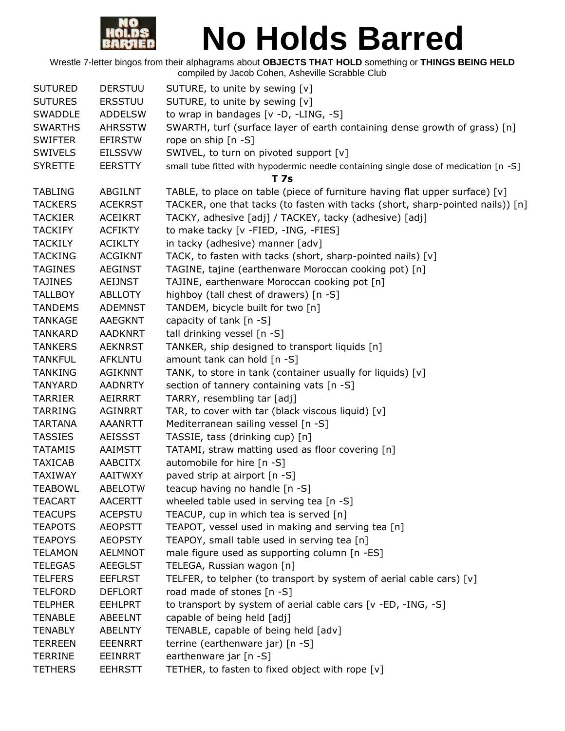

| <b>SUTURED</b> | <b>DERSTUU</b> | SUTURE, to unite by sewing [v]                                                       |
|----------------|----------------|--------------------------------------------------------------------------------------|
| <b>SUTURES</b> | <b>ERSSTUU</b> | SUTURE, to unite by sewing [v]                                                       |
| <b>SWADDLE</b> | <b>ADDELSW</b> | to wrap in bandages [v -D, -LING, -S]                                                |
| <b>SWARTHS</b> | <b>AHRSSTW</b> | SWARTH, turf (surface layer of earth containing dense growth of grass) [n]           |
| <b>SWIFTER</b> | <b>EFIRSTW</b> | rope on ship [n -S]                                                                  |
| <b>SWIVELS</b> | <b>EILSSVW</b> | SWIVEL, to turn on pivoted support [v]                                               |
| <b>SYRETTE</b> | <b>EERSTTY</b> | small tube fitted with hypodermic needle containing single dose of medication [n -S] |
|                |                | T 7s                                                                                 |
| <b>TABLING</b> | ABGILNT        | TABLE, to place on table (piece of furniture having flat upper surface) $[v]$        |
| <b>TACKERS</b> | <b>ACEKRST</b> | TACKER, one that tacks (to fasten with tacks (short, sharp-pointed nails)) [n]       |
| <b>TACKIER</b> | <b>ACEIKRT</b> | TACKY, adhesive [adj] / TACKEY, tacky (adhesive) [adj]                               |
| <b>TACKIFY</b> | <b>ACFIKTY</b> | to make tacky [v -FIED, -ING, -FIES]                                                 |
| <b>TACKILY</b> | <b>ACIKLTY</b> | in tacky (adhesive) manner [adv]                                                     |
| <b>TACKING</b> | <b>ACGIKNT</b> | TACK, to fasten with tacks (short, sharp-pointed nails) [v]                          |
| <b>TAGINES</b> | <b>AEGINST</b> | TAGINE, tajine (earthenware Moroccan cooking pot) [n]                                |
| <b>TAJINES</b> | <b>AEIJNST</b> | TAJINE, earthenware Moroccan cooking pot [n]                                         |
| <b>TALLBOY</b> | <b>ABLLOTY</b> | highboy (tall chest of drawers) [n -S]                                               |
| <b>TANDEMS</b> | <b>ADEMNST</b> | TANDEM, bicycle built for two [n]                                                    |
| <b>TANKAGE</b> | <b>AAEGKNT</b> | capacity of tank [n -S]                                                              |
| <b>TANKARD</b> | <b>AADKNRT</b> | tall drinking vessel [n -S]                                                          |
| <b>TANKERS</b> | <b>AEKNRST</b> | TANKER, ship designed to transport liquids [n]                                       |
| <b>TANKFUL</b> | <b>AFKLNTU</b> | amount tank can hold [n -S]                                                          |
| <b>TANKING</b> | <b>AGIKNNT</b> | TANK, to store in tank (container usually for liquids) [v]                           |
| <b>TANYARD</b> | <b>AADNRTY</b> | section of tannery containing vats [n -S]                                            |
| <b>TARRIER</b> | AEIRRRT        | TARRY, resembling tar [adj]                                                          |
| <b>TARRING</b> | <b>AGINRRT</b> | TAR, to cover with tar (black viscous liquid) [v]                                    |
| <b>TARTANA</b> | <b>AAANRTT</b> | Mediterranean sailing vessel [n -S]                                                  |
| <b>TASSIES</b> | AEISSST        | TASSIE, tass (drinking cup) [n]                                                      |
| <b>TATAMIS</b> | AAIMSTT        | TATAMI, straw matting used as floor covering [n]                                     |
| <b>TAXICAB</b> | AABCITX        | automobile for hire [n -S]                                                           |
| <b>TAXIWAY</b> | <b>AAITWXY</b> | paved strip at airport [n -S]                                                        |
| <b>TEABOWL</b> | <b>ABELOTW</b> | teacup having no handle [n -S]                                                       |
| <b>TEACART</b> | <b>AACERTT</b> | wheeled table used in serving tea [n -S]                                             |
| <b>TEACUPS</b> | <b>ACEPSTU</b> | TEACUP, cup in which tea is served [n]                                               |
| <b>TEAPOTS</b> | <b>AEOPSTT</b> | TEAPOT, vessel used in making and serving tea [n]                                    |
| <b>TEAPOYS</b> | <b>AEOPSTY</b> | TEAPOY, small table used in serving tea [n]                                          |
| <b>TELAMON</b> | <b>AELMNOT</b> | male figure used as supporting column [n -ES]                                        |
| <b>TELEGAS</b> | <b>AEEGLST</b> | TELEGA, Russian wagon [n]                                                            |
| <b>TELFERS</b> | <b>EEFLRST</b> | TELFER, to telpher (to transport by system of aerial cable cars) [v]                 |
| <b>TELFORD</b> | <b>DEFLORT</b> | road made of stones [n -S]                                                           |
| <b>TELPHER</b> | <b>EEHLPRT</b> | to transport by system of aerial cable cars [v -ED, -ING, -S]                        |
| <b>TENABLE</b> | ABEELNT        | capable of being held [adj]                                                          |
| <b>TENABLY</b> | <b>ABELNTY</b> | TENABLE, capable of being held [adv]                                                 |
| <b>TERREEN</b> | <b>EEENRRT</b> | terrine (earthenware jar) [n -S]                                                     |
| TERRINE        | EEINRRT        | earthenware jar [n -S]                                                               |
| <b>TETHERS</b> | <b>EEHRSTT</b> | TETHER, to fasten to fixed object with rope [v]                                      |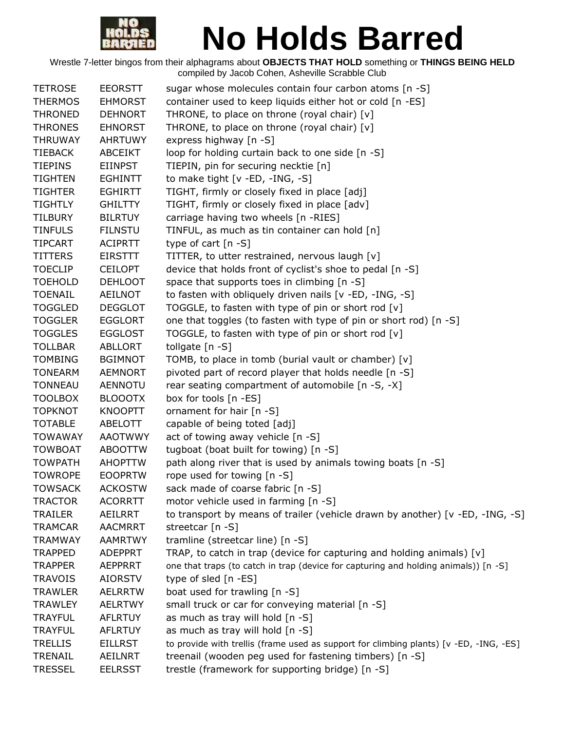

| <b>TETROSE</b> | <b>EEORSTT</b> | sugar whose molecules contain four carbon atoms [n -S]                                 |
|----------------|----------------|----------------------------------------------------------------------------------------|
| <b>THERMOS</b> | <b>EHMORST</b> | container used to keep liquids either hot or cold [n -ES]                              |
| <b>THRONED</b> | <b>DEHNORT</b> | THRONE, to place on throne (royal chair) [v]                                           |
| <b>THRONES</b> | <b>EHNORST</b> | THRONE, to place on throne (royal chair) [v]                                           |
| <b>THRUWAY</b> | <b>AHRTUWY</b> | express highway [n -S]                                                                 |
| <b>TIEBACK</b> | ABCEIKT        | loop for holding curtain back to one side [n -S]                                       |
| <b>TIEPINS</b> | EIINPST        | TIEPIN, pin for securing necktie [n]                                                   |
| <b>TIGHTEN</b> | <b>EGHINTT</b> | to make tight [v -ED, -ING, -S]                                                        |
| <b>TIGHTER</b> | <b>EGHIRTT</b> | TIGHT, firmly or closely fixed in place [adj]                                          |
| <b>TIGHTLY</b> | <b>GHILTTY</b> | TIGHT, firmly or closely fixed in place [adv]                                          |
| <b>TILBURY</b> | <b>BILRTUY</b> | carriage having two wheels [n -RIES]                                                   |
| <b>TINFULS</b> | <b>FILNSTU</b> | TINFUL, as much as tin container can hold [n]                                          |
| <b>TIPCART</b> | <b>ACIPRTT</b> | type of cart $[n - S]$                                                                 |
| <b>TITTERS</b> | <b>EIRSTTT</b> | TITTER, to utter restrained, nervous laugh [v]                                         |
| <b>TOECLIP</b> | <b>CEILOPT</b> | device that holds front of cyclist's shoe to pedal [n -S]                              |
| <b>TOEHOLD</b> | <b>DEHLOOT</b> | space that supports toes in climbing [n -S]                                            |
| <b>TOENAIL</b> | AEILNOT        | to fasten with obliquely driven nails [v -ED, -ING, -S]                                |
| <b>TOGGLED</b> | <b>DEGGLOT</b> | TOGGLE, to fasten with type of pin or short rod [v]                                    |
| <b>TOGGLER</b> | <b>EGGLORT</b> | one that toggles (to fasten with type of pin or short rod) [n -S]                      |
| <b>TOGGLES</b> | <b>EGGLOST</b> | TOGGLE, to fasten with type of pin or short rod [v]                                    |
| <b>TOLLBAR</b> | ABLLORT        | tollgate [n -S]                                                                        |
| <b>TOMBING</b> | <b>BGIMNOT</b> | TOMB, to place in tomb (burial vault or chamber) [v]                                   |
| <b>TONEARM</b> | <b>AEMNORT</b> | pivoted part of record player that holds needle [n -S]                                 |
| <b>TONNEAU</b> | <b>AENNOTU</b> | rear seating compartment of automobile [n -S, -X]                                      |
| <b>TOOLBOX</b> | <b>BLOOOTX</b> | box for tools [n -ES]                                                                  |
| <b>TOPKNOT</b> | <b>KNOOPTT</b> | ornament for hair [n -S]                                                               |
| <b>TOTABLE</b> | ABELOTT        | capable of being toted [adj]                                                           |
| <b>TOWAWAY</b> | <b>AAOTWWY</b> | act of towing away vehicle [n -S]                                                      |
| <b>TOWBOAT</b> | <b>ABOOTTW</b> | tugboat (boat built for towing) [n -S]                                                 |
| <b>TOWPATH</b> | <b>AHOPTTW</b> | path along river that is used by animals towing boats [n -S]                           |
| <b>TOWROPE</b> | <b>EOOPRTW</b> | rope used for towing [n -S]                                                            |
| <b>TOWSACK</b> | <b>ACKOSTW</b> | sack made of coarse fabric [n -S]                                                      |
| <b>TRACTOR</b> | <b>ACORRTT</b> | motor vehicle used in farming [n -S]                                                   |
| <b>TRAILER</b> | <b>AEILRRT</b> | to transport by means of trailer (vehicle drawn by another) [v -ED, -ING, -S]          |
| <b>TRAMCAR</b> | <b>AACMRRT</b> | streetcar [n -S]                                                                       |
| <b>TRAMWAY</b> | <b>AAMRTWY</b> | tramline (streetcar line) [n -S]                                                       |
| <b>TRAPPED</b> | <b>ADEPPRT</b> | TRAP, to catch in trap (device for capturing and holding animals) [v]                  |
| <b>TRAPPER</b> | <b>AEPPRRT</b> | one that traps (to catch in trap (device for capturing and holding animals)) [n -S]    |
| <b>TRAVOIS</b> | <b>AIORSTV</b> | type of sled [n -ES]                                                                   |
| <b>TRAWLER</b> | <b>AELRRTW</b> | boat used for trawling [n -S]                                                          |
| <b>TRAWLEY</b> | <b>AELRTWY</b> | small truck or car for conveying material [n -S]                                       |
| <b>TRAYFUL</b> | <b>AFLRTUY</b> | as much as tray will hold [n -S]                                                       |
| <b>TRAYFUL</b> | <b>AFLRTUY</b> | as much as tray will hold [n -S]                                                       |
| <b>TRELLIS</b> | <b>EILLRST</b> | to provide with trellis (frame used as support for climbing plants) [v -ED, -ING, -ES] |
| <b>TRENAIL</b> | <b>AEILNRT</b> | treenail (wooden peg used for fastening timbers) [n -S]                                |
| <b>TRESSEL</b> | <b>EELRSST</b> | trestle (framework for supporting bridge) [n -S]                                       |
|                |                |                                                                                        |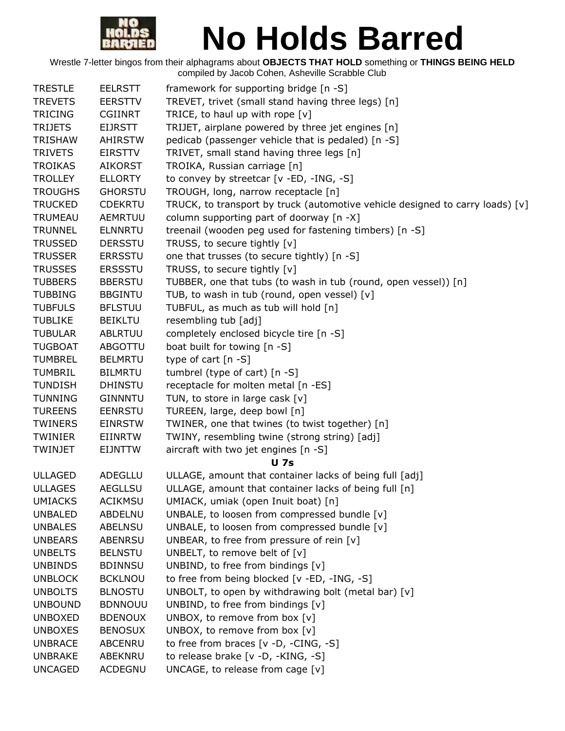

| <b>TRESTLE</b> | <b>EELRSTT</b> | framework for supporting bridge [n -S]                                          |
|----------------|----------------|---------------------------------------------------------------------------------|
| <b>TREVETS</b> | <b>EERSTTV</b> | TREVET, trivet (small stand having three legs) [n]                              |
| <b>TRICING</b> | CGIINRT        | TRICE, to haul up with rope $[v]$                                               |
| <b>TRIJETS</b> | <b>EIJRSTT</b> | TRIJET, airplane powered by three jet engines [n]                               |
| <b>TRISHAW</b> | <b>AHIRSTW</b> | pedicab (passenger vehicle that is pedaled) [n -S]                              |
| <b>TRIVETS</b> | EIRSTTV        | TRIVET, small stand having three legs [n]                                       |
| <b>TROIKAS</b> | <b>AIKORST</b> | TROIKA, Russian carriage [n]                                                    |
| <b>TROLLEY</b> | <b>ELLORTY</b> | to convey by streetcar [v -ED, -ING, -S]                                        |
| <b>TROUGHS</b> | <b>GHORSTU</b> | TROUGH, long, narrow receptacle [n]                                             |
| <b>TRUCKED</b> | <b>CDEKRTU</b> | TRUCK, to transport by truck (automotive vehicle designed to carry loads) $[v]$ |
| TRUMEAU        | AEMRTUU        | column supporting part of doorway [n -X]                                        |
| <b>TRUNNEL</b> | <b>ELNNRTU</b> | treenail (wooden peg used for fastening timbers) [n -S]                         |
| <b>TRUSSED</b> | <b>DERSSTU</b> | TRUSS, to secure tightly [v]                                                    |
| <b>TRUSSER</b> | <b>ERRSSTU</b> | one that trusses (to secure tightly) [n -S]                                     |
| <b>TRUSSES</b> | <b>ERSSSTU</b> | TRUSS, to secure tightly [v]                                                    |
| <b>TUBBERS</b> | <b>BBERSTU</b> | TUBBER, one that tubs (to wash in tub (round, open vessel)) [n]                 |
| <b>TUBBING</b> | <b>BBGINTU</b> | TUB, to wash in tub (round, open vessel) [v]                                    |
| <b>TUBFULS</b> | <b>BFLSTUU</b> | TUBFUL, as much as tub will hold [n]                                            |
| <b>TUBLIKE</b> | <b>BEIKLTU</b> | resembling tub [adj]                                                            |
| <b>TUBULAR</b> | <b>ABLRTUU</b> | completely enclosed bicycle tire [n -S]                                         |
| <b>TUGBOAT</b> | <b>ABGOTTU</b> | boat built for towing [n -S]                                                    |
| <b>TUMBREL</b> | <b>BELMRTU</b> | type of cart $[n - S]$                                                          |
| <b>TUMBRIL</b> | <b>BILMRTU</b> | tumbrel (type of cart) [n -S]                                                   |
| <b>TUNDISH</b> | <b>DHINSTU</b> | receptacle for molten metal [n -ES]                                             |
| <b>TUNNING</b> | <b>GINNNTU</b> | TUN, to store in large cask [v]                                                 |
| <b>TUREENS</b> | <b>EENRSTU</b> | TUREEN, large, deep bowl [n]                                                    |
| <b>TWINERS</b> | <b>EINRSTW</b> | TWINER, one that twines (to twist together) [n]                                 |
| TWINIER        | EIINRTW        | TWINY, resembling twine (strong string) [adj]                                   |
| TWINJET        | EIJNTTW        | aircraft with two jet engines [n -S]                                            |
|                |                | <b>U</b> 7s                                                                     |
| <b>ULLAGED</b> | <b>ADEGLLU</b> | ULLAGE, amount that container lacks of being full [adj]                         |
| <b>ULLAGES</b> | <b>AEGLLSU</b> | ULLAGE, amount that container lacks of being full [n]                           |
| <b>UMIACKS</b> | <b>ACIKMSU</b> | UMIACK, umiak (open Inuit boat) [n]                                             |
| <b>UNBALED</b> | ABDELNU        | UNBALE, to loosen from compressed bundle [v]                                    |
| <b>UNBALES</b> | <b>ABELNSU</b> | UNBALE, to loosen from compressed bundle [v]                                    |
| <b>UNBEARS</b> | ABENRSU        | UNBEAR, to free from pressure of rein $[v]$                                     |
| <b>UNBELTS</b> | <b>BELNSTU</b> | UNBELT, to remove belt of [v]                                                   |
| <b>UNBINDS</b> | <b>BDINNSU</b> | UNBIND, to free from bindings [v]                                               |
| <b>UNBLOCK</b> | <b>BCKLNOU</b> | to free from being blocked [v -ED, -ING, -S]                                    |
| <b>UNBOLTS</b> | <b>BLNOSTU</b> | UNBOLT, to open by withdrawing bolt (metal bar) [v]                             |
| <b>UNBOUND</b> | <b>BDNNOUU</b> | UNBIND, to free from bindings [v]                                               |
| <b>UNBOXED</b> | <b>BDENOUX</b> | UNBOX, to remove from box [v]                                                   |
| <b>UNBOXES</b> | <b>BENOSUX</b> | UNBOX, to remove from box [v]                                                   |
| <b>UNBRACE</b> | ABCENRU        | to free from braces $[v -D, -CING, -S]$                                         |
| <b>UNBRAKE</b> | ABEKNRU        | to release brake [v -D, -KING, -S]                                              |
| <b>UNCAGED</b> | ACDEGNU        | UNCAGE, to release from cage [v]                                                |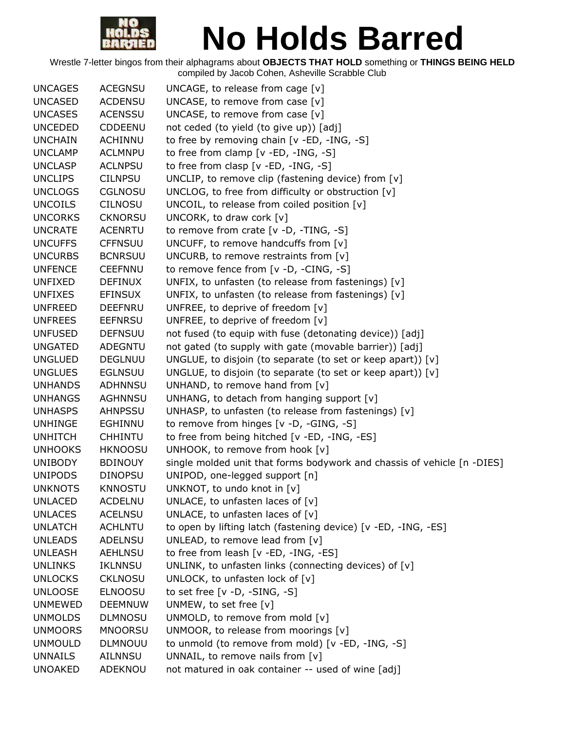

| <b>UNCAGES</b> | <b>ACEGNSU</b> | UNCAGE, to release from cage $[v]$                                      |
|----------------|----------------|-------------------------------------------------------------------------|
| <b>UNCASED</b> | <b>ACDENSU</b> | UNCASE, to remove from case $[v]$                                       |
| <b>UNCASES</b> | <b>ACENSSU</b> | UNCASE, to remove from case [v]                                         |
| <b>UNCEDED</b> | CDDEENU        | not ceded (to yield (to give up)) [adj]                                 |
| <b>UNCHAIN</b> | <b>ACHINNU</b> | to free by removing chain [v -ED, -ING, -S]                             |
| <b>UNCLAMP</b> | <b>ACLMNPU</b> | to free from clamp $[v - ED, -ING, -S]$                                 |
| <b>UNCLASP</b> | <b>ACLNPSU</b> | to free from clasp $[v - ED, -ING, -S]$                                 |
| <b>UNCLIPS</b> | <b>CILNPSU</b> | UNCLIP, to remove clip (fastening device) from [v]                      |
| <b>UNCLOGS</b> | <b>CGLNOSU</b> | UNCLOG, to free from difficulty or obstruction [v]                      |
| <b>UNCOILS</b> | <b>CILNOSU</b> | UNCOIL, to release from coiled position [v]                             |
| <b>UNCORKS</b> | <b>CKNORSU</b> | UNCORK, to draw cork $[v]$                                              |
| <b>UNCRATE</b> | <b>ACENRTU</b> | to remove from crate [v -D, -TING, -S]                                  |
| <b>UNCUFFS</b> | <b>CFFNSUU</b> | UNCUFF, to remove handcuffs from [v]                                    |
| <b>UNCURBS</b> | <b>BCNRSUU</b> | UNCURB, to remove restraints from $[v]$                                 |
| <b>UNFENCE</b> | <b>CEEFNNU</b> | to remove fence from [v -D, -CING, -S]                                  |
| <b>UNFIXED</b> | <b>DEFINUX</b> | UNFIX, to unfasten (to release from fastenings) $[v]$                   |
| <b>UNFIXES</b> | <b>EFINSUX</b> | UNFIX, to unfasten (to release from fastenings) [v]                     |
| <b>UNFREED</b> | <b>DEEFNRU</b> | UNFREE, to deprive of freedom [v]                                       |
| <b>UNFREES</b> | <b>EEFNRSU</b> | UNFREE, to deprive of freedom [v]                                       |
| <b>UNFUSED</b> | <b>DEFNSUU</b> | not fused (to equip with fuse (detonating device)) [adj]                |
| <b>UNGATED</b> | <b>ADEGNTU</b> | not gated (to supply with gate (movable barrier)) [adj]                 |
| <b>UNGLUED</b> | <b>DEGLNUU</b> | UNGLUE, to disjoin (to separate (to set or keep apart)) $[v]$           |
| <b>UNGLUES</b> | <b>EGLNSUU</b> | UNGLUE, to disjoin (to separate (to set or keep apart)) [v]             |
| <b>UNHANDS</b> | <b>ADHNNSU</b> | UNHAND, to remove hand from [v]                                         |
| <b>UNHANGS</b> | <b>AGHNNSU</b> | UNHANG, to detach from hanging support [v]                              |
| <b>UNHASPS</b> | <b>AHNPSSU</b> | UNHASP, to unfasten (to release from fastenings) [v]                    |
| <b>UNHINGE</b> | EGHINNU        | to remove from hinges [v -D, -GING, -S]                                 |
| <b>UNHITCH</b> | <b>CHHINTU</b> | to free from being hitched [v -ED, -ING, -ES]                           |
| <b>UNHOOKS</b> | <b>HKNOOSU</b> | UNHOOK, to remove from hook [v]                                         |
| <b>UNIBODY</b> | <b>BDINOUY</b> | single molded unit that forms bodywork and chassis of vehicle [n -DIES] |
| <b>UNIPODS</b> | <b>DINOPSU</b> | UNIPOD, one-legged support [n]                                          |
| <b>UNKNOTS</b> | <b>KNNOSTU</b> | UNKNOT, to undo knot in [v]                                             |
| <b>UNLACED</b> | <b>ACDELNU</b> | UNLACE, to unfasten laces of $[v]$                                      |
| <b>UNLACES</b> | <b>ACELNSU</b> | UNLACE, to unfasten laces of [v]                                        |
| <b>UNLATCH</b> | <b>ACHLNTU</b> | to open by lifting latch (fastening device) [v -ED, -ING, -ES]          |
| <b>UNLEADS</b> | ADELNSU        | UNLEAD, to remove lead from [v]                                         |
| <b>UNLEASH</b> | <b>AEHLNSU</b> | to free from leash [v -ED, -ING, -ES]                                   |
| <b>UNLINKS</b> | <b>IKLNNSU</b> | UNLINK, to unfasten links (connecting devices) of [v]                   |
| <b>UNLOCKS</b> | <b>CKLNOSU</b> | UNLOCK, to unfasten lock of [v]                                         |
| <b>UNLOOSE</b> | <b>ELNOOSU</b> | to set free $[v -D, -SING, -S]$                                         |
| <b>UNMEWED</b> | <b>DEEMNUW</b> | UNMEW, to set free [v]                                                  |
| <b>UNMOLDS</b> | <b>DLMNOSU</b> | UNMOLD, to remove from mold [v]                                         |
| <b>UNMOORS</b> | <b>MNOORSU</b> | UNMOOR, to release from moorings [v]                                    |
| <b>UNMOULD</b> | <b>DLMNOUU</b> | to unmold (to remove from mold) [v -ED, -ING, -S]                       |
| <b>UNNAILS</b> | AILNNSU        | UNNAIL, to remove nails from [v]                                        |
| <b>UNOAKED</b> | ADEKNOU        | not matured in oak container -- used of wine [adj]                      |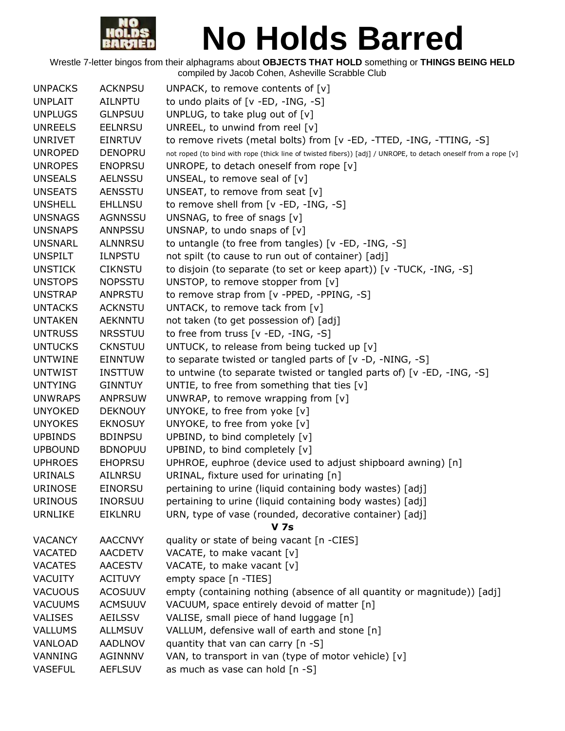

| <b>UNPACKS</b> | <b>ACKNPSU</b> | UNPACK, to remove contents of $[v]$                                                                            |
|----------------|----------------|----------------------------------------------------------------------------------------------------------------|
| <b>UNPLAIT</b> | <b>AILNPTU</b> | to undo plaits of $[v - ED, -ING, -S]$                                                                         |
| <b>UNPLUGS</b> | <b>GLNPSUU</b> | UNPLUG, to take plug out of [v]                                                                                |
| <b>UNREELS</b> | <b>EELNRSU</b> | UNREEL, to unwind from reel [v]                                                                                |
| <b>UNRIVET</b> | <b>EINRTUV</b> | to remove rivets (metal bolts) from [v -ED, -TTED, -ING, -TTING, -S]                                           |
| <b>UNROPED</b> | <b>DENOPRU</b> | not roped (to bind with rope (thick line of twisted fibers)) [adj] / UNROPE, to detach oneself from a rope [v] |
| <b>UNROPES</b> | <b>ENOPRSU</b> | UNROPE, to detach oneself from rope [v]                                                                        |
| <b>UNSEALS</b> | <b>AELNSSU</b> | UNSEAL, to remove seal of [v]                                                                                  |
| <b>UNSEATS</b> | <b>AENSSTU</b> | UNSEAT, to remove from seat [v]                                                                                |
| <b>UNSHELL</b> | <b>EHLLNSU</b> | to remove shell from [v -ED, -ING, -S]                                                                         |
| <b>UNSNAGS</b> | <b>AGNNSSU</b> | UNSNAG, to free of snags [v]                                                                                   |
| <b>UNSNAPS</b> | <b>ANNPSSU</b> | UNSNAP, to undo snaps of [v]                                                                                   |
| <b>UNSNARL</b> | <b>ALNNRSU</b> | to untangle (to free from tangles) [v -ED, -ING, -S]                                                           |
| <b>UNSPILT</b> | <b>ILNPSTU</b> | not spilt (to cause to run out of container) [adj]                                                             |
| <b>UNSTICK</b> | <b>CIKNSTU</b> | to disjoin (to separate (to set or keep apart)) [v -TUCK, -ING, -S]                                            |
| <b>UNSTOPS</b> | <b>NOPSSTU</b> | UNSTOP, to remove stopper from $[v]$                                                                           |
| <b>UNSTRAP</b> | <b>ANPRSTU</b> | to remove strap from [v -PPED, -PPING, -S]                                                                     |
| <b>UNTACKS</b> | <b>ACKNSTU</b> | UNTACK, to remove tack from [v]                                                                                |
| <b>UNTAKEN</b> | <b>AEKNNTU</b> | not taken (to get possession of) [adj]                                                                         |
| <b>UNTRUSS</b> | <b>NRSSTUU</b> | to free from truss $[v - ED, -ING, -S]$                                                                        |
| <b>UNTUCKS</b> | <b>CKNSTUU</b> | UNTUCK, to release from being tucked up [v]                                                                    |
| <b>UNTWINE</b> | <b>EINNTUW</b> | to separate twisted or tangled parts of $[v -D, -NING, -S]$                                                    |
| <b>UNTWIST</b> | <b>INSTTUW</b> | to untwine (to separate twisted or tangled parts of) [v -ED, -ING, -S]                                         |
| <b>UNTYING</b> | <b>GINNTUY</b> | UNTIE, to free from something that ties $[v]$                                                                  |
| <b>UNWRAPS</b> | <b>ANPRSUW</b> | UNWRAP, to remove wrapping from $[v]$                                                                          |
| <b>UNYOKED</b> | <b>DEKNOUY</b> | UNYOKE, to free from yoke [v]                                                                                  |
| <b>UNYOKES</b> | <b>EKNOSUY</b> | UNYOKE, to free from yoke [v]                                                                                  |
| <b>UPBINDS</b> | <b>BDINPSU</b> | UPBIND, to bind completely [v]                                                                                 |
| <b>UPBOUND</b> | <b>BDNOPUU</b> | UPBIND, to bind completely [v]                                                                                 |
| <b>UPHROES</b> | <b>EHOPRSU</b> | UPHROE, euphroe (device used to adjust shipboard awning) [n]                                                   |
| <b>URINALS</b> | <b>AILNRSU</b> | URINAL, fixture used for urinating [n]                                                                         |
| <b>URINOSE</b> | <b>EINORSU</b> | pertaining to urine (liquid containing body wastes) [adj]                                                      |
| <b>URINOUS</b> | <b>INORSUU</b> | pertaining to urine (liquid containing body wastes) [adj]                                                      |
| <b>URNLIKE</b> | EIKLNRU        | URN, type of vase (rounded, decorative container) [adj]                                                        |
|                |                | <b>V</b> 7s                                                                                                    |
| <b>VACANCY</b> | <b>AACCNVY</b> | quality or state of being vacant [n -CIES]                                                                     |
| <b>VACATED</b> | <b>AACDETV</b> | VACATE, to make vacant [v]                                                                                     |
| <b>VACATES</b> | <b>AACESTV</b> | VACATE, to make vacant [v]                                                                                     |
| <b>VACUITY</b> | <b>ACITUVY</b> | empty space [n -TIES]                                                                                          |
| <b>VACUOUS</b> | <b>ACOSUUV</b> | empty (containing nothing (absence of all quantity or magnitude)) [adj]                                        |
| <b>VACUUMS</b> | <b>ACMSUUV</b> | VACUUM, space entirely devoid of matter [n]                                                                    |
| <b>VALISES</b> | <b>AEILSSV</b> | VALISE, small piece of hand luggage [n]                                                                        |
| VALLUMS        | <b>ALLMSUV</b> | VALLUM, defensive wall of earth and stone [n]                                                                  |
| VANLOAD        | <b>AADLNOV</b> | quantity that van can carry [n -S]                                                                             |
| VANNING        | AGINNNV        | VAN, to transport in van (type of motor vehicle) [v]                                                           |
| <b>VASEFUL</b> | <b>AEFLSUV</b> | as much as vase can hold [n -S]                                                                                |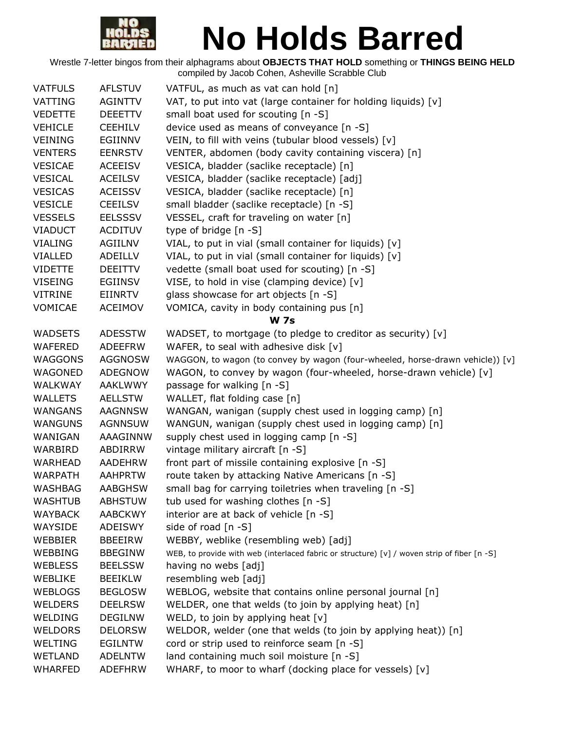

| <b>VATFULS</b> | <b>AFLSTUV</b> | VATFUL, as much as vat can hold [n]                                                         |
|----------------|----------------|---------------------------------------------------------------------------------------------|
| VATTING        | <b>AGINTTV</b> | VAT, to put into vat (large container for holding liquids) [v]                              |
| <b>VEDETTE</b> | <b>DEEETTV</b> | small boat used for scouting [n -S]                                                         |
| <b>VEHICLE</b> | <b>CEEHILV</b> | device used as means of conveyance [n -S]                                                   |
| <b>VEINING</b> | EGIINNV        | VEIN, to fill with veins (tubular blood vessels) [v]                                        |
| <b>VENTERS</b> | <b>EENRSTV</b> | VENTER, abdomen (body cavity containing viscera) [n]                                        |
| <b>VESICAE</b> | <b>ACEEISV</b> | VESICA, bladder (saclike receptacle) [n]                                                    |
| <b>VESICAL</b> | <b>ACEILSV</b> | VESICA, bladder (saclike receptacle) [adj]                                                  |
| <b>VESICAS</b> | <b>ACEISSV</b> | VESICA, bladder (saclike receptacle) [n]                                                    |
| <b>VESICLE</b> | <b>CEEILSV</b> | small bladder (saclike receptacle) [n -S]                                                   |
| <b>VESSELS</b> | <b>EELSSSV</b> | VESSEL, craft for traveling on water [n]                                                    |
| <b>VIADUCT</b> | <b>ACDITUV</b> | type of bridge [n -S]                                                                       |
| <b>VIALING</b> | <b>AGIILNV</b> | VIAL, to put in vial (small container for liquids) [v]                                      |
| VIALLED        | ADEILLV        | VIAL, to put in vial (small container for liquids) [v]                                      |
| <b>VIDETTE</b> | <b>DEEITTV</b> | vedette (small boat used for scouting) [n -S]                                               |
| <b>VISEING</b> | <b>EGIINSV</b> | VISE, to hold in vise (clamping device) [v]                                                 |
| <b>VITRINE</b> | <b>EIINRTV</b> | glass showcase for art objects [n -S]                                                       |
| VOMICAE        | <b>ACEIMOV</b> | VOMICA, cavity in body containing pus [n]                                                   |
|                |                | <b>W</b> 7s                                                                                 |
| <b>WADSETS</b> | <b>ADESSTW</b> | WADSET, to mortgage (to pledge to creditor as security) [v]                                 |
| WAFERED        | ADEEFRW        | WAFER, to seal with adhesive disk [v]                                                       |
| <b>WAGGONS</b> | <b>AGGNOSW</b> | WAGGON, to wagon (to convey by wagon (four-wheeled, horse-drawn vehicle)) [v]               |
| WAGONED        | <b>ADEGNOW</b> | WAGON, to convey by wagon (four-wheeled, horse-drawn vehicle) [v]                           |
| <b>WALKWAY</b> | AAKLWWY        | passage for walking [n -S]                                                                  |
| <b>WALLETS</b> | <b>AELLSTW</b> | WALLET, flat folding case [n]                                                               |
| <b>WANGANS</b> | AAGNNSW        | WANGAN, wanigan (supply chest used in logging camp) [n]                                     |
| <b>WANGUNS</b> | <b>AGNNSUW</b> | WANGUN, wanigan (supply chest used in logging camp) [n]                                     |
| WANIGAN        | AAAGINNW       | supply chest used in logging camp [n -S]                                                    |
| WARBIRD        | ABDIRRW        | vintage military aircraft [n -S]                                                            |
| <b>WARHEAD</b> | AADEHRW        | front part of missile containing explosive [n -S]                                           |
| <b>WARPATH</b> | <b>AAHPRTW</b> | route taken by attacking Native Americans [n -S]                                            |
| WASHBAG        | <b>AABGHSW</b> | small bag for carrying toiletries when traveling [n -S]                                     |
| <b>WASHTUB</b> | <b>ABHSTUW</b> | tub used for washing clothes [n -S]                                                         |
| <b>WAYBACK</b> | <b>AABCKWY</b> | interior are at back of vehicle [n -S]                                                      |
| WAYSIDE        | ADEISWY        | side of road [n -S]                                                                         |
| WEBBIER        | <b>BBEEIRW</b> | WEBBY, weblike (resembling web) [adj]                                                       |
| <b>WEBBING</b> | <b>BBEGINW</b> | WEB, to provide with web (interlaced fabric or structure) [v] / woven strip of fiber [n -S] |
| <b>WEBLESS</b> | <b>BEELSSW</b> | having no webs [adj]                                                                        |
| WEBLIKE        | <b>BEEIKLW</b> | resembling web [adj]                                                                        |
| <b>WEBLOGS</b> | <b>BEGLOSW</b> | WEBLOG, website that contains online personal journal [n]                                   |
| <b>WELDERS</b> | <b>DEELRSW</b> | WELDER, one that welds (to join by applying heat) [n]                                       |
| WELDING        | <b>DEGILNW</b> | WELD, to join by applying heat $[v]$                                                        |
| <b>WELDORS</b> | <b>DELORSW</b> | WELDOR, welder (one that welds (to join by applying heat)) [n]                              |
| <b>WELTING</b> | <b>EGILNTW</b> | cord or strip used to reinforce seam [n -S]                                                 |
| <b>WETLAND</b> | <b>ADELNTW</b> | land containing much soil moisture [n -S]                                                   |
| <b>WHARFED</b> | <b>ADEFHRW</b> | WHARF, to moor to wharf (docking place for vessels) [v]                                     |